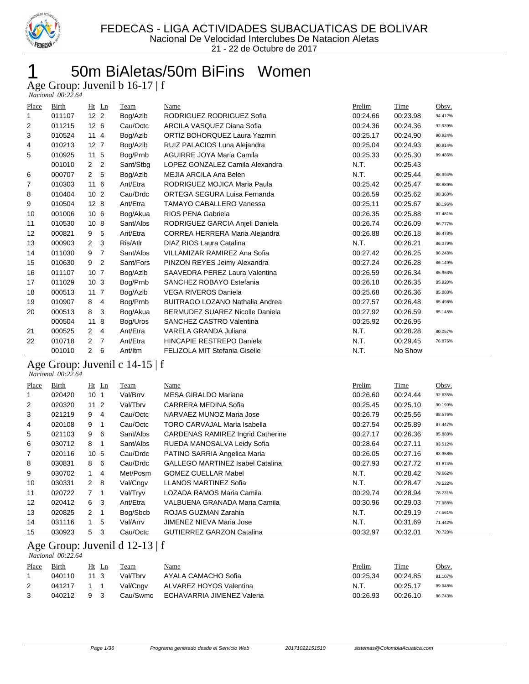

## 50m BiAletas/50m BiFins Women

Age Group: Juvenil b 16-17 | f

 *Nacional 00:22.64* 

| Place | Birth  | $\mathbf{L}$ n<br>Ht              | Team      | Name                                   | Prelim   | Time     | Obsv.   |
|-------|--------|-----------------------------------|-----------|----------------------------------------|----------|----------|---------|
| 1     | 011107 | 12 <sub>2</sub>                   | Bog/Azlb  | RODRIGUEZ RODRIGUEZ Sofia              | 00:24.66 | 00:23.98 | 94.412% |
| 2     | 011215 | 12 <sub>6</sub>                   | Cau/Octc  | ARCILA VASQUEZ Diana Sofia             | 00:24.36 | 00:24.36 | 92.939% |
| 3     | 010524 | 11<br>4                           | Bog/Azlb  | ORTIZ BOHORQUEZ Laura Yazmin           | 00:25.17 | 00:24.90 | 90.924% |
| 4     | 010213 | 12 <sub>7</sub>                   | Bog/Azlb  | RUIZ PALACIOS Luna Alejandra           | 00:25.04 | 00:24.93 | 90.814% |
| 5     | 010925 | 11 5                              | Bog/Prnb  | AGUIRRE JOYA Maria Camila              | 00:25.33 | 00:25.30 | 89.486% |
|       | 001010 | 2<br>$\mathbf{2}^{\circ}$         | Sant/Stbg | LOPEZ GONZALEZ Camila Alexandra        | N.T.     | 00:25.43 |         |
| 6     | 000707 | 5<br>2                            | Bog/Azlb  | MEJIA ARCILA Ana Belen                 | N.T.     | 00:25.44 | 88.994% |
| 7     | 010303 | 11 6                              | Ant/Etra  | RODRIGUEZ MOJICA Maria Paula           | 00:25.42 | 00:25.47 | 88.889% |
| 8     | 010404 | 10 <sub>2</sub>                   | Cau/Drdc  | ORTEGA SEGURA Luisa Fernanda           | 00:26.59 | 00:25.62 | 88.368% |
| 9     | 010504 | 12 <sub>8</sub>                   | Ant/Etra  | <b>TAMAYO CABALLERO Vanessa</b>        | 00:25.11 | 00:25.67 | 88.196% |
| 10    | 001006 | 10 <sub>6</sub>                   | Bog/Akua  | <b>RIOS PENA Gabriela</b>              | 00:26.35 | 00:25.88 | 87.481% |
| 11    | 010530 | 10<br>8                           | Sant/Albs | RODRIGUEZ GARCIA Anjeli Daniela        | 00:26.74 | 00:26.09 | 86.777% |
| 12    | 000821 | 5<br>9                            | Ant/Etra  | CORREA HERRERA Maria Alejandra         | 00:26.88 | 00:26.18 | 86.478% |
| 13    | 000903 | $\overline{2}$<br>3               | Ris/Atlr  | DIAZ RIOS Laura Catalina               | N.T.     | 00:26.21 | 86.379% |
| 14    | 011030 | 9<br>7                            | Sant/Albs | VILLAMIZAR RAMIREZ Ana Sofia           | 00:27.42 | 00:26.25 | 86.248% |
| 15    | 010630 | 9<br>2                            | Sant/Fors | PINZON REYES Jeimy Alexandra           | 00:27.24 | 00:26.28 | 86.149% |
| 16    | 011107 | 10 <sup>°</sup><br>$\overline{7}$ | Bog/Azlb  | SAAVEDRA PEREZ Laura Valentina         | 00:26.59 | 00:26.34 | 85.953% |
| 17    | 011029 | 10 <sub>3</sub>                   | Bog/Prnb  | SANCHEZ ROBAYO Estefania               | 00:26.18 | 00:26.35 | 85.920% |
| 18    | 000513 | $11 \t7$                          | Bog/Azlb  | <b>VEGA RIVEROS Daniela</b>            | 00:25.68 | 00:26.36 | 85.888% |
| 19    | 010907 | 8<br>4                            | Bog/Prnb  | <b>BUITRAGO LOZANO Nathalia Andrea</b> | 00:27.57 | 00:26.48 | 85.498% |
| 20    | 000513 | 3<br>8                            | Bog/Akua  | <b>BERMUDEZ SUAREZ Nicolle Daniela</b> | 00:27.92 | 00:26.59 | 85.145% |
|       | 000504 | 11<br>8                           | Bog/Uros  | SANCHEZ CASTRO Valentina               | 00:25.92 | 00:26.95 |         |
| 21    | 000525 | $\mathbf{2}^{\circ}$<br>4         | Ant/Etra  | VARELA GRANDA Juliana                  | N.T.     | 00:28.28 | 80.057% |
| 22    | 010718 | 7<br>2                            | Ant/Etra  | <b>HINCAPIE RESTREPO Daniela</b>       | N.T.     | 00:29.45 | 76.876% |
|       | 001010 | $\overline{2}$<br>6               | Ant/ltm   | FELIZOLA MIT Stefania Giselle          | N.T.     | No Show  |         |

### Age Group: Juvenil c 14-15 | f

 *Nacional 00:22.64* 

| Place | Birth  | Ht Ln                 | Team      | Name                                     | Prelim   | Time     | Obsv.   |
|-------|--------|-----------------------|-----------|------------------------------------------|----------|----------|---------|
|       | 020420 | 10 <sub>1</sub>       | Val/Brrv  | MESA GIRALDO Mariana                     | 00:26.60 | 00:24.44 | 92.635% |
| 2     | 020320 | 11 2                  | Val/Tbrv  | CARRERA MEDINA Sofia                     | 00:25.45 | 00:25.10 | 90.199% |
| 3     | 021219 | 9<br>4                | Cau/Octc  | NARVAEZ MUNOZ Maria Jose                 | 00:26.79 | 00:25.56 | 88.576% |
| 4     | 020108 | 9                     | Cau/Octc  | TORO CARVAJAL Maria Isabella             | 00:27.54 | 00:25.89 | 87.447% |
| 5     | 021103 | 9<br>6                | Sant/Albs | <b>CARDENAS RAMIREZ Ingrid Catherine</b> | 00:27.17 | 00:26.36 | 85.888% |
| 6     | 030712 | 8                     | Sant/Albs | RUEDA MANOSALVA Leidy Sofia              | 00:28.64 | 00:27.11 | 83.512% |
| 7     | 020116 | 10 <sub>5</sub>       | Cau/Drdc  | PATINO SARRIA Angelica Maria             | 00:26.05 | 00:27.16 | 83.358% |
| 8     | 030831 | 8<br>- 6              | Cau/Drdc  | <b>GALLEGO MARTINEZ Isabel Catalina</b>  | 00:27.93 | 00:27.72 | 81.674% |
| 9     | 030702 | 1<br>4                | Met/Posm  | <b>GOMEZ CUELLAR Mabel</b>               | N.T.     | 00:28.42 | 79.662% |
| 10    | 030331 | $\overline{2}$<br>- 8 | Val/Cngv  | LLANOS MARTINEZ Sofia                    | N.T.     | 00:28.47 | 79.522% |
| 11    | 020722 | 7 1                   | Val/Tryv  | LOZADA RAMOS Maria Camila                | 00:29.74 | 00:28.94 | 78.231% |
| 12    | 020412 | 6<br>3                | Ant/Etra  | VALBUENA GRANADA Maria Camila.           | 00:30.96 | 00:29.03 | 77.988% |
| 13    | 020825 | 2                     | Bog/Sbcb  | ROJAS GUZMAN Zarahia                     | N.T.     | 00:29.19 | 77.561% |
| 14    | 031116 | 5<br>1                | Val/Arrv  | JIMENEZ NIEVA Maria Jose                 | N.T.     | 00:31.69 | 71.442% |
| 15    | 030923 | 3<br>5                | Cau/Octc  | <b>GUTIERREZ GARZON Catalina</b>         | 00:32.97 | 00:32.01 | 70.728% |

#### Age Group: Juvenil d 12-13 | f  *Nacional 00:22.64*

| Place | Birth  |      | Ht Ln | Team     | Name                       | Prelim   | Time     | Obsv.   |
|-------|--------|------|-------|----------|----------------------------|----------|----------|---------|
|       | 040110 | 11.3 |       | Val/Tbrv | AYALA CAMACHO Sofia        | 00:25.34 | 00:24.85 | 91.107% |
|       | 041217 | 1 1  |       | Val/Cngv | ALVAREZ HOYOS Valentina    | N.T.     | 00:25.17 | 89.948% |
|       | 040212 | 93   |       | Cau/Swmc | ECHAVARRIA JIMENEZ Valeria | 00:26.93 | 00:26.10 | 86.743% |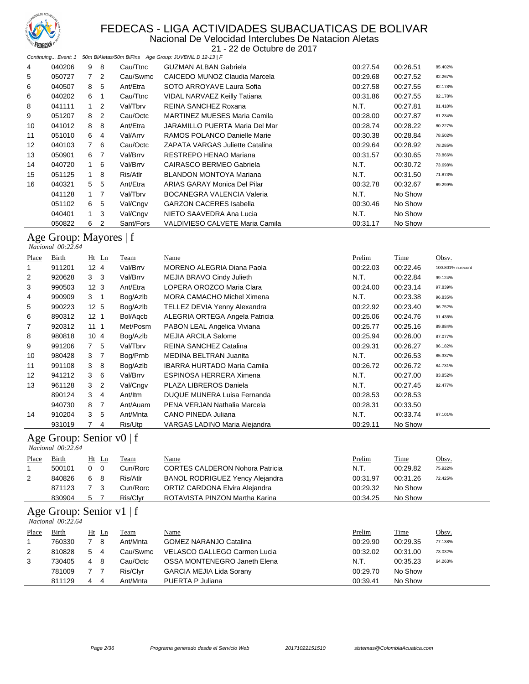

Nacional De Velocidad Interclubes De Natacion Aletas

|                | <b><i>EDECAS</i></b><br>21 - 22 de Octubre de 2017 |                                  |                            |                                                             |                      |                      |                   |  |
|----------------|----------------------------------------------------|----------------------------------|----------------------------|-------------------------------------------------------------|----------------------|----------------------|-------------------|--|
|                | Continuing Event: 1                                |                                  |                            | 50m BiAletas/50m BiFins Age Group: JUVENIL D 12-13   F      |                      |                      |                   |  |
| 4              | 040206                                             | 8<br>9                           | Cau/Ttnc                   | <b>GUZMAN ALBAN Gabriela</b>                                | 00:27.54             | 00:26.51             | 85.402%           |  |
| 5              | 050727                                             | $\overline{7}$<br>$\overline{2}$ | Cau/Swmc                   | CAICEDO MUNOZ Claudia Marcela                               | 00:29.68             | 00:27.52             | 82.267%           |  |
| 6              | 040507                                             | 8<br>5                           | Ant/Etra                   | SOTO ARROYAVE Laura Sofia                                   | 00:27.58             | 00:27.55             | 82.178%           |  |
| 6              | 040202                                             | 6<br>1                           | Cau/Ttnc                   | VIDAL NARVAEZ Keilly Tatiana                                | 00:31.86             | 00:27.55             | 82.178%           |  |
| 8              | 041111                                             | $\mathbf{1}$<br>$\overline{2}$   | Val/Tbrv                   | REINA SANCHEZ Roxana                                        | N.T.                 | 00:27.81             | 81.410%           |  |
| 9              | 051207                                             | 8<br>$\overline{c}$              | Cau/Octc                   | MARTINEZ MUESES Maria Camila                                | 00:28.00             | 00:27.87             | 81.234%           |  |
| 10             | 041012                                             | 8<br>8                           | Ant/Etra                   | JARAMILLO PUERTA Maria Del Mar                              | 00:28.74             | 00:28.22             | 80.227%           |  |
| 11             | 051010                                             | 6<br>4                           | Val/Arrv                   | RAMOS POLANCO Danielle Marie                                | 00:30.38             | 00:28.84             | 78.502%           |  |
| 12             | 040103                                             | 7<br>6                           | Cau/Octc                   | ZAPATA VARGAS Juliette Catalina                             | 00:29.64             | 00:28.92             | 78.285%           |  |
| 13             | 050901                                             | 6<br>7                           | Val/Brrv                   | RESTREPO HENAO Mariana                                      | 00:31.57             | 00:30.65             | 73.866%           |  |
| 14             | 040720                                             | 6<br>$\mathbf{1}$                | Val/Brrv                   | CAIRASCO BERMEO Gabriela                                    | N.T.                 | 00:30.72             | 73.698%           |  |
| 15             | 051125                                             | $\mathbf{1}$<br>8                | Ris/Atlr                   | <b>BLANDON MONTOYA Mariana</b>                              | N.T.                 | 00:31.50             | 71.873%           |  |
| 16             | 040321                                             | 5<br>5                           | Ant/Etra                   | ARIAS GARAY Monica Del Pilar                                | 00:32.78             | 00:32.67             | 69.299%           |  |
|                | 041128                                             | $\mathbf{1}$<br>$\overline{7}$   | Val/Tbrv                   | <b>BOCANEGRA VALENCIA Valeria</b>                           | N.T.                 | No Show              |                   |  |
|                | 051102                                             | 6<br>5                           | Val/Cngv                   | <b>GARZON CACERES Isabella</b>                              | 00:30.46             | No Show              |                   |  |
|                | 040401                                             | 1<br>3                           | Val/Cngv                   | NIETO SAAVEDRA Ana Lucia                                    | N.T.                 | No Show              |                   |  |
|                | 050822                                             | 6<br>2                           | Sant/Fors                  | VALDIVIESO CALVETE Maria Camila                             | 00:31.17             | No Show              |                   |  |
|                | Age Group: Mayores   f<br>Nacional 00:22.64        |                                  |                            |                                                             |                      |                      |                   |  |
|                |                                                    |                                  |                            |                                                             |                      |                      |                   |  |
| Place          | <b>Birth</b>                                       | $Ht$ Ln                          | <b>Team</b>                | Name                                                        | Prelim               | <b>Time</b>          | Obsv.             |  |
| 1              | 911201                                             | $12 \quad 4$                     | Val/Brrv                   | MORENO ALEGRIA Diana Paola                                  | 00:22.03             | 00:22.46             | 100.801% n.record |  |
| 2              | 920628                                             | 3 <sub>3</sub>                   | Val/Brrv                   | MEJIA BRAVO Cindy Julieth                                   | N.T.                 | 00:22.84             | 99.124%           |  |
| 3              | 990503                                             | 12 <sub>3</sub>                  | Ant/Etra                   | LOPERA OROZCO Maria Clara                                   | 00:24.00             | 00:23.14             | 97.839%           |  |
| 4              | 990909                                             | 3 <sub>1</sub>                   | Bog/Azlb                   | MORA CAMACHO Michel Ximena                                  | N.T.                 | 00:23.38             | 96.835%           |  |
| 5              | 990223                                             | 12 <sub>5</sub>                  | Bog/Azlb                   | TELLEZ DEVIA Yenny Alexandra                                | 00:22.92             | 00:23.40             | 96.752%           |  |
| 6              | 890312                                             | 12 <sub>1</sub>                  | Bol/Aqcb                   | ALEGRIA ORTEGA Angela Patricia                              | 00:25.06             | 00:24.76             | 91.438%           |  |
| 7              | 920312                                             | 111                              | Met/Posm                   | PABON LEAL Angelica Viviana                                 | 00:25.77             | 00:25.16             | 89.984%           |  |
| 8              | 980818                                             | 104                              | Bog/Azlb                   | <b>MEJIA ARCILA Salome</b>                                  | 00:25.94             | 00:26.00             | 87.077%           |  |
| 9              | 991206                                             | 7<br>5                           | Val/Tbrv                   | REINA SANCHEZ Catalina<br>MEDINA BELTRAN Juanita            | 00:29.31<br>N.T.     | 00:26.27             | 86.182%           |  |
| 10             | 980428                                             | $\overline{7}$<br>3              | Bog/Prnb                   |                                                             |                      | 00:26.53             | 85.337%           |  |
| 11             | 991108                                             | 3<br>8                           | Bog/Azlb                   | IBARRA HURTADO Maria Camila                                 | 00:26.72<br>N.T.     | 00:26.72             | 84.731%           |  |
| 12             | 941212                                             | 3<br>6                           | Val/Brrv                   | ESPINOSA HERRERA Ximena                                     |                      | 00:27.00             | 83.852%           |  |
| 13             | 961128                                             | 3<br>$\overline{2}$<br>4         | Val/Cngv                   | PLAZA LIBREROS Daniela                                      | N.T.                 | 00:27.45             | 82.477%           |  |
|                | 890124                                             | 3<br>8<br>$\overline{7}$         | Ant/Itm<br>Ant/Auam        | DUQUE MUNERA Luisa Fernanda<br>PENA VERJAN Nathalia Marcela | 00:28.53<br>00:28.31 | 00:28.53<br>00:33.50 |                   |  |
|                | 940730                                             |                                  |                            |                                                             |                      |                      |                   |  |
| 14             | 910204                                             | 3<br>5<br>$7^{\circ}$            | Ant/Mnta                   | CANO PINEDA Juliana                                         | N.T.                 | 00:33.74             | 67.101%           |  |
|                | 931019                                             | $\overline{4}$                   | Ris/Utp                    | VARGAS LADINO Maria Alejandra                               | 00:29.11             | No Show              |                   |  |
|                | Nacional 00:22.64                                  |                                  | Age Group: Senior v0   f   |                                                             |                      |                      |                   |  |
| Place          | <b>Birth</b>                                       | $Ht$ Ln                          | <b>Team</b>                | <b>Name</b>                                                 | Prelim               | Time                 | Obsv.             |  |
| 1              | 500101                                             | 0<br>0                           | Cun/Rorc                   | <b>CORTES CALDERON Nohora Patricia</b>                      | N.T.                 | 00:29.82             | 75.922%           |  |
| $\overline{2}$ | 840826                                             | 6<br>8                           | Ris/Atlr                   | <b>BANOL RODRIGUEZ Yency Alejandra</b>                      | 00:31.97             | 00:31.26             | 72.425%           |  |
|                | 871123                                             | 7<br>3                           | Cun/Rorc                   | ORTIZ CARDONA Elvira Alejandra                              | 00:29.32             | No Show              |                   |  |
|                | 830904                                             | 5<br>7                           | Ris/Clyr                   | ROTAVISTA PINZON Martha Karina                              | 00:34.25             | No Show              |                   |  |
|                |                                                    |                                  |                            |                                                             |                      |                      |                   |  |
|                | Nacional 00:22.64                                  |                                  | Age Group: Senior $v1$   f |                                                             |                      |                      |                   |  |
| Place          | <b>Birth</b>                                       | Ht Ln                            | <b>Team</b>                | <u>Name</u>                                                 | Prelim               | <u>Time</u>          | Obsv.             |  |
| 1              | 760330                                             | 7 8                              | Ant/Mnta                   | <b>GOMEZ NARANJO Catalina</b>                               | 00:29.90             | 00:29.35             | 77.138%           |  |

 810828 5 4 Cau/Swmc VELASCO GALLEGO Carmen Lucia 00:32.02 00:31.00 73.032% 730405 4 8 Cau/Octc OSSA MONTENEGRO Janeth Elena N.T. 00:35.23 64.263% 781009 7 7 Ris/Clyr GARCIA MEJIA Lida Sorany 1980 100:29.70 No Show 811129 4 4 Ant/Mnta PUERTA P Juliana **00:39.41** No Show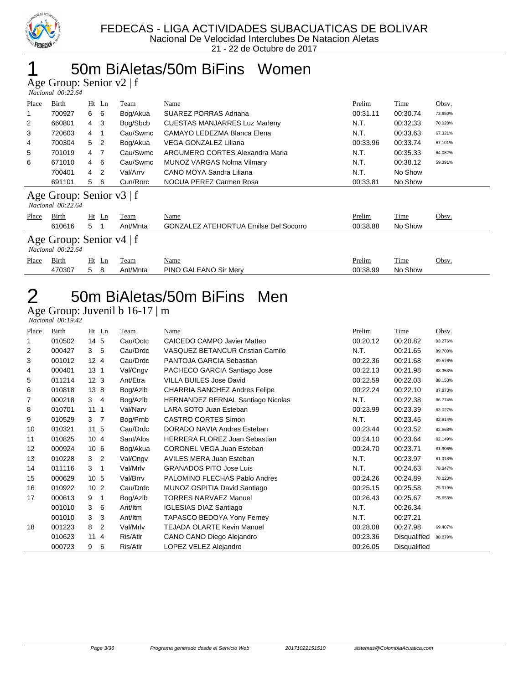

## 50m BiAletas/50m BiFins Women

Age Group: Senior v2 | f

|       | Nacional 00:22.64                                  |                |                |          |                                              |          |             |         |  |
|-------|----------------------------------------------------|----------------|----------------|----------|----------------------------------------------|----------|-------------|---------|--|
| Place | Birth                                              |                | $Ht$ Ln        | Team     | Name                                         | Prelim   | <b>Time</b> | Obsv.   |  |
| 1     | 700927                                             | 6              | -6             | Bog/Akua | SUAREZ PORRAS Adriana                        | 00:31.11 | 00:30.74    | 73.650% |  |
| 2     | 660801                                             | $4 \quad 3$    |                | Bog/Sbcb | <b>CUESTAS MANJARRES Luz Marleny</b>         | N.T.     | 00:32.33    | 70.028% |  |
| 3     | 720603                                             | 4              |                | Cau/Swmc | CAMAYO LEDEZMA Blanca Elena                  | N.T.     | 00:33.63    | 67.321% |  |
| 4     | 700304                                             | 5              | $\overline{2}$ | Bog/Akua | VEGA GONZALEZ Liliana                        | 00:33.96 | 00:33.74    | 67.101% |  |
| 5     | 701019                                             | $\overline{4}$ | 7              | Cau/Swmc | ARGUMERO CORTES Alexandra Maria              | N.T.     | 00:35.33    | 64.082% |  |
| 6     | 671010                                             | 4              | - 6            | Cau/Swmc | MUNOZ VARGAS Nolma Vilmary                   | N.T.     | 00:38.12    | 59.391% |  |
|       | 700401                                             | $4\quad 2$     |                | Val/Arrv | CANO MOYA Sandra Liliana                     | N.T.     | No Show     |         |  |
|       | 691101                                             | 5              | - 6            | Cun/Rorc | NOCUA PEREZ Carmen Rosa                      | 00:33.81 | No Show     |         |  |
|       | Age Group: Senior $v3 \mid f$<br>Nacional 00:22.64 |                |                |          |                                              |          |             |         |  |
| Place | Birth                                              |                | $Ht$ Ln        | Team     | Name                                         | Prelim   | Time        | Obsv.   |  |
|       | 610616                                             | 5.             |                | Ant/Mnta | <b>GONZALEZ ATEHORTUA Emilse Del Socorro</b> | 00:38.88 | No Show     |         |  |
|       | Age Group: Senior $v4$   f                         |                |                |          |                                              |          |             |         |  |

 *Nacional 00:22.64* 

|       | wacional vo:22.04 |          |          |                       |          |         |       |
|-------|-------------------|----------|----------|-----------------------|----------|---------|-------|
| Place | Birth             | Ht<br>Ln | eam      | Name                  | Prelim   | Time    | Obsv. |
|       | 470307            |          | Ant/Mnta | PINO GALEANO Sir Merv | 00:38.99 | No Show |       |

# 50m BiAletas/50m BiFins Men

Age Group: Juvenil b 16-17 | m

 *Nacional 00:19.42* 

| Place | Birth  | $Ht$ Ln              | Team      | Name                                 | Prelim   | Time                | Obsv.   |
|-------|--------|----------------------|-----------|--------------------------------------|----------|---------------------|---------|
| 1     | 010502 | 14 5                 | Cau/Octc  | CAICEDO CAMPO Javier Matteo          | 00:20.12 | 00:20.82            | 93.276% |
| 2     | 000427 | 5<br>3               | Cau/Drdc  | VASQUEZ BETANCUR Cristian Camilo     | N.T.     | 00:21.65            | 89.700% |
| 3     | 001012 | 12 <sub>4</sub>      | Cau/Drdc  | PANTOJA GARCIA Sebastian             | 00:22.36 | 00:21.68            | 89.576% |
| 4     | 000401 | 13 <sub>1</sub>      | Val/Cngv  | PACHECO GARCIA Santiago Jose         | 00:22.13 | 00:21.98            | 88.353% |
| 5     | 011214 | 12 <sub>3</sub>      | Ant/Etra  | <b>VILLA BUILES Jose David</b>       | 00:22.59 | 00:22.03            | 88.153% |
| 6     | 010818 | 13 8                 | Bog/Azlb  | <b>CHARRIA SANCHEZ Andres Felipe</b> | 00:22.24 | 00:22.10            | 87.873% |
| 7     | 000218 | 3 <sub>4</sub>       | Bog/Azlb  | HERNANDEZ BERNAL Santiago Nicolas    | N.T.     | 00:22.38            | 86.774% |
| 8     | 010701 | 1111                 | Val/Narv  | LARA SOTO Juan Esteban               | 00:23.99 | 00:23.39            | 83.027% |
| 9     | 010529 | 3 <sub>7</sub>       | Bog/Prnb  | <b>CASTRO CORTES Simon</b>           | N.T.     | 00:23.45            | 82.814% |
| 10    | 010321 | 11 <sub>5</sub>      | Cau/Drdc  | DORADO NAVIA Andres Esteban          | 00:23.44 | 00:23.52            | 82.568% |
| 11    | 010825 | 104                  | Sant/Albs | HERRERA FLOREZ Joan Sebastian        | 00:24.10 | 00:23.64            | 82.149% |
| 12    | 000924 | 10 <sub>6</sub>      | Bog/Akua  | <b>CORONEL VEGA Juan Esteban</b>     | 00:24.70 | 00:23.71            | 81.906% |
| 13    | 010228 | 3 <sub>2</sub>       | Val/Cngv  | <b>AVILES MERA Juan Esteban</b>      | N.T.     | 00:23.97            | 81.018% |
| 14    | 011116 | 3<br>1               | Val/Mrlv  | <b>GRANADOS PITO Jose Luis</b>       | N.T.     | 00:24.63            | 78.847% |
| 15    | 000629 | 10 <sub>5</sub>      | Val/Brrv  | PALOMINO FLECHAS Pablo Andres        | 00:24.26 | 00:24.89            | 78.023% |
| 16    | 010922 | 10 <sub>2</sub>      | Cau/Drdc  | MUNOZ OSPITIA David Santiago         | 00:25.15 | 00:25.58            | 75.919% |
| 17    | 000613 | 9<br>1               | Bog/Azlb  | <b>TORRES NARVAEZ Manuel</b>         | 00:26.43 | 00:25.67            | 75.653% |
|       | 001010 | 6<br>3               | Ant/ltm   | <b>IGLESIAS DIAZ Santiago</b>        | N.T.     | 00:26.34            |         |
|       | 001010 | 3<br>3               | Ant/Itm   | TAPASCO BEDOYA Yony Ferney           | N.T.     | 00:27.21            |         |
| 18    | 001223 | 8<br>2               | Val/Mrlv  | <b>TEJADA OLARTE Kevin Manuel</b>    | 00:28.08 | 00:27.98            | 69.407% |
|       | 010623 | 11<br>$\overline{4}$ | Ris/Atlr  | CANO CANO Diego Alejandro            | 00:23.36 | Disqualified        | 88.879% |
|       | 000723 | 6<br>9               | Ris/Atlr  | LOPEZ VELEZ Alejandro                | 00:26.05 | <b>Disqualified</b> |         |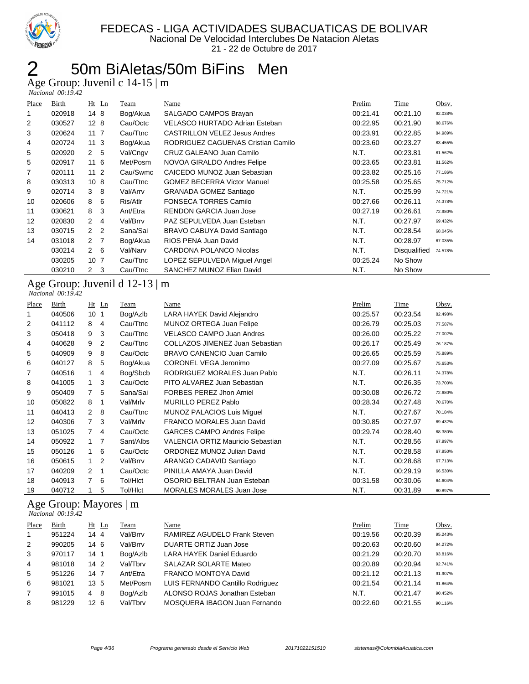

# 50m BiAletas/50m BiFins Men

Age Group: Juvenil c 14-15 | m

 *Nacional 00:19.42* 

| Place | Birth  | $Ht$ Ln         | Team     | Name                                 | Prelim   | Time                | Obsv.   |
|-------|--------|-----------------|----------|--------------------------------------|----------|---------------------|---------|
|       | 020918 | 14 8            | Bog/Akua | SALGADO CAMPOS Brayan                | 00:21.41 | 00:21.10            | 92.038% |
| 2     | 030527 | 128             | Cau/Octc | VELASCO HURTADO Adrian Esteban       | 00:22.95 | 00:21.90            | 88.676% |
| 3     | 020624 | $11 \t7$        | Cau/Ttnc | <b>CASTRILLON VELEZ Jesus Andres</b> | 00:23.91 | 00:22.85            | 84.989% |
| 4     | 020724 | 113             | Bog/Akua | RODRIGUEZ CAGUENAS Cristian Camilo   | 00:23.60 | 00:23.27            | 83.455% |
| 5     | 020920 | 2 <sub>5</sub>  | Val/Cngv | CRUZ GALEANO Juan Camilo             | N.T.     | 00:23.81            | 81.562% |
| 5     | 020917 | 116             | Met/Posm | NOVOA GIRALDO Andres Felipe          | 00:23.65 | 00:23.81            | 81.562% |
| 7     | 020111 | 11 <sub>2</sub> | Cau/Swmc | CAICEDO MUNOZ Juan Sebastian         | 00:23.82 | 00:25.16            | 77.186% |
| 8     | 030313 | 10 <sub>8</sub> | Cau/Ttnc | <b>GOMEZ BECERRA Victor Manuel</b>   | 00:25.58 | 00:25.65            | 75.712% |
| 9     | 020714 | $3\quad 8$      | Val/Arrv | <b>GRANADA GOMEZ Santiago</b>        | N.T.     | 00:25.99            | 74.721% |
| 10    | 020606 | - 6<br>8        | Ris/Atlr | <b>FONSECA TORRES Camilo</b>         | 00:27.66 | 00:26.11            | 74.378% |
| 11    | 030621 | 3<br>8          | Ant/Etra | <b>RENDON GARCIA Juan Jose</b>       | 00:27.19 | 00:26.61            | 72.980% |
| 12    | 020830 | $2 \quad 4$     | Val/Brrv | PAZ SEPULVEDA Juan Esteban           | N.T.     | 00:27.97            | 69.432% |
| 13    | 030715 | 2 <sub>2</sub>  | Sana/Sai | BRAVO CABUYA David Santiago          | N.T.     | 00:28.54            | 68.045% |
| 14    | 031018 | 2 <sub>7</sub>  | Bog/Akua | RIOS PENA Juan David                 | N.T.     | 00:28.97            | 67.035% |
|       | 030214 | $2\quad 6$      | Val/Narv | CARDONA POLANCO Nicolas              | N.T.     | <b>Disqualified</b> | 74.578% |
|       | 030205 | 10 <sub>7</sub> | Cau/Ttnc | LOPEZ SEPULVEDA Miguel Angel         | 00:25.24 | No Show             |         |
|       | 030210 | $2 \quad 3$     | Cau/Ttnc | SANCHEZ MUNOZ Elian David            | N.T.     | No Show             |         |

#### Age Group: Juvenil d 12-13 | m  *Nacional 00:19.42*

| Place          | Birth  | Ht              | $\mathop{\underline{\mathsf{Ln}}}$ | Team      | Name                              | Prelim   | Time     | Obsv.   |
|----------------|--------|-----------------|------------------------------------|-----------|-----------------------------------|----------|----------|---------|
| 1              | 040506 | 10 <sub>1</sub> |                                    | Bog/Azlb  | LARA HAYEK David Alejandro        | 00:25.57 | 00:23.54 | 82.498% |
| $\overline{2}$ | 041112 | 8               | 4                                  | Cau/Ttnc  | MUNOZ ORTEGA Juan Felipe          | 00:26.79 | 00:25.03 | 77.587% |
| 3              | 050418 | 9               | 3                                  | Cau/Ttnc  | VELASCO CAMPO Juan Andres         | 00:26.00 | 00:25.22 | 77.002% |
| 4              | 040628 | 9               | 2                                  | Cau/Ttnc  | COLLAZOS JIMENEZ Juan Sebastian   | 00:26.17 | 00:25.49 | 76.187% |
| 5              | 040909 | 9               | 8                                  | Cau/Octc  | BRAVO CANENCIO Juan Camilo        | 00:26.65 | 00:25.59 | 75.889% |
| 6              | 040127 | 8               | 5                                  | Bog/Akua  | CORONEL VEGA Jeronimo             | 00:27.09 | 00:25.67 | 75.653% |
| 7              | 040516 |                 | 4                                  | Bog/Sbcb  | RODRIGUEZ MORALES Juan Pablo      | N.T.     | 00:26.11 | 74.378% |
| 8              | 041005 | 1.              | 3                                  | Cau/Octc  | PITO ALVAREZ Juan Sebastian       | N.T.     | 00:26.35 | 73.700% |
| 9              | 050409 | $\overline{7}$  | 5                                  | Sana/Sai  | FORBES PEREZ Jhon Amiel           | 00:30.08 | 00:26.72 | 72.680% |
| 10             | 050822 | 8               | 1                                  | Val/Mrlv  | <b>MURILLO PEREZ Pablo</b>        | 00:28.34 | 00:27.48 | 70.670% |
| 11             | 040413 | 2               | 8                                  | Cau/Ttnc  | <b>MUNOZ PALACIOS Luis Miquel</b> | N.T.     | 00:27.67 | 70.184% |
| 12             | 040306 | $7^{\circ}$     | 3                                  | Val/Mrlv  | <b>FRANCO MORALES Juan David</b>  | 00:30.85 | 00:27.97 | 69.432% |
| 13             | 051025 | $\overline{7}$  | 4                                  | Cau/Octc  | <b>GARCES CAMPO Andres Felipe</b> | 00:29.74 | 00:28.40 | 68.380% |
| 14             | 050922 | 1               | 7                                  | Sant/Albs | VALENCIA ORTIZ Mauricio Sebastian | N.T.     | 00:28.56 | 67.997% |
| 15             | 050126 | 1               | 6                                  | Cau/Octc  | ORDONEZ MUNOZ Julian David        | N.T.     | 00:28.58 | 67.950% |
| 16             | 050615 | 1.              | $\overline{2}$                     | Val/Brrv  | ARANGO CADAVID Santiago           | N.T.     | 00:28.68 | 67.713% |
| 17             | 040209 | $\overline{2}$  | 1                                  | Cau/Octc  | PINILLA AMAYA Juan David          | N.T.     | 00:29.19 | 66.530% |
| 18             | 040913 | $\overline{7}$  | 6                                  | Tol/HIct  | OSORIO BELTRAN Juan Esteban       | 00:31.58 | 00:30.06 | 64.604% |
| 19             | 040712 |                 | 5                                  | Tol/HIct  | <b>MORALES MORALES Juan Jose</b>  | N.T.     | 00:31.89 | 60.897% |

## Age Group: Mayores | m

|                | Nacional 00:19.42 |                 |          |                                  |          |          |         |  |  |  |  |
|----------------|-------------------|-----------------|----------|----------------------------------|----------|----------|---------|--|--|--|--|
| Place          | Birth             | $Ht$ Ln         | Team     | Name                             | Prelim   | Time     | Obsv.   |  |  |  |  |
|                | 951224            | 14 4            | Val/Brrv | RAMIREZ AGUDELO Frank Steven     | 00:19.56 | 00:20.39 | 95.243% |  |  |  |  |
| 2              | 990205            | 14 6            | Val/Brrv | DUARTE ORTIZ Juan Jose           | 00:20.63 | 00:20.60 | 94.272% |  |  |  |  |
| 3              | 970117            | 14 <sub>1</sub> | Bog/Azlb | LARA HAYEK Daniel Eduardo        | 00:21.29 | 00:20.70 | 93.816% |  |  |  |  |
| 4              | 981018            | $14^{2}$        | Val/Tbrv | <b>SALAZAR SOLARTE Mateo</b>     | 00:20.89 | 00:20.94 | 92.741% |  |  |  |  |
| 5              | 951226            | 14 7            | Ant/Etra | <b>FRANCO MONTOYA David</b>      | 00:21.12 | 00:21.13 | 91.907% |  |  |  |  |
| 6              | 981021            | 13 5            | Met/Posm | LUIS FERNANDO Cantillo Rodriguez | 00:21.54 | 00:21.14 | 91.864% |  |  |  |  |
| $\overline{7}$ | 991015            | - 8<br>4        | Bog/Azlb | ALONSO ROJAS Jonathan Esteban    | N.T.     | 00:21.47 | 90.452% |  |  |  |  |
| 8              | 981229            | 12 <sub>6</sub> | Val/Tbrv | MOSQUERA IBAGON Juan Fernando    | 00:22.60 | 00:21.55 | 90.116% |  |  |  |  |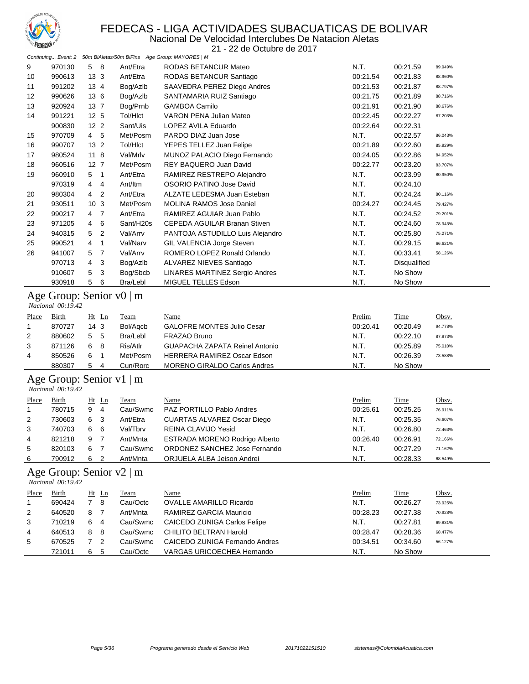

Nacional De Velocidad Interclubes De Natacion Aletas

| <b>A CUECHA</b> |                     |                                  |                               | 21 - 22 de Octubre de 2017                     |               |              |         |
|-----------------|---------------------|----------------------------------|-------------------------------|------------------------------------------------|---------------|--------------|---------|
|                 | Continuing Event: 2 |                                  |                               | 50m BiAletas/50m BiFins Age Group: MAYORES   M |               |              |         |
| 9               | 970130              | 5 8                              | Ant/Etra                      | RODAS BETANCUR Mateo                           | N.T.          | 00:21.59     | 89.949% |
| 10              | 990613              | 13 <sub>3</sub>                  | Ant/Etra                      | RODAS BETANCUR Santiago                        | 00:21.54      | 00:21.83     | 88.960% |
| 11              | 991202              | 13 4                             | Bog/Azlb                      | SAAVEDRA PEREZ Diego Andres                    | 00:21.53      | 00:21.87     | 88.797% |
| 12              | 990626              | 13 6                             | Bog/Azlb                      | SANTAMARIA RUIZ Santiago                       | 00:21.75      | 00:21.89     | 88.716% |
| 13              | 920924              | 13 7                             | Bog/Prnb                      | <b>GAMBOA Camilo</b>                           | 00:21.91      | 00:21.90     | 88.676% |
| 14              | 991221              | 12 <sub>5</sub>                  | Tol/HIct                      | VARON PENA Julian Mateo                        | 00:22.45      | 00:22.27     | 87.203% |
|                 | 900830              | 12 <sub>2</sub>                  | Sant/Uis                      | LOPEZ AVILA Eduardo                            | 00:22.64      | 00:22.31     |         |
| 15              | 970709              | 4 <sub>5</sub>                   | Met/Posm                      | PARDO DIAZ Juan Jose                           | N.T.          | 00:22.57     | 86.043% |
| 16              | 990707              | 13 <sub>2</sub>                  | Tol/HIct                      | YEPES TELLEZ Juan Felipe                       | 00:21.89      | 00:22.60     | 85.929% |
| 17              | 980524              | $11 \quad 8$                     | Val/Mrlv                      | MUNOZ PALACIO Diego Fernando                   | 00:24.05      | 00:22.86     | 84.952% |
| 18              | 960516              | 12 <sub>7</sub>                  | Met/Posm                      | REY BAQUERO Juan David                         | 00:22.77      | 00:23.20     | 83.707% |
| 19              | 960910              | 5<br>$\overline{1}$              | Ant/Etra                      | RAMIREZ RESTREPO Alejandro                     | N.T.          | 00:23.99     | 80.950% |
|                 | 970319              | 4<br>4                           | Ant/Itm                       | OSORIO PATINO Jose David                       | N.T.          | 00:24.10     |         |
| 20              | 980304              | $\overline{2}$<br>4              | Ant/Etra                      | ALZATE LEDESMA Juan Esteban                    | N.T.          | 00:24.24     | 80.116% |
| 21              | 930511              | 10 <sub>3</sub>                  | Met/Posm                      | <b>MOLINA RAMOS Jose Daniel</b>                | 00:24.27      | 00:24.45     | 79.427% |
| 22              | 990217              | $\overline{7}$<br>4              | Ant/Etra                      | RAMIREZ AGUIAR Juan Pablo                      | N.T.          | 00:24.52     | 79.201% |
| 23              | 971205              | 6<br>4                           | Sant/H20s                     | CEPEDA AGUILAR Branan Stiven                   | N.T.          | 00:24.60     | 78.943% |
| 24              | 940315              | 2<br>5                           | Val/Arrv                      | PANTOJA ASTUDILLO Luis Alejandro               | N.T.          | 00:25.80     | 75.271% |
| 25              | 990521              | 1<br>4                           | Val/Narv                      | GIL VALENCIA Jorge Steven                      | N.T.          | 00:29.15     | 66.621% |
| 26              | 941007              | 5<br>7                           | Val/Arrv                      | ROMERO LOPEZ Ronald Orlando                    | N.T.          | 00:33.41     | 58.126% |
|                 | 970713              | 4<br>3                           | Bog/Azlb                      | ALVAREZ NIEVES Santiago                        | N.T.          | Disqualified |         |
|                 | 910607              | 5<br>3                           | Bog/Sbcb                      | <b>LINARES MARTINEZ Sergio Andres</b>          | N.T.          | No Show      |         |
|                 | 930918              | 5<br>6                           | Bra/Lebl                      | MIGUEL TELLES Edson                            | N.T.          | No Show      |         |
|                 | Nacional 00:19.42   |                                  | Age Group: Senior $v0 \mid m$ |                                                |               |              |         |
| Place           | Birth               | $Ht$ Ln                          | <b>Team</b>                   | Name                                           | Prelim        | <b>Time</b>  | Obsv.   |
| 1               | 870727              | 14 <sub>3</sub>                  | Bol/Aqcb                      | <b>GALOFRE MONTES Julio Cesar</b>              | 00:20.41      | 00:20.49     | 94.778% |
| 2               | 880602              | 5<br>5                           | Bra/Lebl                      | FRAZAO Bruno                                   | N.T.          | 00:22.10     | 87.873% |
| 3               | 871126              | 6<br>8                           | Ris/Atlr                      | GUAPACHA ZAPATA Reinel Antonio                 | N.T.          | 00:25.89     | 75.010% |
| 4               | 850526              | 6<br>1                           | Met/Posm                      | HERRERA RAMIREZ Oscar Edson                    | N.T.          | 00:26.39     | 73.588% |
|                 | 880307              | 5<br>4                           | Cun/Rorc                      | MORENO GIRALDO Carlos Andres                   | N.T.          | No Show      |         |
|                 | Nacional 00:19.42   |                                  | Age Group: Senior v1   m      |                                                |               |              |         |
| Place           | Birth               | $Ht$ Ln                          | Team                          | Name                                           | Prelim        | Time         | Obsv.   |
| 1               | 780715              | 4<br>9                           | Cau/Swmc                      | PAZ PORTILLO Pablo Andres                      | 00:25.61      | 00:25.25     | 76.911% |
| 2               | 730603              | 6<br>3                           | Ant/Etra                      | <b>CUARTAS ALVAREZ Oscar Diego</b>             | N.T.          | 00:25.35     | 76.607% |
| 3               | 740703              | 6<br>6                           | Val/Tbrv                      | REINA CLAVIJO Yesid                            | N.T.          | 00:26.80     | 72.463% |
| 4               | 821218              | $\overline{7}$<br>9              | Ant/Mnta                      | ESTRADA MORENO Rodrigo Alberto                 | 00:26.40      | 00:26.91     | 72.166% |
| 5               | 820103              | 7<br>6                           | Cau/Swmc                      | ORDONEZ SANCHEZ Jose Fernando                  | N.T.          | 00:27.29     | 71.162% |
| 6               | 790912              | 6<br>2                           | Ant/Mnta                      | ORJUELA ALBA Jeison Andrei                     | N.T.          | 00:28.33     | 68.549% |
|                 | Nacional 00:19.42   |                                  | Age Group: Senior v2   m      |                                                |               |              |         |
| <b>Place</b>    | <b>Birth</b>        | Ht Ln                            | <u>Team</u>                   | <b>Name</b>                                    | <b>Prelim</b> | Time         | Obsv.   |
| 1               | 690424              | 8<br>$7^{\circ}$                 | Cau/Octc                      | <b>OVALLE AMARILLO Ricardo</b>                 | N.T.          | 00:26.27     | 73.925% |
| 2               | 640520              | 8<br>7                           | Ant/Mnta                      | RAMIREZ GARCIA Mauricio                        | 00:28.23      | 00:27.38     | 70.928% |
| 3               | 710219              | 6<br>4                           | Cau/Swmc                      | <b>CAICEDO ZUNIGA Carlos Felipe</b>            | N.T.          | 00:27.81     | 69.831% |
| 4               | 640513              | 8<br>8                           | Cau/Swmc                      | CHILITO BELTRAN Harold                         | 00:28.47      | 00:28.36     | 68.477% |
| 5               | 670525              | $\overline{7}$<br>$\overline{2}$ | Cau/Swmc                      | CAICEDO ZUNIGA Fernando Andres                 | 00:34.51      | 00:34.60     | 56.127% |
|                 | 721011              | 6 5                              | Cau/Octc                      | VARGAS URICOECHEA Hernando                     | N.T.          | No Show      |         |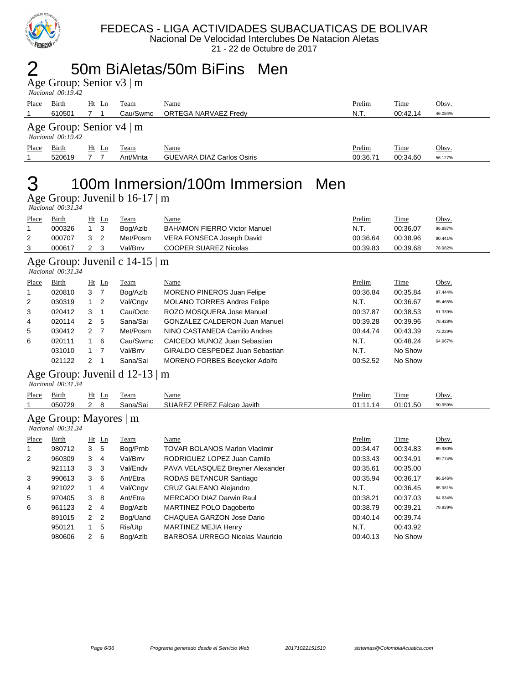

21 - 22 de Octubre de 2017

# 2 50m BiAletas/50m BiFins Men

| Age Group: Senior $v3 \mid m$ |  |  |
|-------------------------------|--|--|
| $M_{\odot}$ : $\sim 100.101$  |  |  |

|                   | Nacional 00:19.42                                                           |                |                |                                |                                                  |                    |                         |                  |  |  |
|-------------------|-----------------------------------------------------------------------------|----------------|----------------|--------------------------------|--------------------------------------------------|--------------------|-------------------------|------------------|--|--|
| <b>Place</b>      | <b>Birth</b>                                                                |                | <u>Ht Ln</u>   | <b>Team</b>                    | <b>Name</b>                                      | Prelim             | <u>Time</u>             | Obsv.            |  |  |
| $\mathbf{1}$      | 610501                                                                      | $7^{\circ}$    | $\overline{1}$ | Cau/Swmc                       | ORTEGA NARVAEZ Fredy                             | N.T.               | 00:42.14                | 46.084%          |  |  |
|                   | Age Group: Senior $v4 \mid m$<br>Nacional 00:19.42                          |                |                |                                |                                                  |                    |                         |                  |  |  |
| <u>Place</u><br>1 | <b>Birth</b><br>520619                                                      | 7 <sub>7</sub> | <u>Ht Ln</u>   | <b>Team</b><br>Ant/Mnta        | <b>Name</b><br><b>GUEVARA DIAZ Carlos Osiris</b> | Prelim<br>00:36.71 | <b>Time</b><br>00:34.60 | Obsv.<br>56.127% |  |  |
|                   |                                                                             |                |                |                                |                                                  |                    |                         |                  |  |  |
| З                 | 100m Inmersion/100m Immersion<br>Men<br>Age Group: Juvenil b $16-17 \mid m$ |                |                |                                |                                                  |                    |                         |                  |  |  |
|                   | Nacional 00:31.34                                                           |                |                |                                |                                                  |                    |                         |                  |  |  |
| <u>Place</u>      | <b>Birth</b>                                                                |                | $Ht$ Ln        | <b>Team</b>                    | Name                                             | Prelim             | Time                    | Obsv.            |  |  |
| 1                 | 000326                                                                      | $\mathbf{1}$   | 3              | Bog/Azlb                       | <b>BAHAMON FIERRO Victor Manuel</b>              | N.T.               | 00:36.07                | 86.887%          |  |  |
| 2                 | 000707                                                                      | 3              | $\overline{2}$ | Met/Posm                       | VERA FONSECA Joseph David                        | 00:36.64           | 00:38.96                | 80.441%          |  |  |
| 3                 | 000617                                                                      | $\overline{2}$ | 3              | Val/Brrv                       | <b>COOPER SUAREZ Nicolas</b>                     | 00:39.83           | 00:39.68                | 78.982%          |  |  |
|                   | Nacional 00:31.34                                                           |                |                | Age Group: Juvenil c 14-15   m |                                                  |                    |                         |                  |  |  |
| Place             | Birth                                                                       |                | $Ht$ Ln        | <b>Team</b>                    | <b>Name</b>                                      | Prelim             | Time                    | Obsv.            |  |  |
| 1                 | 020810                                                                      | 3              | $\overline{7}$ | Bog/Azlb                       | <b>MORENO PINEROS Juan Felipe</b>                | 00:36.84           | 00:35.84                | 87.444%          |  |  |
| 2                 | 030319                                                                      | 1              | 2              | Val/Cngv                       | <b>MOLANO TORRES Andres Felipe</b>               | N.T.               | 00:36.67                | 85.465%          |  |  |
| 3                 | 020412                                                                      | 3              | $\mathbf{1}$   | Cau/Octc                       | ROZO MOSQUERA Jose Manuel                        | 00:37.87           | 00:38.53                | 81.339%          |  |  |
| 4                 | 020114                                                                      | 2              | 5              | Sana/Sai                       | <b>GONZALEZ CALDERON Juan Manuel</b>             | 00:39.28           | 00:39.96                | 78.428%          |  |  |
| 5                 | 030412                                                                      | $\overline{2}$ | 7              | Met/Posm                       | NINO CASTANEDA Camilo Andres                     | 00:44.74           | 00:43.39                | 72.229%          |  |  |
| 6                 | 020111                                                                      | $\mathbf{1}$   | 6              | Cau/Swmc                       | CAICEDO MUNOZ Juan Sebastian                     | N.T.               | 00:48.24                | 64.967%          |  |  |
|                   | 031010                                                                      | $\mathbf{1}$   | $\overline{7}$ | Val/Brrv                       | GIRALDO CESPEDEZ Juan Sebastian                  | N.T.               | No Show                 |                  |  |  |
|                   | 021122                                                                      | 2              | $\mathbf{1}$   | Sana/Sai                       | <b>MORENO FORBES Beeycker Adolfo</b>             | 00:52.52           | No Show                 |                  |  |  |
|                   | Nacional 00:31.34                                                           |                |                | Age Group: Juvenil d 12-13   m |                                                  |                    |                         |                  |  |  |
| Place             | Birth                                                                       |                | $Ht$ Ln        | Team                           | Name                                             | Prelim             | Time                    | Obsv.            |  |  |
| 1                 | 050729                                                                      | $\overline{2}$ | 8              | Sana/Sai                       | SUAREZ PEREZ Falcao Javith                       | 01:11.14           | 01:01.50                | 50.959%          |  |  |
|                   | Age Group: Mayores   m<br>Nacional $00:3\overline{1}.34$                    |                |                |                                |                                                  |                    |                         |                  |  |  |
| Place             | <b>Birth</b>                                                                |                | $Ht$ Ln        | <b>Team</b>                    | Name                                             | Prelim             | Time                    | Obsv.            |  |  |
| 1                 | 980712                                                                      | 3              | 5              | Bog/Prnb                       | <b>TOVAR BOLANOS Marlon Vladimir</b>             | 00:34.47           | 00:34.83                | 89.980%          |  |  |
| 2                 | 960309                                                                      | 3              | 4              | Val/Brrv                       | RODRIGUEZ LOPEZ Juan Camilo                      | 00:33.43           | 00:34.91                | 89.774%          |  |  |
|                   | 921113                                                                      | 3              | 3              | Val/Endv                       | PAVA VELASQUEZ Breyner Alexander                 | 00:35.61           | 00:35.00                |                  |  |  |
| 3                 | 990613                                                                      | 3              | 6              | Ant/Etra                       | RODAS BETANCUR Santiago                          | 00:35.94           | 00:36.17                | 86.646%          |  |  |
| 4                 | 921022                                                                      | 1              | $\overline{4}$ | Val/Cngv                       | CRUZ GALEANO Alejandro                           | N.T.               | 00:36.45                | 85.981%          |  |  |
| 5                 | 970405                                                                      | 3              | 8              | Ant/Etra                       | <b>MERCADO DIAZ Darwin Raul</b>                  | 00:38.21           | 00:37.03                | 84.634%          |  |  |
| 6                 | 961123                                                                      | 2              | $\overline{4}$ | Bog/Azlb                       | MARTINEZ POLO Dagoberto                          | 00:38.79           | 00:39.21                | 79.929%          |  |  |
|                   | 891015                                                                      | 2              | 2              | Bog/Uand                       | CHAQUEA GARZON Jose Dario                        | 00:40.14           | 00:39.74                |                  |  |  |
|                   | 950121                                                                      | $\mathbf{1}$   | 5              | Ris/Utp                        | <b>MARTINEZ MEJIA Henry</b>                      | N.T.               | 00:43.92                |                  |  |  |
|                   | 980606                                                                      | $\overline{2}$ | 6              | Bog/Azlb                       | <b>BARBOSA URREGO Nicolas Mauricio</b>           | 00:40.13           | No Show                 |                  |  |  |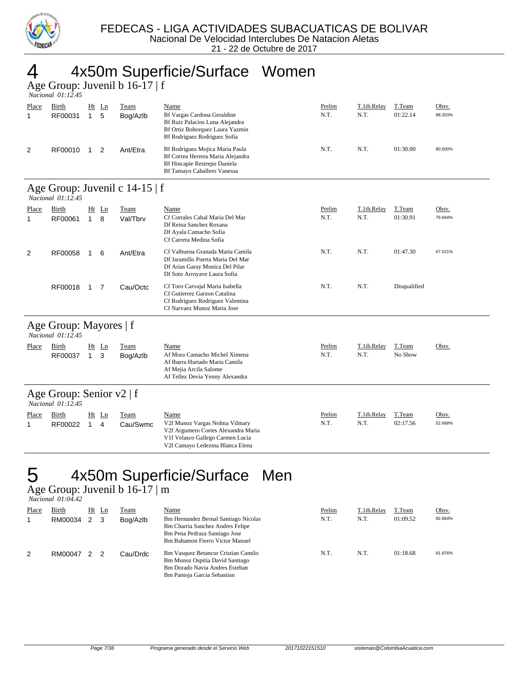

#### 4 4x50m Superficie/Surface Women Age Group: Juvenil b 16-17 | f  *Nacional 01:12.45*  Place Birth Ht Ln Team Name Name Name Prelim T.1th.Relay T.Team Obsv.<br>1 RF00031 1 5 Boo/Azlb Bf Vargas Cardona Geraldine N.T. N.T. 01:22.14 88.2039 1 RF00031 1 5 Bog/Azlb Bf Vargas Cardona Geraldine N.T. N.T. 01:22.14 88.203% Bf Ruiz Palacios Luna Alejandra Bf Ortiz Bohorquez Laura Yazmin Bf Rodriguez Rodriguez Sofia 2 RF00010 1 2 Ant/Etra Bf Rodriguez Mojica Maria Paula N.T. N.T. 01:30.00 80.500% Bf Correa Herrera Maria Alejandra Bf Hincapie Restrepo Daniela Bf Tamayo Caballero Vanessa Age Group: Juvenil c 14-15 | f  *Nacional 01:12.45*  Place Birth Ht Ln Team Name Name And Hereim T.1th.Relay T.Team Obsv. 1 RF00061 1 8 Val/Tbrv Cf Corrales Cabal Maria Del Mar N.T. N.T. 01:30.91 79.694% Df Reina Sanchez Roxana Df Ayala Camacho Sofia Cf Carrera Medina Sofia 2 RF00058 1 6 Ant/Etra Cf Valbuena Granada Maria Camila N.T. N.T. 01:47.30 67.521% Df Jaramillo Puerta Maria Del Mar Df Arias Garay Monica Del Pilar Df Soto Arroyave Laura Sofia RF00018 1 7 Cau/Octc Cf Toro Carvajal Maria Isabella N.T. N.T. Disqualified Cf Gutierrez Garzon Catalina Cf Rodriguez Rodriguez Valentina Cf Narvaez Munoz Maria Jose Age Group: Mayores | f  *Nacional 01:12.45*  Place Birth Ht Ln Team Name Name And Charles Prelim T.1th.Relay T.Team Obsv. RF00037 1 3 Bog/Azlb Af Mora Camacho Michel Ximena N.T. N.T. N.T. No Show Af Ibarra Hurtado Maria Camila Af Mejia Arcila Salome Af Tellez Devia Yenny Alexandra Age Group: Senior v2 | f  *Nacional 01:12.45*  Place Birth Ht Ln Team Name Name And Hereim T.1th.Relay T.Team Obsv. 1 RF00022 1 4 Cau/Swmc V2f Munoz Vargas Nolma Vilmary M.T. N.T. 02:17.56 52.668% V2f Argumero Cortes Alexandra Maria V1f Velasco Gallego Carmen Lucia

V2f Camayo Ledezma Blanca Elena

# 5 4x50m Superficie/Surface Men

Age Group: Juvenil b 16-17 | m  *Nacional 01:04.42* 

| Place<br>1 | Birth<br>RM00034 | 2 | Ht Ln<br>-3 | Team<br>Bog/Azlb | Name<br>Bm Hernandez Bernal Santiago Nicolas<br><b>Bm Charria Sanchez Andres Felipe</b><br>Bm Pena Pedraza Santiago Jose<br><b>Bm Bahamon Fierro Victor Manuel</b> | Prelim<br>N.T. | T.1th.Relay<br>N.T. | T.Team<br>01:09.52 | Obsv.<br>92.664% |
|------------|------------------|---|-------------|------------------|--------------------------------------------------------------------------------------------------------------------------------------------------------------------|----------------|---------------------|--------------------|------------------|
| 2          | RM00047          | 2 | - 2         | Cau/Drdc         | Bm Vasquez Betancur Cristian Camilo<br>Bm Munoz Ospitia David Santiago<br>Bm Dorado Navia Andres Esteban<br>Bm Pantoja Garcia Sebastian                            | N.T.           | N.T.                | 01:18.68           | 81.876%          |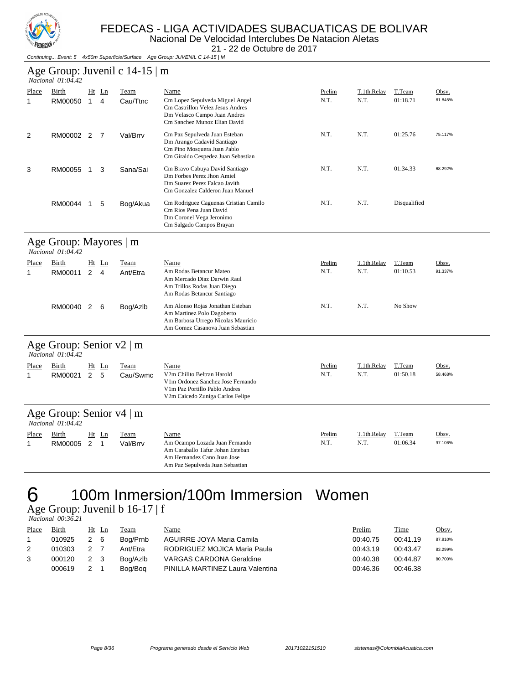

#### FEDECAS - LIGA ACTIVIDADES SUBACUATICAS DE BOLIVAR Nacional De Velocidad Interclubes De Natacion Aletas

21 - 22 de Octubre de 2017

Continuing... Event: 5 4x50m Superficie/Surface Age Group: JUVENIL C 14-15 | M

## Age Group: Juvenil c 14-15 | m

|                       | Nacional 01:04.42                                  |                   |                    |                  |                                                                                                                                              |                |                     |                    |                  |
|-----------------------|----------------------------------------------------|-------------------|--------------------|------------------|----------------------------------------------------------------------------------------------------------------------------------------------|----------------|---------------------|--------------------|------------------|
| Place<br>1            | Birth<br>RM00050                                   | Ht<br>$\mathbf 1$ | Ln<br>4            | Team<br>Cau/Ttnc | Name<br>Cm Lopez Sepulveda Miguel Angel<br>Cm Castrillon Velez Jesus Andres<br>Dm Velasco Campo Juan Andres<br>Cm Sanchez Munoz Elian David  | Prelim<br>N.T. | T.1th.Relay<br>N.T. | T.Team<br>01:18.71 | Obsv.<br>81.845% |
| 2                     | RM00002 2                                          |                   | 7                  | Val/Brrv         | Cm Paz Sepulveda Juan Esteban<br>Dm Arango Cadavid Santiago<br>Cm Pino Mosquera Juan Pablo<br>Cm Giraldo Cespedez Juan Sebastian             | N.T.           | N.T.                | 01:25.76           | 75.117%          |
| 3                     | RM00055                                            | $\overline{1}$    | 3                  | Sana/Sai         | Cm Bravo Cabuya David Santiago<br>Dm Forbes Perez Jhon Amiel<br>Dm Suarez Perez Falcao Javith<br>Cm Gonzalez Calderon Juan Manuel            | N.T.           | N.T.                | 01:34.33           | 68.292%          |
|                       | RM00044 1                                          |                   | 5                  | Bog/Akua         | Cm Rodriguez Caguenas Cristian Camilo<br>Cm Rios Pena Juan David<br>Dm Coronel Vega Jeronimo<br>Cm Salgado Campos Brayan                     | N.T.           | N.T.                | Disqualified       |                  |
|                       | Age Group: Mayores   m<br>Nacional 01:04.42        |                   |                    |                  |                                                                                                                                              |                |                     |                    |                  |
| Place<br>$\mathbf{1}$ | Birth<br>RM00011                                   | 2                 | Ht Ln<br>4         | Team<br>Ant/Etra | Name<br>Am Rodas Betancur Mateo<br>Am Mercado Diaz Darwin Raul<br>Am Trillos Rodas Juan Diego<br>Am Rodas Betancur Santiago                  | Prelim<br>N.T. | T.1th.Relay<br>N.T. | T.Team<br>01:10.53 | Obsv.<br>91.337% |
|                       | RM00040                                            | $\overline{2}$    | 6                  | Bog/Azlb         | Am Alonso Rojas Jonathan Esteban<br>Am Martinez Polo Dagoberto<br>Am Barbosa Urrego Nicolas Mauricio<br>Am Gomez Casanova Juan Sebastian     | N.T.           | N.T.                | No Show            |                  |
|                       | Age Group: Senior $v2 \mid m$<br>Nacional 01:04.42 |                   |                    |                  |                                                                                                                                              |                |                     |                    |                  |
| Place<br>$\mathbf{1}$ | Birth<br>RM00021                                   | $\overline{2}$    | Ht Ln<br>5         | Team<br>Cau/Swmc | Name<br>V2m Chilito Beltran Harold<br>V1m Ordonez Sanchez Jose Fernando<br>V1m Paz Portillo Pablo Andres<br>V2m Caicedo Zuniga Carlos Felipe | Prelim<br>N.T. | T.1th.Relay<br>N.T. | T.Team<br>01:50.18 | Obsv.<br>58.468% |
|                       | Age Group: Senior $v4 \mid m$<br>Nacional 01:04.42 |                   |                    |                  |                                                                                                                                              |                |                     |                    |                  |
| Place<br>$\mathbf{1}$ | Birth<br>RM00005                                   | Ht<br>2           | Ln<br>$\mathbf{1}$ | Team<br>Val/Brrv | Name<br>Am Ocampo Lozada Juan Fernando<br>Am Caraballo Tafur Johan Esteban<br>Am Hernandez Cano Juan Jose<br>Am Paz Sepulveda Juan Sebastian | Prelim<br>N.T. | T.1th.Relay<br>N.T. | T.Team<br>01:06.34 | Obsv.<br>97.106% |

# 100m Inmersion/100m Immersion Women

Age Group: Juvenil b 16-17 | f

| <i>Nacional</i> 00:36.21 |  |
|--------------------------|--|

| Place | Birth  | Ht Ln | Team     | <u>Name</u>                      | Prelim   | Time     | Obsv.   |
|-------|--------|-------|----------|----------------------------------|----------|----------|---------|
|       | 010925 | 2 6   | Boa/Prnb | AGUIRRE JOYA Maria Camila        | 00:40.75 | 00:41.19 | 87.910% |
| 2     | 010303 | 2 7   | Ant/Etra | RODRIGUEZ MOJICA Maria Paula     | 00:43.19 | 00:43.47 | 83.299% |
|       | 000120 | 2 3   | Bog/Azlb | VARGAS CARDONA Geraldine         | 00:40.38 | 00:44.87 | 80.700% |
|       | 000619 |       | Bog/Bog  | PINILLA MARTINEZ Laura Valentina | 00:46.36 | 00:46.38 |         |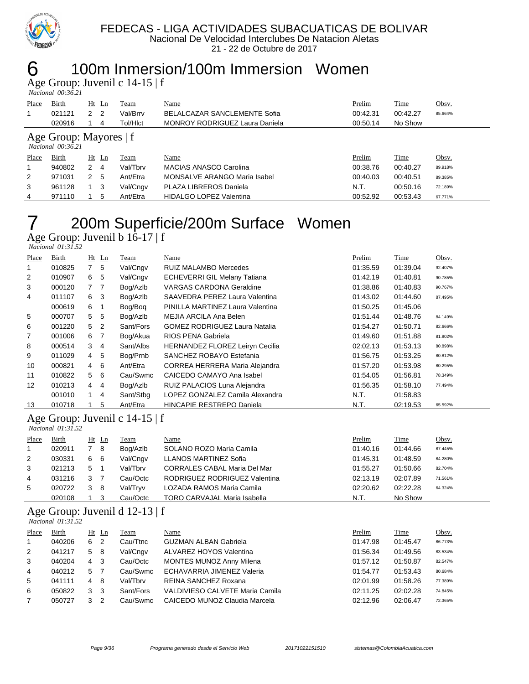

## 100m Inmersion/100m Immersion Women

Age Group: Juvenil c 14-15 | f

 *Nacional 00:36.21* 

| Place<br>1  | <b>Birth</b><br>021121<br>020916             | 2 <sub>2</sub> | $Ht$ Ln<br>4 | <b>Team</b><br>Val/Brrv<br>Tol/HIct | Name<br>BELALCAZAR SANCLEMENTE Sofia<br><b>MONROY RODRIGUEZ Laura Daniela</b> | Prelim<br>00:42.31<br>00:50.14 | Time<br>00:42.27<br>No Show | Obsv.<br>85.664% |  |
|-------------|----------------------------------------------|----------------|--------------|-------------------------------------|-------------------------------------------------------------------------------|--------------------------------|-----------------------------|------------------|--|
|             | Age Group: Mayores   f<br>Nacional $00.3621$ |                |              |                                     |                                                                               |                                |                             |                  |  |
| Place       | Birth                                        |                | Ht Ln        | Team                                | Name                                                                          | Prelim                         | Time                        | Obsv.            |  |
| $\mathbf 1$ | 940802                                       | 2              | 4            | Val/Tbrv                            | MACIAS ANASCO Carolina                                                        | 00:38.76                       | 00:40.27                    | 89.918%          |  |
| 2           | 971031                                       | $\mathcal{P}$  | 5            | Ant/Etra                            | MONSALVE ARANGO Maria Isabel                                                  | 00:40.03                       | 00:40.51                    | 89.385%          |  |
| 3           | 961128                                       |                | -3           | Val/Cngv                            | PLAZA LIBREROS Daniela                                                        | N.T.                           | 00:50.16                    | 72.189%          |  |
| 4           | 971110                                       |                | 5            | Ant/Etra                            | <b>HIDALGO LOPEZ Valentina</b>                                                | 00:52.92                       | 00:53.43                    | 67.771%          |  |

## 200m Superficie/200m Surface Women

Age Group: Juvenil b 16-17 | f

 *Nacional 01:31.52* 

| Place | Birth  |                | $Ht$ Ln        | Team      | Name                                   | Prelim   | Time     | Obsv.   |
|-------|--------|----------------|----------------|-----------|----------------------------------------|----------|----------|---------|
| 1     | 010825 | $\overline{7}$ | 5              | Val/Cngv  | <b>RUIZ MALAMBO Mercedes</b>           | 01:35.59 | 01:39.04 | 92.407% |
| 2     | 010907 | 6              | 5              | Val/Cngv  | <b>ECHEVERRI GIL Melany Tatiana</b>    | 01:42.19 | 01:40.81 | 90.785% |
| 3     | 000120 | $7^{\circ}$    | - 7            | Bog/Azlb  | <b>VARGAS CARDONA Geraldine</b>        | 01:38.86 | 01:40.83 | 90.767% |
| 4     | 011107 | 6              | 3              | Bog/Azlb  | SAAVEDRA PEREZ Laura Valentina         | 01:43.02 | 01:44.60 | 87.495% |
|       | 000619 | 6              |                | Bog/Bog   | PINILLA MARTINEZ Laura Valentina       | 01:50.25 | 01:45.06 |         |
| 5     | 000707 | 5              | 5              | Bog/Azlb  | MEJIA ARCILA Ana Belen                 | 01:51.44 | 01:48.76 | 84.149% |
| 6     | 001220 | 5              | 2              | Sant/Fors | <b>GOMEZ RODRIGUEZ Laura Natalia</b>   | 01:54.27 | 01:50.71 | 82.666% |
| 7     | 001006 | 6              | $\overline{7}$ | Bog/Akua  | RIOS PENA Gabriela                     | 01:49.60 | 01:51.88 | 81.802% |
| 8     | 000514 | 3              | 4              | Sant/Albs | <b>HERNANDEZ FLOREZ Leiryn Cecilia</b> | 02:02.13 | 01:53.13 | 80.898% |
| 9     | 011029 | 4              | 5              | Bog/Prnb  | SANCHEZ ROBAYO Estefania               | 01:56.75 | 01:53.25 | 80.812% |
| 10    | 000821 | 4              | 6              | Ant/Etra  | CORREA HERRERA Maria Alejandra         | 01:57.20 | 01:53.98 | 80.295% |
| 11    | 010822 | 5              | 6              | Cau/Swmc  | CAICEDO CAMAYO Ana Isabel              | 01:54.05 | 01:56.81 | 78.349% |
| 12    | 010213 | 4              | 4              | Bog/Azlb  | RUIZ PALACIOS Luna Alejandra           | 01:56.35 | 01:58.10 | 77.494% |
|       | 001010 | 1              | $\overline{4}$ | Sant/Stbg | LOPEZ GONZALEZ Camila Alexandra        | N.T.     | 01:58.83 |         |
| 13    | 010718 |                | 5              | Ant/Etra  | <b>HINCAPIE RESTREPO Daniela</b>       | N.T.     | 02:19.53 | 65.592% |

#### Age Group: Juvenil c 14-15 | f  *Nacional 01:31.52*

| Place | Birth  | $Ht$ Ln |     | Team     | Name                                | Prelim   | Time     | Obsv.   |
|-------|--------|---------|-----|----------|-------------------------------------|----------|----------|---------|
|       | 020911 | - 8     |     | Bog/Azlb | SOLANO ROZO Maria Camila            | 01:40.16 | 01:44.66 | 87.445% |
| 2     | 030331 | 6       | - 6 | Val/Cngv | <b>LLANOS MARTINEZ Sofia</b>        | 01:45.31 | 01:48.59 | 84.280% |
| 3     | 021213 | 5       |     | Val/Tbrv | <b>CORRALES CABAL Maria Del Mar</b> | 01:55.27 | 01:50.66 | 82.704% |
| 4     | 031216 | 3       |     | Cau/Octc | RODRIGUEZ RODRIGUEZ Valentina       | 02:13.19 | 02:07.89 | 71.561% |
| 5     | 020722 | 3       | 8   | Val/Tryv | LOZADA RAMOS Maria Camila           | 02:20.62 | 02:22.28 | 64.324% |
|       | 020108 |         | 3   | Cau/Octc | <b>TORO CARVAJAL Maria Isabella</b> | N.T.     | No Show  |         |

## Age Group: Juvenil d 12-13 | f

 *Nacional 01:31.52* 

| Place        | Birth  |    | $Ht$ Ln | Team      | Name                            | Prelim   | <b>Time</b> | Obsv.   |
|--------------|--------|----|---------|-----------|---------------------------------|----------|-------------|---------|
| $\mathbf{1}$ | 040206 | 6  | -2      | Cau/Ttnc  | <b>GUZMAN ALBAN Gabriela</b>    | 01:47.98 | 01:45.47    | 86.773% |
| 2            | 041217 | 5  | - 8     | Val/Cngv  | ALVAREZ HOYOS Valentina         | 01:56.34 | 01:49.56    | 83.534% |
| 3            | 040204 | 4  | -3      | Cau/Octc  | <b>MONTES MUNOZ Anny Milena</b> | 01:57.12 | 01:50.87    | 82.547% |
| 4            | 040212 | 5. |         | Cau/Swmc  | ECHAVARRIA JIMENEZ Valeria      | 01:54.77 | 01:53.43    | 80.684% |
| 5            | 041111 | 4  | -8      | Val/Tbrv  | REINA SANCHEZ Roxana            | 02:01.99 | 01:58.26    | 77.389% |
| 6            | 050822 | 3  | 3       | Sant/Fors | VALDIVIESO CALVETE Maria Camila | 02:11.25 | 02:02.28    | 74.845% |
|              | 050727 | 3  | 2       | Cau/Swmc  | CAICEDO MUNOZ Claudia Marcela   | 02:12.96 | 02:06.47    | 72.365% |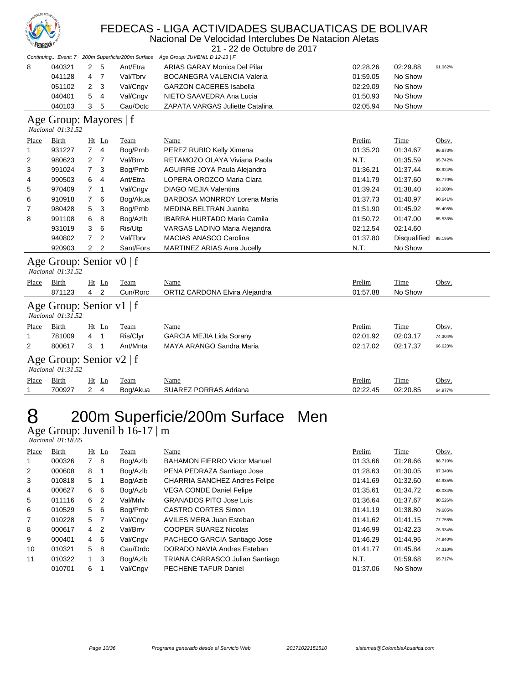

Nacional De Velocidad Interclubes De Natacion Aletas

| <b>A CULCIAN</b>                            |                                                            |                |                |                                                  | 21 - 22 de Octubre de 2017          |          |              |         |
|---------------------------------------------|------------------------------------------------------------|----------------|----------------|--------------------------------------------------|-------------------------------------|----------|--------------|---------|
|                                             |                                                            |                |                | Continuing Event: 7 200m Superficie/200m Surface | Age Group: JUVENIL D 12-13   F      |          |              |         |
| 8                                           | 040321                                                     | $\overline{2}$ | 5              | Ant/Etra                                         | <b>ARIAS GARAY Monica Del Pilar</b> | 02:28.26 | 02:29.88     | 61.062% |
|                                             | 041128                                                     | 4              | $\overline{7}$ | Val/Tbrv                                         | <b>BOCANEGRA VALENCIA Valeria</b>   | 01:59.05 | No Show      |         |
|                                             | 051102                                                     | 2              | 3              | Val/Cngv                                         | <b>GARZON CACERES Isabella</b>      | 02:29.09 | No Show      |         |
|                                             | 040401                                                     | 5              | 4              | Val/Cngv                                         | NIETO SAAVEDRA Ana Lucia            | 01:50.93 | No Show      |         |
|                                             | 040103                                                     | 3              | 5              | Cau/Octc                                         | ZAPATA VARGAS Juliette Catalina     | 02:05.94 | No Show      |         |
| Age Group: Mayores   f<br>Nacional 01:31.52 |                                                            |                |                |                                                  |                                     |          |              |         |
| Place                                       | Birth                                                      |                | $Ht$ Ln        | Team                                             | Name                                | Prelim   | Time         | Obsv.   |
| 1                                           | 931227                                                     | $7^{\circ}$    | 4              | Bog/Prnb                                         | PEREZ RUBIO Kelly Ximena            | 01:35.20 | 01:34.67     | 96.673% |
| 2                                           | 980623                                                     |                | 2 <sub>7</sub> | Val/Brrv                                         | RETAMOZO OLAYA Viviana Paola        | N.T.     | 01:35.59     | 95.742% |
| 3                                           | 991024                                                     | $\overline{7}$ | 3              | Bog/Prnb                                         | AGUIRRE JOYA Paula Alejandra        | 01:36.21 | 01:37.44     | 93.924% |
| 4                                           | 990503                                                     | 6              | $\overline{4}$ | Ant/Etra                                         | LOPERA OROZCO Maria Clara           | 01:41.79 | 01:37.60     | 93.770% |
| 5                                           | 970409                                                     | 7              | $\overline{1}$ | Val/Cngv                                         | <b>DIAGO MEJIA Valentina</b>        | 01:39.24 | 01:38.40     | 93.008% |
| 6                                           | 910918                                                     | 7              | 6              | Bog/Akua                                         | <b>BARBOSA MONRROY Lorena Maria</b> | 01:37.73 | 01:40.97     | 90.641% |
| 7                                           | 980428                                                     | 5              | 3              | Bog/Prnb                                         | MEDINA BELTRAN Juanita              | 01:51.90 | 01:45.92     | 86.405% |
| 8                                           | 991108                                                     | 6              | 8              | Bog/Azlb                                         | <b>IBARRA HURTADO Maria Camila</b>  | 01:50.72 | 01:47.00     | 85.533% |
|                                             | 931019                                                     | 3              | 6              | Ris/Utp                                          | VARGAS LADINO Maria Alejandra       | 02:12.54 | 02:14.60     |         |
|                                             | 940802                                                     | 7              | $\overline{2}$ | Val/Tbrv                                         | MACIAS ANASCO Carolina              | 01:37.80 | Disqualified | 95.195% |
|                                             | 920903                                                     | $\overline{2}$ | $\overline{2}$ | Sant/Fors                                        | <b>MARTINEZ ARIAS Aura Jucelly</b>  | N.T.     | No Show      |         |
|                                             | Age Group: Senior v0   f<br>Nacional $01:3\overline{1}.52$ |                |                |                                                  |                                     |          |              |         |
| Place                                       | Birth                                                      |                | $Ht$ Ln        | Team                                             | Name                                | Prelim   | Time         | Obsv.   |
|                                             | 871123                                                     |                | 4 <sup>2</sup> | Cun/Rorc                                         | ORTIZ CARDONA Elvira Alejandra      | 01:57.88 | No Show      |         |
|                                             | Age Group: Senior $v1 \mid f$<br>Nacional 01:31.52         |                |                |                                                  |                                     |          |              |         |
| Place                                       | <b>Birth</b>                                               |                | Ht Ln          | Team                                             | Name                                | Prelim   | <b>Time</b>  | Obsv.   |
|                                             | 781009                                                     | 4              | $\mathbf{1}$   | Ris/Clyr                                         | <b>GARCIA MEJIA Lida Sorany</b>     | 02:01.92 | 02:03.17     | 74.304% |
| 2                                           | 800617                                                     | 3              | $\mathbf{1}$   | Ant/Mnta                                         | MAYA ARANGO Sandra Maria            | 02:17.02 | 02:17.37     | 66.623% |
|                                             | Age Group: Senior v2   f<br>Nacional 01:31.52              |                |                |                                                  |                                     |          |              |         |
| Place                                       | Birth                                                      |                | $Ht$ Ln        | Team                                             | Name                                | Prelim   | Time         | Obsv.   |
| 1                                           | 700927                                                     | $\mathbf{2}$   | $\overline{4}$ | Bog/Akua                                         | SUAREZ PORRAS Adriana               | 02:22.45 | 02:20.85     | 64.977% |

# 200m Superficie/200m Surface Men

Age Group: Juvenil b 16-17 | m

 *Nacional 01:18.65* 

| Place | Birth  |             | $Ht$ Ln        | Team     | Name                                 | Prelim   | Time     | Obsv.   |
|-------|--------|-------------|----------------|----------|--------------------------------------|----------|----------|---------|
| 1     | 000326 | 7           | - 8            | Bog/Azlb | <b>BAHAMON FIERRO Victor Manuel</b>  | 01:33.66 | 01:28.66 | 88.710% |
| 2     | 000608 | 8           |                | Bog/Azlb | PENA PEDRAZA Santiago Jose           | 01:28.63 | 01:30.05 | 87.340% |
| 3     | 010818 | 5           |                | Bog/Azlb | <b>CHARRIA SANCHEZ Andres Felipe</b> | 01:41.69 | 01:32.60 | 84.935% |
| 4     | 000627 | 6           | - 6            | Bog/Azlb | <b>VEGA CONDE Daniel Felipe</b>      | 01:35.61 | 01:34.72 | 83.034% |
| 5     | 011116 | 6           | -2             | Val/Mrlv | <b>GRANADOS PITO Jose Luis</b>       | 01:36.64 | 01:37.67 | 80.526% |
| 6     | 010529 | 5           | - 6            | Bog/Prnb | CASTRO CORTES Simon                  | 01:41.19 | 01:38.80 | 79.605% |
| 7     | 010228 | 5           | $\overline{7}$ | Val/Cngv | AVILES MERA Juan Esteban             | 01:41.62 | 01:41.15 | 77.756% |
| 8     | 000617 | 4           | $\overline{2}$ | Val/Brrv | <b>COOPER SUAREZ Nicolas</b>         | 01:46.99 | 01:42.23 | 76.934% |
| 9     | 000401 | 4 6         |                | Val/Cngv | PACHECO GARCIA Santiago Jose         | 01:46.29 | 01:44.95 | 74.940% |
| 10    | 010321 | 5           | -8             | Cau/Drdc | DORADO NAVIA Andres Esteban          | 01:41.77 | 01:45.84 | 74.310% |
| 11    | 010322 | $1 \quad 3$ |                | Bog/Azlb | TRIANA CARRASCO Julian Santiago      | N.T.     | 01:59.68 | 65.717% |
|       | 010701 | 6           |                | Val/Cngv | PECHENE TAFUR Daniel                 | 01:37.06 | No Show  |         |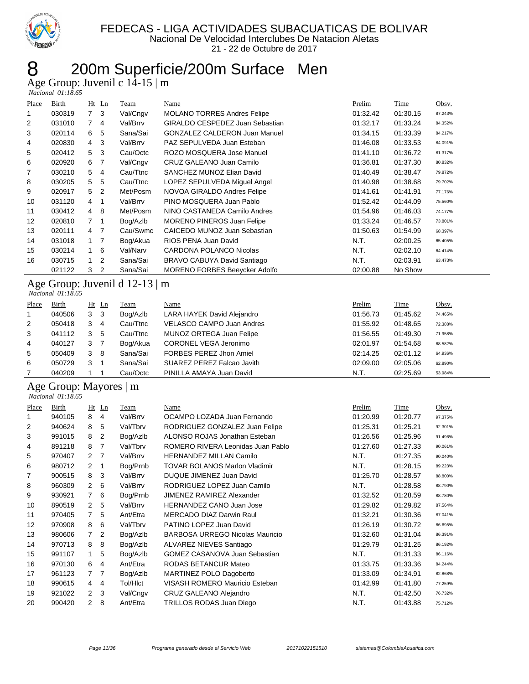

# 200m Superficie/200m Surface Men

Age Group: Juvenil c 14-15 | m

| <i>Nacional 01:18.65</i> |
|--------------------------|

| Place | <b>Birth</b>      | $Ht$ Ln        |                          | <b>Team</b>                    | <b>Name</b>                                | Prelim    | Time          | Obsv.   |
|-------|-------------------|----------------|--------------------------|--------------------------------|--------------------------------------------|-----------|---------------|---------|
|       | 030319            | 7 <sub>3</sub> |                          | Val/Cngv                       | <b>MOLANO TORRES Andres Felipe</b>         | 01:32.42  | 01:30.15      | 87.243% |
| 2     | 031010            | 7 <sub>4</sub> |                          | Val/Brrv                       | GIRALDO CESPEDEZ Juan Sebastian            | 01:32.17  | 01:33.24      | 84.352% |
| 3     | 020114            | 6              | -5                       | Sana/Sai                       | <b>GONZALEZ CALDERON Juan Manuel</b>       | 01:34.15  | 01:33.39      | 84.217% |
| 4     | 020830            | 4              | 3                        | Val/Brrv                       | PAZ SEPULVEDA Juan Esteban                 | 01:46.08  | 01:33.53      | 84.091% |
| 5     | 020412            | 5              | 3                        | Cau/Octc                       | ROZO MOSQUERA Jose Manuel                  | 01:41.10  | 01:36.72      | 81.317% |
| 6     | 020920            | 6              | - 7                      | Val/Cngv                       | CRUZ GALEANO Juan Camilo                   | 01:36.81  | 01:37.30      | 80.832% |
| 7     | 030210            | 5              | 4                        | Cau/Ttnc                       | SANCHEZ MUNOZ Elian David                  | 01:40.49  | 01:38.47      | 79.872% |
| 8     | 030205            | 5              | 5                        | Cau/Ttnc                       | LOPEZ SEPULVEDA Miguel Angel               | 01:40.98  | 01:38.68      | 79.702% |
| 9     | 020917            | 5              | $\overline{2}$           | Met/Posm                       | NOVOA GIRALDO Andres Felipe                | 01:41.61  | 01:41.91      | 77.176% |
| 10    | 031120            | $\overline{4}$ | $\overline{\phantom{0}}$ | Val/Brrv                       | PINO MOSQUERA Juan Pablo                   | 01:52.42  | 01:44.09      | 75.560% |
| 11    | 030412            | 4 8            |                          | Met/Posm                       | NINO CASTANEDA Camilo Andres               | 01:54.96  | 01:46.03      | 74.177% |
| 12    | 020810            | 7 <sub>1</sub> |                          | Bog/Azlb                       | MORENO PINEROS Juan Felipe                 | 01:33.24  | 01:46.57      | 73.801% |
| 13    | 020111            | 4 7            |                          | Cau/Swmc                       | CAICEDO MUNOZ Juan Sebastian               | 01:50.63  | 01:54.99      | 68.397% |
| 14    | 031018            |                | 7                        | Bog/Akua                       | RIOS PENA Juan David                       | N.T.      | 02:00.25      | 65.405% |
| 15    | 030214            | $\mathbf{1}$   | 6                        | Val/Narv                       | <b>CARDONA POLANCO Nicolas</b>             | N.T.      | 02:02.10      | 64.414% |
| 16    | 030715            | $\mathbf{1}$   | 2                        | Sana/Sai                       | BRAVO CABUYA David Santiago                | N.T.      | 02:03.91      | 63.473% |
|       | 021122            | 3              | 2                        | Sana/Sai                       | <b>MORENO FORBES Beeycker Adolfo</b>       | 02:00.88  | No Show       |         |
|       | Nacional 01:18.65 |                |                          | Age Group: Juvenil d 12-13   m |                                            |           |               |         |
| Place | Birth             | $Ht$ Ln        |                          | Team                           | Name                                       | Prelim    | Time          | Obsv.   |
|       | 0.10500           | $\sim$         | $\sim$                   | $P_1 = 10$                     | $1.404$ $114$ $2772$ $33.41$ $13.7$ $13.7$ | 0.4, 0.70 | $0.4$ $15.00$ | ------- |

|                | 040506 | 3 <sub>3</sub> |    | Bog/Azlb | LARA HAYEK David Alejandro | 01:56.73 | 01:45.62 | 74.465% |
|----------------|--------|----------------|----|----------|----------------------------|----------|----------|---------|
| 2              | 050418 |                | 4  | Cau/Ttnc | VELASCO CAMPO Juan Andres  | 01:55.92 | 01:48.65 | 72.388% |
| 3              | 041112 |                | -5 | Cau/Ttnc | MUNOZ ORTEGA Juan Felipe   | 01:56.55 | 01:49.30 | 71.958% |
| $\overline{4}$ | 040127 |                |    | Bog/Akua | CORONEL VEGA Jeronimo      | 02:01.97 | 01:54.68 | 68.582% |
| -5             | 050409 | 3              | -8 | Sana/Sai | FORBES PEREZ Jhon Amiel    | 02:14.25 | 02:01.12 | 64.936% |
| 6              | 050729 | 3              |    | Sana/Sai | SUAREZ PEREZ Falcao Javith | 02:09.00 | 02:05.06 | 62.890% |
|                | 040209 |                |    | Cau/Octc | PINILLA AMAYA Juan David   | N.T.     | 02:25.69 | 53.984% |

## Age Group: Mayores | m

 *Nacional 01:18.65* 

| Place | Birth  | Ht             | Ln             | Team     | Name                                   | Prelim   | Time     | Obsv.   |
|-------|--------|----------------|----------------|----------|----------------------------------------|----------|----------|---------|
|       | 940105 | 8              | 4              | Val/Brrv | OCAMPO LOZADA Juan Fernando            | 01:20.99 | 01:20.77 | 97.375% |
| 2     | 940624 | 8              | 5              | Val/Tbrv | RODRIGUEZ GONZALEZ Juan Felipe         | 01:25.31 | 01:25.21 | 92.301% |
| 3     | 991015 | 8              | $\overline{2}$ | Bog/Azlb | ALONSO ROJAS Jonathan Esteban          | 01:26.56 | 01:25.96 | 91.496% |
| 4     | 891218 | 8              | 7              | Val/Tbrv | ROMERO RIVERA Leonidas Juan Pablo      | 01:27.60 | 01:27.33 | 90.061% |
| 5     | 970407 | $\overline{2}$ | 7              | Val/Brrv | <b>HERNANDEZ MILLAN Camilo</b>         | N.T.     | 01:27.35 | 90.040% |
| 6     | 980712 | $\mathcal{P}$  | 1              | Bog/Prnb | <b>TOVAR BOLANOS Marlon Vladimir</b>   | N.T.     | 01:28.15 | 89.223% |
| 7     | 900515 | 8              | 3              | Val/Brrv | DUQUE JIMENEZ Juan David               | 01:25.70 | 01:28.57 | 88.800% |
| 8     | 960309 | $\overline{2}$ | 6              | Val/Brrv | RODRIGUEZ LOPEZ Juan Camilo            | N.T.     | 01:28.58 | 88.790% |
| 9     | 930921 | $\overline{7}$ | 6              | Bog/Prnb | <b>JIMENEZ RAMIREZ Alexander</b>       | 01:32.52 | 01:28.59 | 88.780% |
| 10    | 890519 | $\overline{2}$ | 5              | Val/Brrv | <b>HERNANDEZ CANO Juan Jose</b>        | 01:29.82 | 01:29.82 | 87.564% |
| 11    | 970405 | $\overline{7}$ | 5              | Ant/Etra | <b>MERCADO DIAZ Darwin Raul</b>        | 01:32.21 | 01:30.36 | 87.041% |
| 12    | 970908 | 8              | 6              | Val/Tbrv | PATINO LOPEZ Juan David                | 01:26.19 | 01:30.72 | 86.695% |
| 13    | 980606 | $\overline{7}$ | 2              | Bog/Azlb | <b>BARBOSA URREGO Nicolas Mauricio</b> | 01:32.60 | 01:31.04 | 86.391% |
| 14    | 970713 | 8              | 8              | Bog/Azlb | ALVAREZ NIEVES Santiago                | 01:29.79 | 01:31.25 | 86.192% |
| 15    | 991107 | 1              | 5              | Bog/Azlb | <b>GOMEZ CASANOVA Juan Sebastian</b>   | N.T.     | 01:31.33 | 86.116% |
| 16    | 970130 | 6              | 4              | Ant/Etra | RODAS BETANCUR Mateo                   | 01:33.75 | 01:33.36 | 84.244% |
| 17    | 961123 | $\overline{7}$ | $\overline{7}$ | Bog/Azlb | MARTINEZ POLO Dagoberto                | 01:33.09 | 01:34.91 | 82.868% |
| 18    | 990615 | 4              | 4              | Tol/Hict | VISASH ROMERO Mauricio Esteban         | 01:42.99 | 01:41.80 | 77.259% |
| 19    | 921022 | $\mathcal{P}$  | 3              | Val/Cngv | CRUZ GALEANO Alejandro                 | N.T.     | 01:42.50 | 76.732% |
| 20    | 990420 | $\overline{2}$ | 8              | Ant/Etra | TRILLOS RODAS Juan Diego               | N.T.     | 01:43.88 | 75.712% |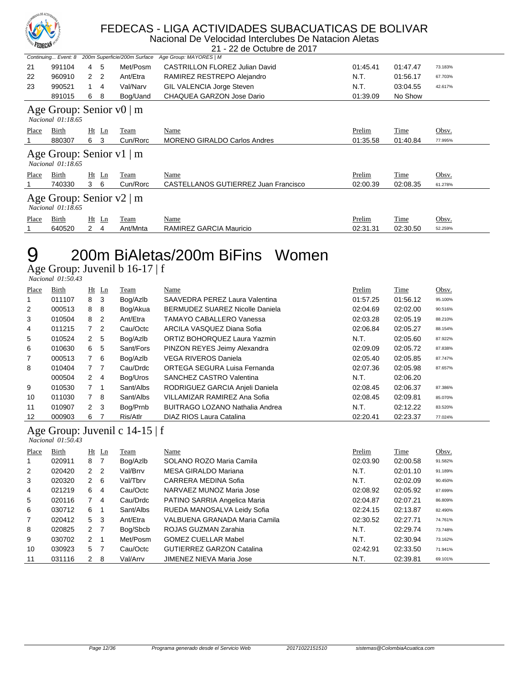

Nacional De Velocidad Interclubes De Natacion Aletas 21 - 22 de Octubre de 2017

|              |                                                    |                |                |                              | ZZ UC OCIUDIC UC ZUTI                 |          |          |         |  |  |
|--------------|----------------------------------------------------|----------------|----------------|------------------------------|---------------------------------------|----------|----------|---------|--|--|
|              | Continuing Event: 8                                |                |                | 200m Superficie/200m Surface | Age Group: MAYORES   M                |          |          |         |  |  |
| 21           | 991104                                             | 4              | 5              | Met/Posm                     | <b>CASTRILLON FLOREZ Julian David</b> | 01:45.41 | 01:47.47 | 73.183% |  |  |
| 22           | 960910                                             | $\overline{2}$ | 2              | Ant/Etra                     | RAMIREZ RESTREPO Alejandro            | N.T.     | 01:56.17 | 67.703% |  |  |
| 23           | 990521                                             |                | 4              | Val/Narv                     | GIL VALENCIA Jorge Steven             | N.T.     | 03:04.55 | 42.617% |  |  |
|              | 891015                                             | 6              | -8             | Bog/Uand                     | CHAQUEA GARZON Jose Dario             | 01:39.09 | No Show  |         |  |  |
|              | Age Group: Senior v0   m<br>Nacional 01:18.65      |                |                |                              |                                       |          |          |         |  |  |
| <b>Place</b> | Birth                                              |                | $Ht$ Ln        | Team                         | Name                                  | Prelim   | Time     | Obsv.   |  |  |
|              | 880307                                             | 6              | -3             | Cun/Rorc                     | <b>MORENO GIRALDO Carlos Andres</b>   | 01:35.58 | 01:40.84 | 77.995% |  |  |
|              | Age Group: Senior v1   m<br>Nacional 01:18.65      |                |                |                              |                                       |          |          |         |  |  |
| Place        | Birth                                              | Ht             | $\mathbf{L}$ n | Team                         | Name                                  | Prelim   | Time     | Obsv.   |  |  |
|              | 740330                                             | 3              | -6             | Cun/Rorc                     | CASTELLANOS GUTIERREZ Juan Francisco  | 02:00.39 | 02:08.35 | 61.278% |  |  |
|              | Age Group: Senior $v2 \mid m$<br>Nacional 01:18.65 |                |                |                              |                                       |          |          |         |  |  |
| Place        | Birth                                              |                | $Ht$ Ln        | Team                         | Name                                  | Prelim   | Time     | Obsv.   |  |  |
|              | 640520                                             | 2              | 4              | Ant/Mnta                     | RAMIREZ GARCIA Mauricio               | 02:31.31 | 02:30.50 | 52.259% |  |  |

# 200m BiAletas/200m BiFins Women

Age Group: Juvenil b 16-17 | f

| Nacional 01:50.43 |
|-------------------|
|-------------------|

| Place          | Birth  | $Ht$ Ln        |                | Team      | Name                                   | Prelim   | Time     | Obsv.   |
|----------------|--------|----------------|----------------|-----------|----------------------------------------|----------|----------|---------|
|                | 011107 | 8 3            |                | Bog/Azlb  | SAAVEDRA PEREZ Laura Valentina         | 01:57.25 | 01:56.12 | 95.100% |
| 2              | 000513 | 8              | 8              | Bog/Akua  | BERMUDEZ SUAREZ Nicolle Daniela        | 02:04.69 | 02:02.00 | 90.516% |
| 3              | 010504 | 8              | $\overline{2}$ | Ant/Etra  | TAMAYO CABALLERO Vanessa               | 02:03.28 | 02:05.19 | 88.210% |
| 4              | 011215 | 7 <sup>2</sup> |                | Cau/Octc  | ARCILA VASQUEZ Diana Sofia             | 02:06.84 | 02:05.27 | 88.154% |
| 5              | 010524 | $2^{\circ}$    | -5             | Bog/Azlb  | ORTIZ BOHORQUEZ Laura Yazmin           | N.T.     | 02:05.60 | 87.922% |
| 6              | 010630 | 6              | 5              | Sant/Fors | PINZON REYES Jeimy Alexandra           | 02:09.09 | 02:05.72 | 87.838% |
| $\overline{7}$ | 000513 | $7^{\circ}$    | - 6            | Bog/Azlb  | <b>VEGA RIVEROS Daniela</b>            | 02:05.40 | 02:05.85 | 87.747% |
| 8              | 010404 | 7 <sub>7</sub> |                | Cau/Drdc  | ORTEGA SEGURA Luisa Fernanda           | 02:07.36 | 02:05.98 | 87.657% |
|                | 000504 | $\mathbf{2}$   | $\overline{4}$ | Bog/Uros  | SANCHEZ CASTRO Valentina               | N.T.     | 02:06.20 |         |
| 9              | 010530 | 7 <sub>1</sub> |                | Sant/Albs | RODRIGUEZ GARCIA Anjeli Daniela        | 02:08.45 | 02:06.37 | 87.386% |
| 10             | 011030 | $7^{\circ}$    | 8              | Sant/Albs | VILLAMIZAR RAMIREZ Ana Sofia           | 02:08.45 | 02:09.81 | 85.070% |
| 11             | 010907 | 2 <sub>3</sub> |                | Bog/Prnb  | <b>BUITRAGO LOZANO Nathalia Andrea</b> | N.T.     | 02:12.22 | 83.520% |
| 12             | 000903 | 6              |                | Ris/Atlr  | DIAZ RIOS Laura Catalina               | 02:20.41 | 02:23.37 | 77.024% |

#### Age Group: Juvenil c 14-15 | f  *Nacional 01:50.43*

| Place | Birth  |                      | $Ht$ Ln        | Team      | Name                             | Prelim   | Time     | Obsv.   |
|-------|--------|----------------------|----------------|-----------|----------------------------------|----------|----------|---------|
| 1     | 020911 | 8                    | -7             | Bog/Azlb  | SOLANO ROZO Maria Camila         | 02:03.90 | 02:00.58 | 91.582% |
| 2     | 020420 | $\overline{2}$       | $\overline{2}$ | Val/Brrv  | MESA GIRALDO Mariana             | N.T.     | 02:01.10 | 91.189% |
| 3     | 020320 | 2                    | -6             | Val/Tbrv  | CARRERA MEDINA Sofia             | N.T.     | 02:02.09 | 90.450% |
| 4     | 021219 | 6                    | 4              | Cau/Octc  | NARVAEZ MUNOZ Maria Jose         | 02:08.92 | 02:05.92 | 87.699% |
| 5     | 020116 |                      | $\overline{4}$ | Cau/Drdc  | PATINO SARRIA Angelica Maria     | 02:04.87 | 02:07.21 | 86.809% |
| 6     | 030712 | 6                    |                | Sant/Albs | RUEDA MANOSALVA Leidy Sofia      | 02:24.15 | 02:13.87 | 82.490% |
| 7     | 020412 | 5                    | -3             | Ant/Etra  | VALBUENA GRANADA Maria Camila    | 02:30.52 | 02:27.71 | 74.761% |
| 8     | 020825 | $2 \overline{7}$     |                | Bog/Sbcb  | ROJAS GUZMAN Zarahia             | N.T.     | 02:29.74 | 73.748% |
| 9     | 030702 | $\overline{2}$       |                | Met/Posm  | <b>GOMEZ CUELLAR Mabel</b>       | N.T.     | 02:30.94 | 73.162% |
| 10    | 030923 | 5                    | $\overline{7}$ | Cau/Octc  | <b>GUTIERREZ GARZON Catalina</b> | 02:42.91 | 02:33.50 | 71.941% |
| 11    | 031116 | $\mathbf{2}^{\circ}$ | -8             | Val/Arrv  | JIMENEZ NIEVA Maria Jose         | N.T.     | 02:39.81 | 69.101% |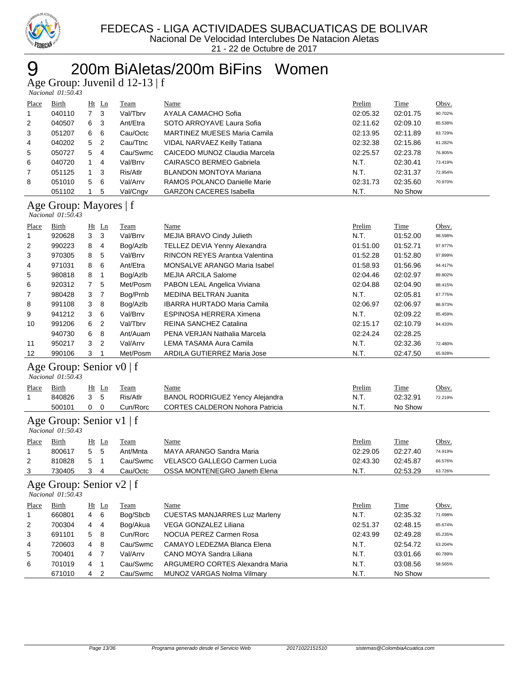

## 200m BiAletas/200m BiFins Women 9 200m BiAletas

| <i>Nacional 01:50.43</i> |  |
|--------------------------|--|

| Place        | Birth  | Ht | Ln  | Team     | <b>Name</b>                         | Prelim   | <u>Time</u> | Obsv.   |
|--------------|--------|----|-----|----------|-------------------------------------|----------|-------------|---------|
| $\mathbf{1}$ | 040110 |    | -3  | Val/Tbrv | AYALA CAMACHO Sofia                 | 02:05.32 | 02:01.75    | 90.702% |
| 2            | 040507 | 6  | -3  | Ant/Etra | SOTO ARROYAVE Laura Sofia           | 02:11.62 | 02:09.10    | 85.538% |
| 3            | 051207 | 6  | -6  | Cau/Octc | <b>MARTINEZ MUESES Maria Camila</b> | 02:13.95 | 02:11.89    | 83.729% |
| 4            | 040202 | 5  | -2  | Cau/Ttnc | VIDAL NARVAEZ Keilly Tatiana        | 02:32.38 | 02:15.86    | 81.282% |
| 5            | 050727 | 5. | -4  | Cau/Swmc | CAICEDO MUNOZ Claudia Marcela       | 02:25.57 | 02:23.78    | 76.805% |
| 6            | 040720 |    | 4   | Val/Brrv | CAIRASCO BERMEO Gabriela            | N.T.     | 02:30.41    | 73.419% |
| 7            | 051125 |    | 3   | Ris/Atlr | <b>BLANDON MONTOYA Mariana</b>      | N.T.     | 02:31.37    | 72.954% |
| 8            | 051010 | 5  | - 6 | Val/Arrv | RAMOS POLANCO Danielle Marie        | 02:31.73 | 02:35.60    | 70.970% |
|              | 051102 |    | 5   | Val/Cngv | <b>GARZON CACERES Isabella</b>      | N.T.     | No Show     |         |

### Age Group: Mayores | f

|                   | Nacional $01:50.43$ |                |                |          |                                       |          |             |         |  |  |
|-------------------|---------------------|----------------|----------------|----------|---------------------------------------|----------|-------------|---------|--|--|
| Place             | Birth               |                | $Ht$ Ln        | Team     | Name                                  | Prelim   | <b>Time</b> | Obsv.   |  |  |
| 1                 | 920628              | 3 <sub>3</sub> |                | Val/Brrv | MEJIA BRAVO Cindy Julieth             | N.T.     | 01:52.00    | 98.598% |  |  |
| 2                 | 990223              | 8              | 4              | Bog/Azlb | TELLEZ DEVIA Yenny Alexandra          | 01:51.00 | 01:52.71    | 97.977% |  |  |
| 3                 | 970305              | 8              | 5              | Val/Brrv | <b>RINCON REYES Arantxa Valentina</b> | 01:52.28 | 01:52.80    | 97.899% |  |  |
| 4                 | 971031              | 8              | 6              | Ant/Etra | MONSALVE ARANGO Maria Isabel          | 01:58.93 | 01:56.96    | 94.417% |  |  |
| 5                 | 980818              | 8              |                | Bog/Azlb | <b>MEJIA ARCILA Salome</b>            | 02:04.46 | 02:02.97    | 89.802% |  |  |
| 6                 | 920312              | $\overline{7}$ | 5              | Met/Posm | PABON LEAL Angelica Viviana           | 02:04.88 | 02:04.90    | 88.415% |  |  |
| 7                 | 980428              | 3              | $\overline{7}$ | Bog/Prnb | MEDINA BELTRAN Juanita                | N.T.     | 02:05.81    | 87.775% |  |  |
| 8                 | 991108              | 38             |                | Bog/Azlb | <b>IBARRA HURTADO Maria Camila</b>    | 02:06.97 | 02:06.97    | 86.973% |  |  |
| 9                 | 941212              | 3              | - 6            | Val/Brrv | <b>ESPINOSA HERRERA Ximena</b>        | N.T.     | 02:09.22    | 85.459% |  |  |
| 10                | 991206              | 6              | $\overline{2}$ | Val/Tbrv | <b>REINA SANCHEZ Catalina</b>         | 02:15.17 | 02:10.79    | 84.433% |  |  |
|                   | 940730              | 6              | -8             | Ant/Auam | PENA VERJAN Nathalia Marcela          | 02:24.24 | 02:28.25    |         |  |  |
| 11                | 950217              | 3              | $\overline{2}$ | Val/Arrv | LEMA TASAMA Aura Camila               | N.T.     | 02:32.36    | 72.480% |  |  |
| $12 \overline{ }$ | 990106              | 3              |                | Met/Posm | ARDILA GUTIERREZ Maria Jose           | N.T.     | 02:47.50    | 65.928% |  |  |

### Age Group: Senior v0 | f

 *Nacional 01:50.43* 

| Place | Birth                                           | Ht Ln    | Team     | <u>Name</u>                            | <u>Prelim</u> | <b>Time</b> | Obsv.   |  |  |  |  |
|-------|-------------------------------------------------|----------|----------|----------------------------------------|---------------|-------------|---------|--|--|--|--|
|       | 840826                                          | 3<br>- 5 | Ris/Atlr | <b>BANOL RODRIGUEZ Yency Alejandra</b> | N.T.          | 02:32.91    | 72.219% |  |  |  |  |
|       | 500101                                          |          | Cun/Rorc | <b>CORTES CALDERON Nohora Patricia</b> | N.T.          | No Show     |         |  |  |  |  |
|       | Age Group: Senior $v1$   f<br>Nacional 01:50.43 |          |          |                                        |               |             |         |  |  |  |  |

|         | $1$ \uUUUUUU VI.JV.TJ                                  |    |         |          |                              |                           |             |         |  |  |  |  |
|---------|--------------------------------------------------------|----|---------|----------|------------------------------|---------------------------|-------------|---------|--|--|--|--|
| Place   | <b>Birth</b>                                           |    | $Ht$ Ln | Team     | <u>Name</u>                  | Prelim                    | <u>Time</u> | Obsv.   |  |  |  |  |
|         | 800617                                                 | 5. | -5      | Ant/Mnta | MAYA ARANGO Sandra Maria     | 02:29.05                  | 02:27.40    | 74.919% |  |  |  |  |
| 2       | 810828                                                 | 5  |         | Cau/Swmc | VELASCO GALLEGO Carmen Lucia | 02:43.30                  | 02:45.87    | 66.576% |  |  |  |  |
| 3       | 730405                                                 |    | 4       | Cau/Octc | OSSA MONTENEGRO Janeth Elena | N.T.                      | 02:53.29    | 63.726% |  |  |  |  |
|         | Age Group: Senior $v2$   f<br><i>Nacional 01:50.43</i> |    |         |          |                              |                           |             |         |  |  |  |  |
| $T = 1$ | $\mathbf{m}$ and $\mathbf{m}$<br>$T$ , $T$             |    |         | $\sim$   |                              | $\mathbf{r}$ $\mathbf{r}$ | crate.      | $\sim$  |  |  |  |  |

| Place          | Birth  |     | $Ht$ Ln | Team     | <b>Name</b>                          | Prelim   | Time     | Obsv.   |
|----------------|--------|-----|---------|----------|--------------------------------------|----------|----------|---------|
|                | 660801 | 4   | - 6     | Bog/Sbcb | <b>CUESTAS MANJARRES Luz Marleny</b> | N.T.     | 02:35.32 | 71.098% |
| 2              | 700304 | 4 4 |         | Bog/Akua | <b>VEGA GONZALEZ Liliana</b>         | 02:51.37 | 02:48.15 | 65.674% |
| 3              | 691101 | 5   | - 8     | Cun/Rorc | NOCUA PEREZ Carmen Rosa              | 02:43.99 | 02:49.28 | 65.235% |
| $\overline{4}$ | 720603 | 4   | - 8     | Cau/Swmc | CAMAYO LEDEZMA Blanca Elena          | N.T.     | 02:54.72 | 63.204% |
| 5              | 700401 | 4   |         | Val/Arrv | CANO MOYA Sandra Liliana             | N.T.     | 03:01.66 | 60.789% |
| 6              | 701019 | 4   |         | Cau/Swmc | ARGUMERO CORTES Alexandra Maria      | N.T.     | 03:08.56 | 58.565% |
|                | 671010 | 4   | -2      | Cau/Swmc | MUNOZ VARGAS Nolma Vilmary           | N.T.     | No Show  |         |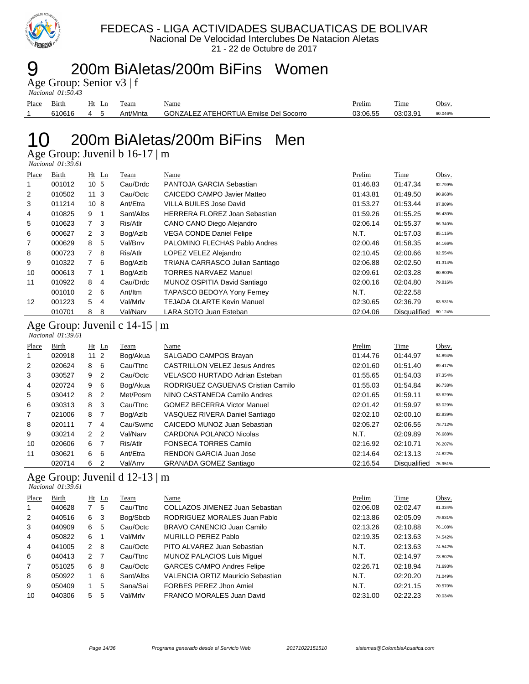

## 200m BiAletas/200m BiFins Women

Age Group: Senior v3 | f

|       | <i>Nacional 01:50.43</i> |       |  |          |                                              |          |             |         |  |  |  |
|-------|--------------------------|-------|--|----------|----------------------------------------------|----------|-------------|---------|--|--|--|
| Place | <b>Birth</b>             | Ht Ln |  | Team     | <u>Name</u>                                  | Prelim   | <b>Time</b> | Obsv.   |  |  |  |
|       | 610616                   | 4     |  | Ant/Mnta | <b>GONZALEZ ATEHORTUA Emilse Del Socorro</b> | 03:06.55 | 03:03.91    | 60.046% |  |  |  |
|       |                          |       |  |          |                                              |          |             |         |  |  |  |

## 200m BiAletas/200m BiFins Men

Age Group: Juvenil b 16-17 | m

 *Nacional 01:39.61* 

| Place | Birth  |                 | $Ht$ Ln        | Team      | Name                                 | Prelim   | Time                | Obsv.   |
|-------|--------|-----------------|----------------|-----------|--------------------------------------|----------|---------------------|---------|
| 1     | 001012 | 10 <sub>5</sub> |                | Cau/Drdc  | PANTOJA GARCIA Sebastian             | 01:46.83 | 01:47.34            | 92.799% |
| 2     | 010502 | 113             |                | Cau/Octc  | CAICEDO CAMPO Javier Matteo          | 01:43.81 | 01:49.50            | 90.968% |
| 3     | 011214 | 10 <sub>8</sub> |                | Ant/Etra  | VILLA BUILES Jose David              | 01:53.27 | 01:53.44            | 87.809% |
| 4     | 010825 | 9               | $\overline{1}$ | Sant/Albs | <b>HERRERA FLOREZ Joan Sebastian</b> | 01:59.26 | 01:55.25            | 86.430% |
| 5     | 010623 | 7 <sup>3</sup>  |                | Ris/Atlr  | CANO CANO Diego Alejandro            | 02:06.14 | 01:55.37            | 86.340% |
| 6     | 000627 | $\mathbf{2}$    | 3              | Bog/Azlb  | <b>VEGA CONDE Daniel Felipe</b>      | N.T.     | 01:57.03            | 85.115% |
| 7     | 000629 | 8               | 5              | Val/Brrv  | PALOMINO FLECHAS Pablo Andres        | 02:00.46 | 01:58.35            | 84.166% |
| 8     | 000723 | $\overline{7}$  | -8             | Ris/Atlr  | LOPEZ VELEZ Alejandro                | 02:10.45 | 02:00.66            | 82.554% |
| 9     | 010322 |                 | - 6            | Bog/Azlb  | TRIANA CARRASCO Julian Santiago      | 02:06.88 | 02:02.50            | 81.314% |
| 10    | 000613 | 7 <sub>1</sub>  |                | Bog/Azlb  | <b>TORRES NARVAEZ Manuel</b>         | 02:09.61 | 02:03.28            | 80.800% |
| 11    | 010922 | 8               | 4              | Cau/Drdc  | MUNOZ OSPITIA David Santiago         | 02:00.16 | 02:04.80            | 79.816% |
|       | 001010 | $2\quad 6$      |                | Ant/ltm   | TAPASCO BEDOYA Yony Ferney           | N.T.     | 02:22.58            |         |
| 12    | 001223 | 5               | $\overline{4}$ | Val/Mrlv  | TEJADA OLARTE Kevin Manuel           | 02:30.65 | 02:36.79            | 63.531% |
|       | 010701 | 8               | 8              | Val/Narv  | LARA SOTO Juan Esteban               | 02:04.06 | <b>Disqualified</b> | 80.124% |

Age Group: Juvenil c 14-15 | m

| <i>Nacional 01:39.61</i> |  |
|--------------------------|--|

| Place          | Birth  |                | $Ht$ Ln        | Team     | Name                                 | Prelim   | Time                | Obsv.   |
|----------------|--------|----------------|----------------|----------|--------------------------------------|----------|---------------------|---------|
|                | 020918 | $112$          |                | Bog/Akua | SALGADO CAMPOS Brayan                | 01:44.76 | 01:44.97            | 94.894% |
| $\overline{2}$ | 020624 | 8              | - 6            | Cau/Ttnc | <b>CASTRILLON VELEZ Jesus Andres</b> | 02:01.60 | 01:51.40            | 89.417% |
| 3              | 030527 | 9              | $\overline{2}$ | Cau/Octc | VELASCO HURTADO Adrian Esteban       | 01:55.65 | 01:54.03            | 87.354% |
| 4              | 020724 | 9              | 6              | Bog/Akua | RODRIGUEZ CAGUENAS Cristian Camilo   | 01:55.03 | 01:54.84            | 86.738% |
| 5              | 030412 | 8              | - 2            | Met/Posm | NINO CASTANEDA Camilo Andres         | 02:01.65 | 01:59.11            | 83.629% |
| 6              | 030313 | 8              | -3             | Cau/Ttnc | <b>GOMEZ BECERRA Victor Manuel</b>   | 02:01.42 | 01:59.97            | 83.029% |
| $\overline{7}$ | 021006 | 8              | $\overline{7}$ | Bog/Azlb | VASQUEZ RIVERA Daniel Santiago       | 02:02.10 | 02:00.10            | 82.939% |
| 8              | 020111 | 7              | $\overline{4}$ | Cau/Swmc | CAICEDO MUNOZ Juan Sebastian         | 02:05.27 | 02:06.55            | 78.712% |
| 9              | 030214 | 2 <sub>2</sub> |                | Val/Narv | CARDONA POLANCO Nicolas              | N.T.     | 02:09.89            | 76.688% |
| 10             | 020606 | 6              | $\overline{7}$ | Ris/Atlr | <b>FONSECA TORRES Camilo</b>         | 02:16.92 | 02:10.71            | 76.207% |
| 11             | 030621 | 6              | 6              | Ant/Etra | <b>RENDON GARCIA Juan Jose</b>       | 02:14.64 | 02:13.13            | 74.822% |
|                | 020714 | 6              | $\overline{2}$ | Val/Arrv | <b>GRANADA GOMEZ Santiago</b>        | 02:16.54 | <b>Disqualified</b> | 75.951% |

## Age Group: Juvenil d 12-13 | m

 *Nacional 01:39.61* 

| Place          | Birth  |               | $Ht$ Ln | Team      | Name                              | Prelim   | Time     | Obsv.   |
|----------------|--------|---------------|---------|-----------|-----------------------------------|----------|----------|---------|
| 1.             | 040628 | 7             | 5       | Cau/Ttnc  | COLLAZOS JIMENEZ Juan Sebastian   | 02:06.08 | 02:02.47 | 81.334% |
| 2              | 040516 | 6             | -3      | Bog/Sbcb  | RODRIGUEZ MORALES Juan Pablo      | 02:13.86 | 02:05.09 | 79.631% |
| 3              | 040909 | 6             | 5       | Cau/Octc  | BRAVO CANENCIO Juan Camilo        | 02:13.26 | 02:10.88 | 76.108% |
| 4              | 050822 | 6             |         | Val/Mrlv  | MURILLO PEREZ Pablo               | 02:19.35 | 02:13.63 | 74.542% |
| 4              | 041005 | 2             | -8      | Cau/Octc  | PITO ALVAREZ Juan Sebastian       | N.T.     | 02:13.63 | 74.542% |
| 6              | 040413 | $\mathcal{P}$ | -7      | Cau/Ttnc  | <b>MUNOZ PALACIOS Luis Miquel</b> | N.T.     | 02:14.97 | 73.802% |
| $\overline{7}$ | 051025 | 6             | 8       | Cau/Octc  | <b>GARCES CAMPO Andres Felipe</b> | 02:26.71 | 02:18.94 | 71.693% |
| 8              | 050922 |               | -6      | Sant/Albs | VALENCIA ORTIZ Mauricio Sebastian | N.T.     | 02:20.20 | 71.049% |
| 9              | 050409 |               | 5       | Sana/Sai  | FORBES PEREZ Jhon Amiel           | N.T.     | 02:21.15 | 70.570% |
| 10             | 040306 | 5             | 5       | Val/Mrlv  | <b>FRANCO MORALES Juan David</b>  | 02:31.00 | 02:22.23 | 70.034% |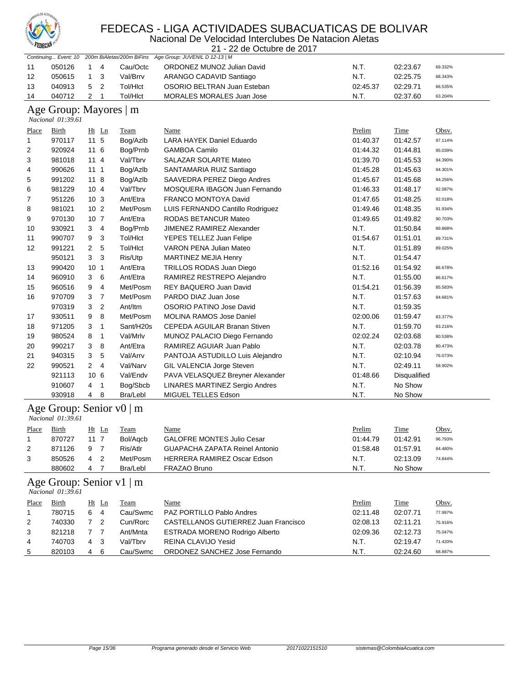

Nacional De Velocidad Interclubes De Natacion Aletas

|              | <b>A CUECHA</b><br>21 - 22 de Octubre de 2017      |                     |                           |                                                        |          |                      |         |  |  |  |
|--------------|----------------------------------------------------|---------------------|---------------------------|--------------------------------------------------------|----------|----------------------|---------|--|--|--|
|              | Continuing Event: 10                               |                     | 200m BiAletas/200m BiFins | Age Group: JUVENIL D 12-13   M                         |          |                      |         |  |  |  |
| 11           | 050126                                             | $\mathbf{1}$<br>4   | Cau/Octc                  | ORDONEZ MUNOZ Julian David                             | N.T.     | 02:23.67             | 69.332% |  |  |  |
| 12           | 050615                                             | 1<br>3              | Val/Brrv                  | ARANGO CADAVID Santiago                                | N.T.     | 02:25.75             | 68.343% |  |  |  |
| 13           | 040913                                             | 5<br>2              | Tol/HIct                  | OSORIO BELTRAN Juan Esteban                            | 02:45.37 | 02:29.71             | 66.535% |  |  |  |
| 14           | 040712                                             | 2<br>1              | Tol/HIct                  | MORALES MORALES Juan Jose                              | N.T.     | 02:37.60             | 63.204% |  |  |  |
|              | Age Group: Mayores   m<br>Nacional 01:39.61        |                     |                           |                                                        |          |                      |         |  |  |  |
| Place        | <b>Birth</b>                                       | Ht Ln               | <b>Team</b>               | <b>Name</b>                                            | Prelim   | Time                 | Obsv.   |  |  |  |
| 1            | 970117                                             | 11 <sub>5</sub>     | Bog/Azlb                  | LARA HAYEK Daniel Eduardo                              | 01:40.37 | 01:42.57             | 97.114% |  |  |  |
| 2            | 920924                                             | 11 6                | Bog/Prnb                  | <b>GAMBOA Camilo</b>                                   | 01:44.32 | 01:44.81             | 95.039% |  |  |  |
| 3            | 981018                                             | 114                 | Val/Tbrv                  | SALAZAR SOLARTE Mateo                                  | 01:39.70 | 01:45.53             | 94.390% |  |  |  |
| 4            | 990626                                             | 111                 | Bog/Azlb                  | SANTAMARIA RUIZ Santiago                               | 01:45.28 | 01:45.63             | 94.301% |  |  |  |
| 5            | 991202                                             | 118                 | Bog/Azlb                  | SAAVEDRA PEREZ Diego Andres                            | 01:45.67 | 01:45.68             | 94.256% |  |  |  |
| 6            | 981229                                             | 10 <sub>4</sub>     | Val/Tbrv                  | MOSQUERA IBAGON Juan Fernando                          | 01:46.33 | 01:48.17             | 92.087% |  |  |  |
| 7            | 951226                                             | 10 <sub>3</sub>     | Ant/Etra                  | FRANCO MONTOYA David                                   | 01:47.65 | 01:48.25             | 92.018% |  |  |  |
| 8            | 981021                                             | 10 <sub>2</sub>     | Met/Posm                  | LUIS FERNANDO Cantillo Rodriguez                       | 01:49.46 | 01:48.35             | 91.934% |  |  |  |
| 9            | 970130                                             | 10 <sub>7</sub>     | Ant/Etra                  | <b>RODAS BETANCUR Mateo</b>                            | 01:49.65 | 01:49.82             | 90.703% |  |  |  |
| 10           | 930921                                             | 3<br>4              | Bog/Prnb                  | JIMENEZ RAMIREZ Alexander                              | N.T.     | 01:50.84             | 89.868% |  |  |  |
| 11           | 990707                                             | 3<br>9              | Tol/HIct                  | YEPES TELLEZ Juan Felipe                               | 01:54.67 | 01:51.01             | 89.731% |  |  |  |
| 12           | 991221                                             | 5<br>2              | Tol/HIct                  |                                                        | N.T.     |                      | 89.025% |  |  |  |
|              | 950121                                             | 3<br>3              |                           | VARON PENA Julian Mateo<br><b>MARTINEZ MEJIA Henry</b> | N.T.     | 01:51.89<br>01:54.47 |         |  |  |  |
|              |                                                    |                     | Ris/Utp                   |                                                        |          |                      |         |  |  |  |
| 13           | 990420                                             | 10 <sub>1</sub>     | Ant/Etra                  | TRILLOS RODAS Juan Diego                               | 01:52.16 | 01:54.92             | 86.678% |  |  |  |
| 14           | 960910                                             | 6<br>3              | Ant/Etra                  | RAMIREZ RESTREPO Alejandro                             | N.T.     | 01:55.00             | 86.617% |  |  |  |
| 15           | 960516                                             | 4<br>9              | Met/Posm                  | REY BAQUERO Juan David                                 | 01:54.21 | 01:56.39             | 85.583% |  |  |  |
| 16           | 970709                                             | 3<br>7              | Met/Posm                  | PARDO DIAZ Juan Jose                                   | N.T.     | 01:57.63             | 84.681% |  |  |  |
|              | 970319                                             | $\overline{c}$<br>3 | Ant/Itm                   | OSORIO PATINO Jose David                               | N.T.     | 01:59.35             |         |  |  |  |
| 17           | 930511                                             | 9<br>8              | Met/Posm                  | MOLINA RAMOS Jose Daniel                               | 02:00.06 | 01:59.47             | 83.377% |  |  |  |
| 18           | 971205                                             | 3<br>1              | Sant/H20s                 | CEPEDA AGUILAR Branan Stiven                           | N.T.     | 01:59.70             | 83.216% |  |  |  |
| 19           | 980524                                             | 8<br>1              | Val/Mrlv                  | MUNOZ PALACIO Diego Fernando                           | 02:02.24 | 02:03.68             | 80.538% |  |  |  |
| 20           | 990217                                             | 3<br>8              | Ant/Etra                  | RAMIREZ AGUIAR Juan Pablo                              | N.T.     | 02:03.78             | 80.473% |  |  |  |
| 21           | 940315                                             | 3<br>5              | Val/Arrv                  | PANTOJA ASTUDILLO Luis Alejandro                       | N.T.     | 02:10.94             | 76.073% |  |  |  |
| 22           | 990521                                             | 2<br>4              | Val/Narv                  | GIL VALENCIA Jorge Steven                              | N.T.     | 02:49.11             | 58.902% |  |  |  |
|              | 921113                                             | 10 <sub>6</sub>     | Val/Endv                  | PAVA VELASQUEZ Breyner Alexander                       | 01:48.66 | Disqualified         |         |  |  |  |
|              | 910607                                             | 4<br>$\mathbf 1$    | Bog/Sbcb                  | LINARES MARTINEZ Sergio Andres                         | N.T.     | No Show              |         |  |  |  |
|              | 930918                                             | 8<br>4              | Bra/Lebl                  | MIGUEL TELLES Edson                                    | N.T.     | No Show              |         |  |  |  |
|              | Age Group: Senior v0   m<br>Nacional 01:39.61      |                     |                           |                                                        |          |                      |         |  |  |  |
| Place        | Birth                                              | <u>Ht</u> Ln        | Team                      | Name                                                   | Prelim   | Time                 | Obsv.   |  |  |  |
| $\mathbf{1}$ | 870727                                             | $11 \quad 7$        | Bol/Aqcb                  | <b>GALOFRE MONTES Julio Cesar</b>                      | 01:44.79 | 01:42.91             | 96.793% |  |  |  |
| 2            | 871126                                             | -7<br>9             | Ris/Atlr                  | GUAPACHA ZAPATA Reinel Antonio                         | 01:58.48 | 01:57.91             | 84.480% |  |  |  |
| 3            | 850526                                             | $\overline{2}$<br>4 | Met/Posm                  | <b>HERRERA RAMIREZ Oscar Edson</b>                     | N.T.     | 02:13.09             | 74.844% |  |  |  |
|              | 880602                                             | 4<br>7              | Bra/Lebl                  | FRAZAO Bruno                                           | N.T.     | No Show              |         |  |  |  |
|              | Age Group: Senior $v1 \mid m$<br>Nacional 01:39.61 |                     |                           |                                                        |          |                      |         |  |  |  |
| <b>Place</b> | <b>Birth</b>                                       | $Ht$ Ln             | <b>Team</b>               | <b>Name</b>                                            | Prelim   | Time                 | Obsy.   |  |  |  |
| 1            | 780715                                             | 6<br>4              | Cau/Swmc                  | PAZ PORTILLO Pablo Andres                              | 02:11.48 | 02:07.71             | 77.997% |  |  |  |
| 2            | 740330                                             | $\overline{7}$<br>2 | Cun/Rorc                  | CASTELLANOS GUTIERREZ Juan Francisco                   | 02:08.13 | 02:11.21             | 75.916% |  |  |  |
| 3            | 821218                                             | $\overline{7}$<br>7 | Ant/Mnta                  | ESTRADA MORENO Rodrigo Alberto                         | 02:09.36 | 02:12.73             | 75.047% |  |  |  |
| 4            | 740703                                             | 4<br>3              | Val/Tbrv                  | REINA CLAVIJO Yesid                                    | N.T.     | 02:19.47             | 71.420% |  |  |  |
| 5            | 820103                                             | $4\quad 6$          | Cau/Swmc                  | ORDONEZ SANCHEZ Jose Fernando                          | N.T.     | 02:24.60             | 68.887% |  |  |  |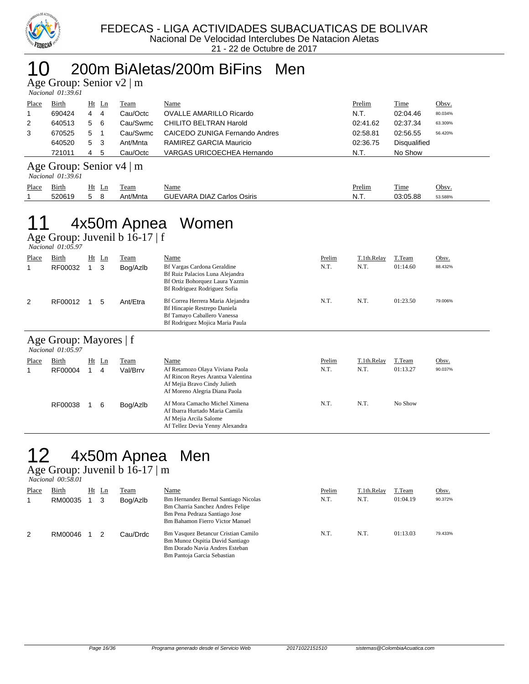

## 10 200m BiAletas/200m BiFins Men

Age Group: Senior v2 | m

| <i>Nacional 01:39.61</i> |  |  |  |  |  |
|--------------------------|--|--|--|--|--|

| Place | <b>Birth</b> |    | $Ht$ Ln | Team     | <u>Name</u>                    | <b>Prelim</b> | <b>Time</b>         | Obsv.   |
|-------|--------------|----|---------|----------|--------------------------------|---------------|---------------------|---------|
|       | 690424       | 4  | 4       | Cau/Octc | <b>OVALLE AMARILLO Ricardo</b> | N.T.          | 02:04.46            | 80.034% |
| 2     | 640513       | 5  | - 6     | Cau/Swmc | <b>CHILITO BELTRAN Harold</b>  | 02:41.62      | 02:37.34            | 63.309% |
| 3     | 670525       | 5. |         | Cau/Swmc | CAICEDO ZUNIGA Fernando Andres | 02:58.81      | 02:56.55            | 56.420% |
|       | 640520       | 5. | -3      | Ant/Mnta | RAMIREZ GARCIA Mauricio        | 02:36.75      | <b>Disqualified</b> |         |
|       | 721011       | 4  | 5       | Cau/Octc | VARGAS URICOECHEA Hernando     | N.T.          | No Show             |         |

#### Age Group: Senior v4 | m

| <i>Nacional 01:39.61</i> |  |
|--------------------------|--|

 *Nacional 01:05.97* 

| Place | <u>Bırth</u> | Ht | $T$ eam  | Name                              | $P$ relim | Time     | Obsv.   |  |  |  |  |
|-------|--------------|----|----------|-----------------------------------|-----------|----------|---------|--|--|--|--|
|       | 520619       |    | Ant/Mnta | <b>GUEVARA DIAZ Carlos Osiris</b> | .N.T      | 03:05.88 | 53.588% |  |  |  |  |

# 11 4x50m Apnea Women

Age Group: Juvenil b 16-17 | f

| Place<br>1 | Birth<br>RF00032                            | $Ht$ Ln<br>3 | Team<br>Bog/Azlb | Name<br>Bf Vargas Cardona Geraldine<br>Bf Ruiz Palacios Luna Alejandra<br>Bf Ortiz Bohorquez Laura Yazmin<br>Bf Rodriguez Rodriguez Sofia | Prelim<br>N.T. | T.1th.Relay<br>N.T. | T.Team<br>01:14.60 | Obsv.<br>88.432% |
|------------|---------------------------------------------|--------------|------------------|-------------------------------------------------------------------------------------------------------------------------------------------|----------------|---------------------|--------------------|------------------|
| 2          | RF00012                                     | 5            | Ant/Etra         | Bf Correa Herrera Maria Alejandra<br>Bf Hincapie Restrepo Daniela<br>Bf Tamayo Caballero Vanessa<br>Bf Rodriguez Mojica Maria Paula       | N.T.           | N.T.                | 01:23.50           | 79.006%          |
|            | Age Group: Mayores   f<br>Nacional 01:05.97 |              |                  |                                                                                                                                           |                |                     |                    |                  |
| Place      | Birth                                       | $Ht$ Ln      | Team             | Name                                                                                                                                      | Prelim         | T.1th.Relay         | T.Team             | Obsv.            |
|            | RF00004                                     | 4            | Val/Brrv         | Af Retamozo Olaya Viviana Paola<br>Af Rincon Reyes Arantxa Valentina<br>Af Mejia Bravo Cindy Julieth<br>Af Moreno Alegria Diana Paola     | N.T.           | N.T.                | 01:13.27           | 90.037%          |
|            | RF00038                                     | 6            | Bog/Azlb         | Af Mora Camacho Michel Ximena<br>Af Ibarra Hurtado Maria Camila                                                                           | N.T.           | N.T.                | No Show            |                  |

Af Mejia Arcila Salome Af Tellez Devia Yenny Alexandra

# 12 4x50m Apnea Men

Age Group: Juvenil b 16-17 | m

 *Nacional 00:58.01* 

| Place | Birth   | Ht | Ln | Team     | Name                                                                                                                                                              | Prelim | T.1th.Relay | T.Team   | Obsv.   |
|-------|---------|----|----|----------|-------------------------------------------------------------------------------------------------------------------------------------------------------------------|--------|-------------|----------|---------|
|       | RM00035 |    | 3  | Bog/Azlb | <b>Bm Hernandez Bernal Santiago Nicolas</b><br><b>Bm Charria Sanchez Andres Felipe</b><br>Bm Pena Pedraza Santiago Jose<br><b>Bm Bahamon Fierro Victor Manuel</b> | N.T.   | N.T.        | 01:04.19 | 90.372% |
| 2     | RM00046 |    |    | Cau/Drdc | <b>Bm Vasquez Betancur Cristian Camilo</b><br>Bm Munoz Ospitia David Santiago<br>Bm Dorado Navia Andres Esteban<br>Bm Pantoja Garcia Sebastian                    | N.T.   | N.T.        | 01:13.03 | 79.433% |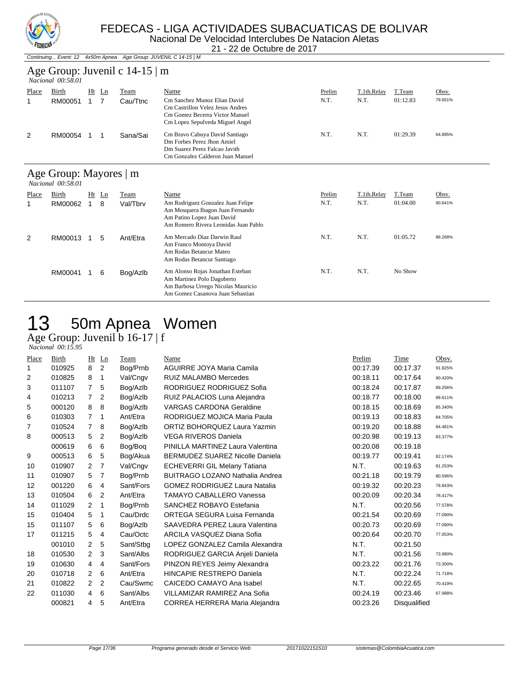

#### FEDECAS - LIGA ACTIVIDADES SUBACUATICAS DE BOLIVAR Nacional De Velocidad Interclubes De Natacion Aletas 21 - 22 de Octubre de 2017

Continuing... Event: 12 4x50m Apnea Age Group: JUVENIL C 14-15 | M

## Age Group: Juvenil c 14-15 | m

|       | <i>Nacional</i> 00:58.01 |  |       |          |                                                                                                                                       |        |             |          |         |  |  |  |
|-------|--------------------------|--|-------|----------|---------------------------------------------------------------------------------------------------------------------------------------|--------|-------------|----------|---------|--|--|--|
| Place | Birth                    |  | Ht Ln | Team     | Name                                                                                                                                  | Prelim | T.1th.Relay | T.Team   | Obsv.   |  |  |  |
|       | RM00051                  |  |       | Cau/Ttnc | Cm Sanchez Munoz Elian David<br>Cm Castrillon Velez Jesus Andres<br>Cm Gomez Becerra Victor Manuel<br>Cm Lopez Sepulveda Miguel Angel | N.T.   | N.T.        | 01:12.83 | 79.651% |  |  |  |
| 2     | RM00054                  |  |       | Sana/Sai | Cm Bravo Cabuya David Santiago<br>Dm Forbes Perez Jhon Amiel<br>Dm Suarez Perez Falcao Javith<br>Cm Gonzalez Calderon Juan Manuel     | N.T.   | N.T.        | 01:29.39 | 64.895% |  |  |  |

## Age Group: Mayores | m

|       | <i>Nacional</i> 00:58.01 |  |         |          |                                                                                                                                             |        |             |          |         |  |  |  |
|-------|--------------------------|--|---------|----------|---------------------------------------------------------------------------------------------------------------------------------------------|--------|-------------|----------|---------|--|--|--|
| Place | Birth                    |  | $Ht$ Ln | Team     | Name                                                                                                                                        | Prelim | T.1th.Relay | T.Team   | Obsv.   |  |  |  |
|       | RM00062                  |  | 8       | Val/Tbrv | Am Rodriguez Gonzalez Juan Felipe<br>Am Mosquera Ibagon Juan Fernando<br>Am Patino Lopez Juan David<br>Am Romero Rivera Leonidas Juan Pablo | N.T.   | N.T.        | 01:04.00 | 90.641% |  |  |  |
| 2     | RM00013                  |  | 5       | Ant/Etra | Am Mercado Diaz Darwin Raul<br>Am Franco Montoya David<br>Am Rodas Betancur Mateo<br>Am Rodas Betancur Santiago                             | N.T.   | N.T.        | 01:05.72 | 88.268% |  |  |  |
|       | RM00041                  |  | 6       | Bog/Azlb | Am Alonso Rojas Jonathan Esteban<br>Am Martinez Polo Dagoberto<br>Am Barbosa Urrego Nicolas Mauricio<br>Am Gomez Casanova Juan Sebastian    | N.T.   | N.T.        | No Show  |         |  |  |  |

# 13 50m Apnea Women

Age Group: Juvenil b 16-17 | f  *Nacional 00:15.95* 

| Place | Birth  | Ht                   | Ln           | Team      | Name                                   | Prelim   | Time         | Obsv.   |
|-------|--------|----------------------|--------------|-----------|----------------------------------------|----------|--------------|---------|
| 1     | 010925 | 8                    | 2            | Bog/Prnb  | AGUIRRE JOYA Maria Camila              | 00:17.39 | 00:17.37     | 91.825% |
| 2     | 010825 | 8                    | $\mathbf{1}$ | Val/Cngv  | <b>RUIZ MALAMBO Mercedes</b>           | 00:18.11 | 00:17.64     | 90.420% |
| 3     | 011107 | $\overline{7}$       | 5            | Bog/Azlb  | RODRIGUEZ RODRIGUEZ Sofia              | 00:18.24 | 00:17.87     | 89.256% |
| 4     | 010213 | $7^{\circ}$          | 2            | Bog/Azlb  | RUIZ PALACIOS Luna Alejandra           | 00:18.77 | 00:18.00     | 88.611% |
| 5     | 000120 | 8                    | 8            | Bog/Azlb  | <b>VARGAS CARDONA Geraldine</b>        | 00:18.15 | 00:18.69     | 85.340% |
| 6     | 010303 | $\overline{7}$       | $\mathbf{1}$ | Ant/Etra  | RODRIGUEZ MOJICA Maria Paula           | 00:19.13 | 00:18.83     | 84.705% |
| 7     | 010524 | $\overline{7}$       | 8            | Bog/Azlb  | ORTIZ BOHORQUEZ Laura Yazmin           | 00:19.20 | 00:18.88     | 84.481% |
| 8     | 000513 | 5                    | 2            | Bog/Azlb  | <b>VEGA RIVEROS Daniela</b>            | 00:20.98 | 00:19.13     | 83.377% |
|       | 000619 | 6                    | 6            | Bog/Bog   | PINILLA MARTINEZ Laura Valentina       | 00:20.08 | 00:19.18     |         |
| 9     | 000513 | 6                    | 5            | Bog/Akua  | BERMUDEZ SUAREZ Nicolle Daniela        | 00:19.77 | 00:19.41     | 82.174% |
| 10    | 010907 | 2                    | 7            | Val/Cngv  | <b>ECHEVERRI GIL Melany Tatiana</b>    | N.T.     | 00:19.63     | 81.253% |
| 11    | 010907 | 5                    | 7            | Bog/Prnb  | <b>BUITRAGO LOZANO Nathalia Andrea</b> | 00:21.18 | 00:19.79     | 80.596% |
| 12    | 001220 | 6                    | 4            | Sant/Fors | <b>GOMEZ RODRIGUEZ Laura Natalia</b>   | 00:19.32 | 00:20.23     | 78.843% |
| 13    | 010504 | 6                    | 2            | Ant/Etra  | <b>TAMAYO CABALLERO Vanessa</b>        | 00:20.09 | 00:20.34     | 78.417% |
| 14    | 011029 | $\overline{2}$       | 1            | Bog/Prnb  | SANCHEZ ROBAYO Estefania               | N.T.     | 00:20.56     | 77.578% |
| 15    | 010404 | 5                    | 1            | Cau/Drdc  | ORTEGA SEGURA Luisa Fernanda           | 00:21.54 | 00:20.69     | 77.090% |
| 15    | 011107 | 5                    | 6            | Bog/Azlb  | SAAVEDRA PEREZ Laura Valentina         | 00:20.73 | 00:20.69     | 77.090% |
| 17    | 011215 | 5                    | 4            | Cau/Octc  | ARCILA VASQUEZ Diana Sofia             | 00:20.64 | 00:20.70     | 77.053% |
|       | 001010 | $\mathbf{2}^{\circ}$ | 5            | Sant/Stbg | LOPEZ GONZALEZ Camila Alexandra        | N.T.     | 00:21.50     |         |
| 18    | 010530 | $\overline{2}$       | 3            | Sant/Albs | RODRIGUEZ GARCIA Anjeli Daniela        | N.T.     | 00:21.56     | 73.980% |
| 19    | 010630 | $\overline{4}$       | 4            | Sant/Fors | PINZON REYES Jeimy Alexandra           | 00:23.22 | 00:21.76     | 73.300% |
| 20    | 010718 | $\overline{2}$       | 6            | Ant/Etra  | <b>HINCAPIE RESTREPO Daniela</b>       | N.T.     | 00:22.24     | 71.718% |
| 21    | 010822 | 2                    | 2            | Cau/Swmc  | CAICEDO CAMAYO Ana Isabel              | N.T.     | 00:22.65     | 70.419% |
| 22    | 011030 | 4                    | 6            | Sant/Albs | VILLAMIZAR RAMIREZ Ana Sofia           | 00:24.19 | 00:23.46     | 67.988% |
|       | 000821 | 4                    | 5            | Ant/Etra  | CORREA HERRERA Maria Alejandra         | 00:23.26 | Disqualified |         |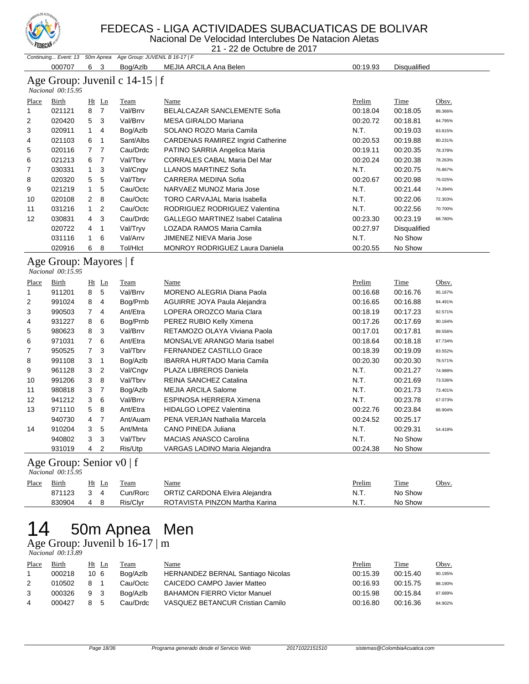

Nacional De Velocidad Interclubes De Natacion Aletas

21 - 22 de Octubre de 2017

|             | Continuing Event: 13 50m Apnea Age Group: JUVENIL B 16-17   F |                               |                                                  |                                          |               |              |         |  |  |  |  |
|-------------|---------------------------------------------------------------|-------------------------------|--------------------------------------------------|------------------------------------------|---------------|--------------|---------|--|--|--|--|
|             | 000707                                                        | 6<br>3                        | Bog/Azlb                                         | MEJIA ARCILA Ana Belen                   | 00:19.93      | Disqualified |         |  |  |  |  |
|             | Nacional 00:15.95                                             |                               | Age Group: Juvenil c $14-15 \mid f$              |                                          |               |              |         |  |  |  |  |
| Place       | Birth                                                         | Ht Ln                         | <b>Team</b>                                      | Name                                     | <u>Prelim</u> | Time         | Obsv.   |  |  |  |  |
| $\mathbf 1$ | 021121                                                        | 8 7                           | Val/Brrv                                         | BELALCAZAR SANCLEMENTE Sofia             | 00:18.04      | 00:18.05     | 88.366% |  |  |  |  |
| 2           | 020420                                                        | 5<br>3                        | Val/Brrv                                         | MESA GIRALDO Mariana                     | 00:20.72      | 00:18.81     | 84.795% |  |  |  |  |
| 3           | 020911                                                        | $\mathbf{1}$<br>4             | Bog/Azlb                                         | SOLANO ROZO Maria Camila                 | N.T.          | 00:19.03     | 83.815% |  |  |  |  |
| 4           | 021103                                                        | 6<br>$\mathbf{1}$             | Sant/Albs                                        | <b>CARDENAS RAMIREZ Ingrid Catherine</b> | 00:20.53      | 00:19.88     | 80.231% |  |  |  |  |
| 5           | 020116                                                        | 7 <sub>7</sub>                | Cau/Drdc                                         | PATINO SARRIA Angelica Maria             | 00:19.11      | 00:20.35     | 78.378% |  |  |  |  |
| 6           | 021213                                                        | $\overline{7}$<br>6           | Val/Tbrv                                         | <b>CORRALES CABAL Maria Del Mar</b>      | 00:20.24      | 00:20.38     | 78.263% |  |  |  |  |
| 7           | 030331                                                        | 3<br>$\mathbf{1}$             | Val/Cngv                                         | LLANOS MARTINEZ Sofia                    | N.T.          | 00:20.75     | 76.867% |  |  |  |  |
| 8           | 020320                                                        | 5<br>5                        | Val/Tbrv                                         | CARRERA MEDINA Sofia                     | 00:20.67      | 00:20.98     | 76.025% |  |  |  |  |
| 9           | 021219                                                        | 5<br>$\mathbf{1}$             | Cau/Octc                                         | NARVAEZ MUNOZ Maria Jose                 | N.T.          | 00:21.44     | 74.394% |  |  |  |  |
| 10          | 020108                                                        | $\overline{2}$<br>8           | Cau/Octc                                         | TORO CARVAJAL Maria Isabella             | N.T.          | 00:22.06     | 72.303% |  |  |  |  |
| 11          | 031216                                                        | 2<br>$\mathbf{1}$             | Cau/Octc                                         | RODRIGUEZ RODRIGUEZ Valentina            | N.T.          | 00:22.56     | 70.700% |  |  |  |  |
| 12          | 030831                                                        | 3<br>4                        | Cau/Drdc                                         | GALLEGO MARTINEZ Isabel Catalina         | 00:23.30      | 00:23.19     | 68.780% |  |  |  |  |
|             | 020722                                                        | $\mathbf{1}$<br>4             | Val/Tryv                                         | LOZADA RAMOS Maria Camila                | 00:27.97      | Disqualified |         |  |  |  |  |
|             | 031116                                                        | 6<br>1                        | Val/Arrv                                         | JIMENEZ NIEVA Maria Jose                 | N.T.          | No Show      |         |  |  |  |  |
|             | 020916                                                        | 6<br>8                        | Tol/HIct                                         | MONROY RODRIGUEZ Laura Daniela           | 00:20.55      | No Show      |         |  |  |  |  |
|             | Age Group: Mayores   f<br>Nacional 00:15.95                   |                               |                                                  |                                          |               |              |         |  |  |  |  |
| Place       | Birth                                                         | $Ht$ Ln                       | Team                                             | Name                                     | Prelim        | Time         | Obsv.   |  |  |  |  |
| 1           | 911201                                                        | 8<br>5                        | Val/Brrv                                         | <b>MORENO ALEGRIA Diana Paola</b>        | 00:16.68      | 00:16.76     | 95.167% |  |  |  |  |
| 2           | 991024                                                        | 8<br>4                        | Bog/Prnb                                         | AGUIRRE JOYA Paula Alejandra             | 00:16.65      | 00:16.88     | 94.491% |  |  |  |  |
| 3           | 990503                                                        | 4<br>7                        | Ant/Etra                                         | LOPERA OROZCO Maria Clara                | 00:18.19      | 00:17.23     | 92.571% |  |  |  |  |
| 4           | 931227                                                        | 6<br>8                        | Bog/Prnb                                         | PEREZ RUBIO Kelly Ximena                 | 00:17.26      | 00:17.69     | 90.164% |  |  |  |  |
| 5           | 980623                                                        | 3<br>8                        | Val/Brrv                                         | RETAMOZO OLAYA Viviana Paola             | 00:17.01      | 00:17.81     | 89.556% |  |  |  |  |
| 6           | 971031                                                        | $\overline{7}$<br>6           | Ant/Etra                                         | <b>MONSALVE ARANGO Maria Isabel</b>      | 00:18.64      | 00:18.18     | 87.734% |  |  |  |  |
| 7           | 950525                                                        | $\overline{7}$<br>3           | Val/Tbrv                                         | FERNANDEZ CASTILLO Grace                 | 00:18.39      | 00:19.09     | 83.552% |  |  |  |  |
| 8           | 991108                                                        | 3<br>$\mathbf{1}$             | Bog/Azlb                                         | <b>IBARRA HURTADO Maria Camila</b>       | 00:20.30      | 00:20.30     | 78.571% |  |  |  |  |
| 9           | 961128                                                        | $\overline{2}$<br>3           | Val/Cngv                                         | PLAZA LIBREROS Daniela                   | N.T.          | 00:21.27     | 74.988% |  |  |  |  |
| 10          | 991206                                                        | 3<br>8                        | Val/Tbrv                                         | REINA SANCHEZ Catalina                   | N.T.          | 00:21.69     | 73.536% |  |  |  |  |
| 11          | 980818                                                        | 3<br>$\overline{7}$           | Bog/Azlb                                         | <b>MEJIA ARCILA Salome</b>               | N.T.          | 00:21.73     | 73.401% |  |  |  |  |
| 12          | 941212                                                        | 3<br>6                        | Val/Brrv                                         | ESPINOSA HERRERA Ximena                  | N.T.          | 00:23.78     | 67.073% |  |  |  |  |
| 13          | 971110                                                        | 5<br>8                        | Ant/Etra                                         | <b>HIDALGO LOPEZ Valentina</b>           | 00:22.76      | 00:23.84     | 66.904% |  |  |  |  |
|             | 940730                                                        | $\overline{7}$<br>4           | Ant/Auam                                         | PENA VERJAN Nathalia Marcela             | 00:24.52      | 00:25.17     |         |  |  |  |  |
| 14          | 910204                                                        | 3<br>5                        | Ant/Mnta                                         | CANO PINEDA Juliana                      | N.T.          | 00:29.31     | 54.418% |  |  |  |  |
|             | 940802                                                        | 3<br>3                        | Val/Tbrv                                         | <b>MACIAS ANASCO Carolina</b>            | N.T.          | No Show      |         |  |  |  |  |
|             | 931019                                                        | 4 2                           | Ris/Utp                                          | VARGAS LADINO Maria Alejandra            | 00:24.38      | No Show      |         |  |  |  |  |
|             | Age Group: Senior v0   f<br>Nacional 00:15.95                 |                               |                                                  |                                          |               |              |         |  |  |  |  |
| Place       | <b>Birth</b>                                                  | $Ht$ Ln                       | <u>Team</u>                                      | <b>Name</b>                              | Prelim        | <b>Time</b>  | Obsv.   |  |  |  |  |
|             | 871123                                                        | 3<br>4                        | Cun/Rorc                                         | ORTIZ CARDONA Elvira Alejandra           | N.T.          | No Show      |         |  |  |  |  |
|             | 830904                                                        | 4<br>8                        | Ris/Clyr                                         | ROTAVISTA PINZON Martha Karina           | N.T.          | No Show      |         |  |  |  |  |
| 14          | Nacional 00:13.89                                             |                               | 50m Apnea<br>Age Group: Juvenil b $16-17 \mid m$ | Men                                      |               |              |         |  |  |  |  |
| Place       | <b>Birth</b>                                                  | Ht Ln                         | <u>Team</u>                                      | <u>Name</u>                              | Prelim        | <u>Time</u>  | Obsv.   |  |  |  |  |
| 1           | 000218                                                        | 10 <sub>6</sub>               | Bog/Azlb                                         | HERNANDEZ BERNAL Santiago Nicolas        | 00:15.39      | 00:15.40     | 90.195% |  |  |  |  |
| 2           | 010502                                                        | 8<br>$\overline{\phantom{0}}$ | Cau/Octc                                         | CAICEDO CAMPO Javier Matteo              | 00:16.93      | 00:15.75     | 88.190% |  |  |  |  |
| 3           | 000326                                                        | 3<br>9                        | Bog/Azlb                                         | <b>BAHAMON FIERRO Victor Manuel</b>      | 00:15.98      | 00:15.84     | 87.689% |  |  |  |  |
| 4           | 000427                                                        | 8<br>5                        | Cau/Drdc                                         | VASQUEZ BETANCUR Cristian Camilo         | 00:16.80      | 00:16.36     | 84.902% |  |  |  |  |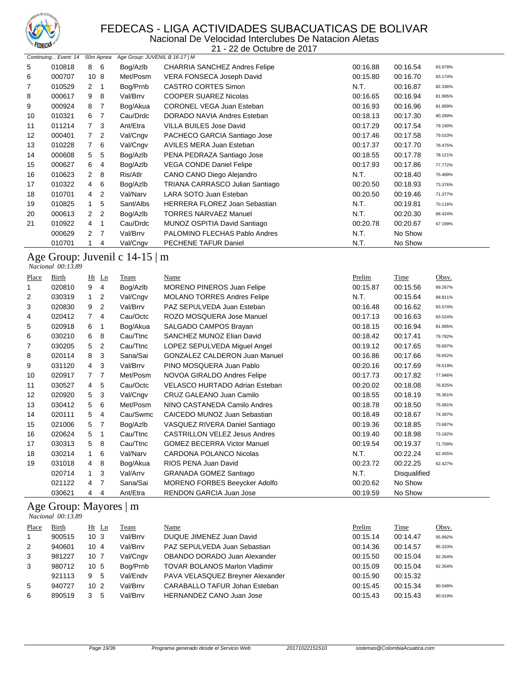

Nacional De Velocidad Interclubes De Natacion Aletas 21 - 22 de Octubre de 2017

|    | Continuing Event: 14 |                 | 50m Apnea      | Age Group: JUVENIL B 16-17   M |                                      |          |          |         |
|----|----------------------|-----------------|----------------|--------------------------------|--------------------------------------|----------|----------|---------|
| 5  | 010818               | 8               | - 6            | Bog/Azlb                       | CHARRIA SANCHEZ Andres Felipe        | 00:16.88 | 00:16.54 | 83.978% |
| 6  | 000707               | 10 <sub>8</sub> |                | Met/Posm                       | <b>VERA FONSECA Joseph David</b>     | 00:15.80 | 00:16.70 | 83.174% |
| 7  | 010529               | $\mathbf{2}$    | -1             | Bog/Prnb                       | <b>CASTRO CORTES Simon</b>           | N.T.     | 00:16.87 | 82.336% |
| 8  | 000617               | 9               | 8              | Val/Brrv                       | <b>COOPER SUAREZ Nicolas</b>         | 00:16.65 | 00:16.94 | 81.995% |
| 9  | 000924               | 8               | 7              | Bog/Akua                       | <b>CORONEL VEGA Juan Esteban</b>     | 00:16.93 | 00:16.96 | 81.899% |
| 10 | 010321               | 6               | 7              | Cau/Drdc                       | DORADO NAVIA Andres Esteban          | 00:18.13 | 00:17.30 | 80.289% |
| 11 | 011214               | 7 <sup>3</sup>  |                | Ant/Etra                       | <b>VILLA BUILES Jose David</b>       | 00:17.29 | 00:17.54 | 79.190% |
| 12 | 000401               | 7 <sup>2</sup>  |                | Val/Cngv                       | PACHECO GARCIA Santiago Jose         | 00:17.46 | 00:17.58 | 79.010% |
| 13 | 010228               |                 | - 6            | Val/Cngv                       | AVILES MERA Juan Esteban             | 00:17.37 | 00:17.70 | 78.475% |
| 14 | 000608               | 5               | 5              | Bog/Azlb                       | PENA PEDRAZA Santiago Jose           | 00:18.55 | 00:17.78 | 78.121% |
| 15 | 000627               | 6               | 4              | Bog/Azlb                       | <b>VEGA CONDE Daniel Felipe</b>      | 00:17.93 | 00:17.86 | 77.772% |
| 16 | 010623               | $\overline{2}$  | - 8            | Ris/Atlr                       | CANO CANO Diego Alejandro            | N.T.     | 00:18.40 | 75.489% |
| 17 | 010322               | 4               | 6              | Bog/Azlb                       | TRIANA CARRASCO Julian Santiago      | 00:20.50 | 00:18.93 | 73.376% |
| 18 | 010701               | 4               | 2              | Val/Narv                       | LARA SOTO Juan Esteban               | 00:20.50 | 00:19.46 | 71.377% |
| 19 | 010825               | $\mathbf 1$     | -5             | Sant/Albs                      | <b>HERRERA FLOREZ Joan Sebastian</b> | N.T.     | 00:19.81 | 70.116% |
| 20 | 000613               | $\overline{2}$  | $\overline{2}$ | Bog/Azlb                       | <b>TORRES NARVAEZ Manuel</b>         | N.T.     | 00:20.30 | 68.424% |
| 21 | 010922               | 4               | 1              | Cau/Drdc                       | MUNOZ OSPITIA David Santiago         | 00:20.78 | 00:20.67 | 67.199% |
|    | 000629               | 2               | 7              | Val/Brrv                       | PALOMINO FLECHAS Pablo Andres        | N.T.     | No Show  |         |
|    | 010701               | 1               | 4              | Val/Cngv                       | PECHENE TAFUR Daniel                 | N.T.     | No Show  |         |

Age Group: Juvenil c 14-15 | m  *Nacional 00:13.89* 

| Place | Birth  |                | $Ht$ Ln        | Team     | Name                                  | Prelim   | Time         | Obsv.   |
|-------|--------|----------------|----------------|----------|---------------------------------------|----------|--------------|---------|
| 1     | 020810 | 9              | 4              | Bog/Azlb | <b>MORENO PINEROS Juan Felipe</b>     | 00:15.87 | 00:15.56     | 89.267% |
| 2     | 030319 | $\mathbf{1}$   | 2              | Val/Cngv | <b>MOLANO TORRES Andres Felipe</b>    | N.T.     | 00:15.64     | 88.811% |
| 3     | 020830 | 9              | 2              | Val/Brrv | PAZ SEPULVEDA Juan Esteban            | 00:16.48 | 00:16.62     | 83.574% |
| 4     | 020412 | $\overline{7}$ | $\overline{4}$ | Cau/Octc | ROZO MOSQUERA Jose Manuel             | 00:17.13 | 00:16.63     | 83.524% |
| 5     | 020918 | 6              | $\mathbf 1$    | Bog/Akua | SALGADO CAMPOS Brayan                 | 00:18.15 | 00:16.94     | 81.995% |
| 6     | 030210 | 6              | 8              | Cau/Ttnc | SANCHEZ MUNOZ Elian David             | 00:18.42 | 00:17.41     | 79.782% |
| 7     | 030205 | 5              | 2              | Cau/Ttnc | LOPEZ SEPULVEDA Miguel Angel          | 00:19.12 | 00:17.65     | 78.697% |
| 8     | 020114 | 8              | 3              | Sana/Sai | <b>GONZALEZ CALDERON Juan Manuel</b>  | 00:16.86 | 00:17.66     | 78.652% |
| 9     | 031120 | $\overline{4}$ | 3              | Val/Brrv | PINO MOSQUERA Juan Pablo              | 00:20.16 | 00:17.69     | 78.519% |
| 10    | 020917 | 7              | 7              | Met/Posm | NOVOA GIRALDO Andres Felipe           | 00:17.73 | 00:17.82     | 77.946% |
| 11    | 030527 | $\overline{4}$ | 5              | Cau/Octc | <b>VELASCO HURTADO Adrian Esteban</b> | 00:20.02 | 00:18.08     | 76.825% |
| 12    | 020920 | 5              | 3              | Val/Cngv | CRUZ GALEANO Juan Camilo              | 00:18.55 | 00:18.19     | 76.361% |
| 13    | 030412 | 5              | 6              | Met/Posm | NINO CASTANEDA Camilo Andres          | 00:18.78 | 00:18.50     | 75.081% |
| 14    | 020111 | 5              | $\overline{4}$ | Cau/Swmc | CAICEDO MUNOZ Juan Sebastian          | 00:18.49 | 00:18.67     | 74.397% |
| 15    | 021006 | 5              | 7              | Bog/Azlb | VASQUEZ RIVERA Daniel Santiago        | 00:19.36 | 00:18.85     | 73.687% |
| 16    | 020624 | 5              | $\mathbf 1$    | Cau/Ttnc | <b>CASTRILLON VELEZ Jesus Andres</b>  | 00:19.40 | 00:18.98     | 73.182% |
| 17    | 030313 | 5              | 8              | Cau/Ttnc | <b>GOMEZ BECERRA Victor Manuel</b>    | 00:19.54 | 00:19.37     | 71.709% |
| 18    | 030214 | 1.             | 6              | Val/Narv | CARDONA POLANCO Nicolas               | N.T.     | 00:22.24     | 62.455% |
| 19    | 031018 | 4              | 8              | Bog/Akua | RIOS PENA Juan David                  | 00:23.72 | 00:22.25     | 62.427% |
|       | 020714 | 1.             | 3              | Val/Arrv | <b>GRANADA GOMEZ Santiago</b>         | N.T.     | Disqualified |         |
|       | 021122 | 4              | 7              | Sana/Sai | <b>MORENO FORBES Beeycker Adolfo</b>  | 00:20.62 | No Show      |         |
|       | 030621 | $\overline{4}$ | 4              | Ant/Etra | <b>RENDON GARCIA Juan Jose</b>        | 00:19.59 | No Show      |         |

## Age Group: Mayores | m

| Nacional 00:13.89 |  |
|-------------------|--|

| Place          | Birth  | Ht Ln           | Team     | Name                                 | Prelim   | Time     | Obsv.   |
|----------------|--------|-----------------|----------|--------------------------------------|----------|----------|---------|
| $\overline{1}$ | 900515 | 10 <sub>3</sub> | Val/Brrv | DUQUE JIMENEZ Juan David             | 00:15.14 | 00:14.47 | 95.992% |
| 2              | 940601 | $10 \, 4$       | Val/Brrv | PAZ SEPULVEDA Juan Sebastian         | 00:14.36 | 00:14.57 | 95.333% |
| 3              | 981227 | 10 <sub>7</sub> | Val/Cngv | OBANDO DORADO Juan Alexander         | 00:15.50 | 00:15.04 | 92.354% |
| 3              | 980712 | 10 <sub>5</sub> | Bog/Prnb | <b>TOVAR BOLANOS Marlon Vladimir</b> | 00:15.09 | 00:15.04 | 92.354% |
|                | 921113 | -5<br>9.        | Val/Endv | PAVA VELASQUEZ Breyner Alexander     | 00:15.90 | 00:15.32 |         |
| 5              | 940727 | $10^{2}$        | Val/Brrv | CARABALLO TAFUR Johan Esteban        | 00:15.45 | 00:15.34 | 90.548% |
| 6              | 890519 | 5               | Val/Brrv | <b>HERNANDEZ CANO Juan Jose</b>      | 00:15.43 | 00:15.43 | 90.019% |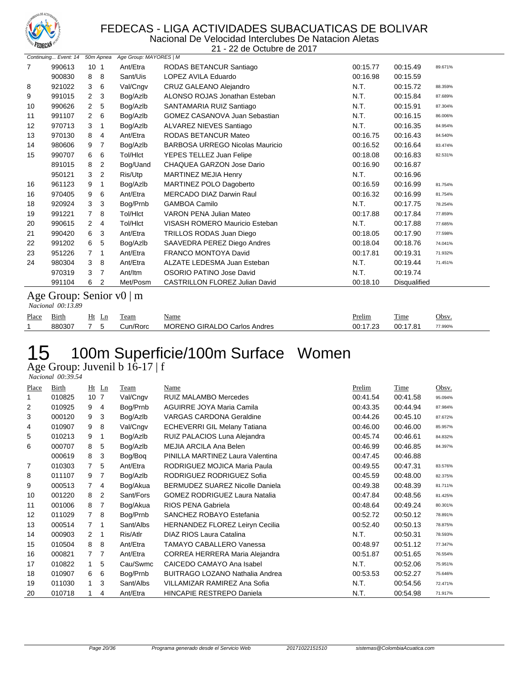

Nacional De Velocidad Interclubes De Natacion Aletas 21 - 22 de Octubre de 2017

| 990613 | 10 <sub>1</sub>     | Ant/Etra                                  | RODAS BETANCUR Santiago                    | 00:15.77               | 00:15.49     | 89.671% |
|--------|---------------------|-------------------------------------------|--------------------------------------------|------------------------|--------------|---------|
| 900830 | 8<br>8              | Sant/Uis                                  | LOPEZ AVILA Eduardo                        | 00:16.98               | 00:15.59     |         |
| 921022 | 3<br>6              | Val/Cngv                                  | CRUZ GALEANO Alejandro                     | N.T.                   | 00:15.72     | 88.359% |
| 991015 | 2<br>3              | Bog/Azlb                                  | ALONSO ROJAS Jonathan Esteban              | N.T.                   | 00:15.84     | 87.689% |
| 990626 | 5<br>$\overline{2}$ | Bog/Azlb                                  | SANTAMARIA RUIZ Santiago                   | N.T.                   | 00:15.91     | 87.304% |
| 991107 | 6<br>$\overline{2}$ | Bog/Azlb                                  | GOMEZ CASANOVA Juan Sebastian              | N.T.                   | 00:16.15     | 86.006% |
| 970713 | 3<br>1              | Bog/Azlb                                  | ALVAREZ NIEVES Santiago                    | N.T.                   | 00:16.35     | 84.954% |
| 970130 | 8<br>4              | Ant/Etra                                  | <b>RODAS BETANCUR Mateo</b>                | 00:16.75               | 00:16.43     | 84.540% |
| 980606 | 7<br>9              | Bog/Azlb                                  | <b>BARBOSA URREGO Nicolas Mauricio</b>     | 00:16.52               | 00:16.64     | 83.474% |
| 990707 | 6<br>6              | Tol/HIct                                  | YEPES TELLEZ Juan Felipe                   | 00:18.08               | 00:16.83     | 82.531% |
| 891015 | 8<br>2              | Bog/Uand                                  | CHAQUEA GARZON Jose Dario                  | 00:16.90               | 00:16.87     |         |
| 950121 | 2<br>3              | Ris/Utp                                   | <b>MARTINEZ MEJIA Henry</b>                | N.T.                   | 00:16.96     |         |
| 961123 | 9<br>1              | Bog/Azlb                                  | MARTINEZ POLO Dagoberto                    | 00:16.59               | 00:16.99     | 81.754% |
| 970405 | 9<br>6              | Ant/Etra                                  | <b>MERCADO DIAZ Darwin Raul</b>            | 00:16.32               | 00:16.99     | 81.754% |
| 920924 | 3<br>3              | Bog/Prnb                                  | <b>GAMBOA Camilo</b>                       | N.T.                   | 00:17.75     | 78.254% |
| 991221 | $\overline{7}$<br>8 | Tol/HIct                                  | VARON PENA Julian Mateo                    | 00:17.88               | 00:17.84     | 77.859% |
| 990615 | 2<br>4              | Tol/HIct                                  | VISASH ROMERO Mauricio Esteban             | N.T.                   | 00:17.88     | 77.685% |
| 990420 | 6<br>3              | Ant/Etra                                  | TRILLOS RODAS Juan Diego                   | 00:18.05               | 00:17.90     | 77.598% |
| 991202 | 6<br>5              | Bog/Azlb                                  | SAAVEDRA PEREZ Diego Andres                | 00:18.04               | 00:18.76     | 74.041% |
| 951226 | 7<br>$\mathbf{1}$   | Ant/Etra                                  | <b>FRANCO MONTOYA David</b>                | 00:17.81               | 00:19.31     | 71.932% |
| 980304 | 3<br>8              | Ant/Etra                                  | ALZATE LEDESMA Juan Esteban                | N.T.                   | 00:19.44     | 71.451% |
| 970319 | 7<br>3              | Ant/Itm                                   | OSORIO PATINO Jose David                   | N.T.                   | 00:19.74     |         |
| 991104 | 6<br>2              | Met/Posm                                  | CASTRILLON FLOREZ Julian David             | 00:18.10               | Disqualified |         |
|        |                     |                                           |                                            |                        |              |         |
| Birth  | Ht Ln               | Team                                      | Name                                       | Prelim                 | Time         | Obsv.   |
| 880307 | $\overline{7}$<br>5 | Cun/Rorc                                  | <b>MORENO GIRALDO Carlos Andres</b>        | 00:17.23               | 00:17.81     | 77.990% |
|        |                     | Continuing Event: 14<br>Nacional 00:13.89 | 50m Apnea<br>Age Group: Senior $v0 \mid m$ | Age Group: MAYORES   M |              |         |

# 100m Superficie/100m Surface Women

Age Group: Juvenil b 16-17 | f

| <i>Nacional</i> 00:39.54 |  |
|--------------------------|--|

| <b>Place</b> | Birth  |                 | $Ht$ Ln | <b>Team</b> | Name                                   | Prelim   | <b>Time</b> | Obsv.   |
|--------------|--------|-----------------|---------|-------------|----------------------------------------|----------|-------------|---------|
|              | 010825 | 10 <sub>7</sub> |         | Val/Cngv    | <b>RUIZ MALAMBO Mercedes</b>           | 00:41.54 | 00:41.58    | 95.094% |
| 2            | 010925 | 9               | 4       | Bog/Prnb    | AGUIRRE JOYA Maria Camila              | 00:43.35 | 00:44.94    | 87.984% |
| 3            | 000120 | 9               | 3       | Bog/Azlb    | <b>VARGAS CARDONA Geraldine</b>        | 00:44.26 | 00:45.10    | 87.672% |
| 4            | 010907 | 9               | 8       | Val/Cngv    | ECHEVERRI GIL Melany Tatiana           | 00:46.00 | 00:46.00    | 85.957% |
| 5            | 010213 | 9               |         | Bog/Azlb    | RUIZ PALACIOS Luna Alejandra           | 00:45.74 | 00:46.61    | 84.832% |
| 6            | 000707 | 8               | 5       | Bog/Azlb    | MEJIA ARCILA Ana Belen                 | 00:46.99 | 00:46.85    | 84.397% |
|              | 000619 | 8               | 3       | Bog/Bog     | PINILLA MARTINEZ Laura Valentina       | 00:47.45 | 00:46.88    |         |
| 7            | 010303 | $7^{\circ}$     | 5       | Ant/Etra    | RODRIGUEZ MOJICA Maria Paula           | 00:49.55 | 00:47.31    | 83.576% |
| 8            | 011107 | 9               | 7       | Bog/Azlb    | RODRIGUEZ RODRIGUEZ Sofia              | 00:45.59 | 00:48.00    | 82.375% |
| 9            | 000513 | $\overline{7}$  | 4       | Bog/Akua    | <b>BERMUDEZ SUAREZ Nicolle Daniela</b> | 00:49.38 | 00:48.39    | 81.711% |
| 10           | 001220 | 8               | 2       | Sant/Fors   | <b>GOMEZ RODRIGUEZ Laura Natalia</b>   | 00:47.84 | 00:48.56    | 81.425% |
| 11           | 001006 | 8               | 7       | Bog/Akua    | RIOS PENA Gabriela                     | 00:48.64 | 00:49.24    | 80.301% |
| 12           | 011029 | $7^{\circ}$     | 8       | Bog/Prnb    | SANCHEZ ROBAYO Estefania               | 00:52.72 | 00:50.12    | 78.891% |
| 13           | 000514 | $7^{\circ}$     | 1       | Sant/Albs   | <b>HERNANDEZ FLOREZ Leiryn Cecilia</b> | 00:52.40 | 00:50.13    | 78.875% |
| 14           | 000903 | 2               | 1       | Ris/Atlr    | DIAZ RIOS Laura Catalina               | N.T.     | 00:50.31    | 78.593% |
| 15           | 010504 | 8               | 8       | Ant/Etra    | TAMAYO CABALLERO Vanessa               | 00:48.97 | 00:51.12    | 77.347% |
| 16           | 000821 | $7^{\circ}$     | 7       | Ant/Etra    | CORREA HERRERA Maria Alejandra         | 00:51.87 | 00:51.65    | 76.554% |
| 17           | 010822 | $\mathbf{1}$    | 5       | Cau/Swmc    | CAICEDO CAMAYO Ana Isabel              | N.T.     | 00:52.06    | 75.951% |
| 18           | 010907 | 6               | 6       | Bog/Prnb    | <b>BUITRAGO LOZANO Nathalia Andrea</b> | 00:53.53 | 00:52.27    | 75.646% |
| 19           | 011030 | $\mathbf{1}$    | 3       | Sant/Albs   | VILLAMIZAR RAMIREZ Ana Sofia           | N.T.     | 00:54.56    | 72.471% |
| 20           | 010718 |                 | 4       | Ant/Etra    | <b>HINCAPIE RESTREPO Daniela</b>       | N.T.     | 00:54.98    | 71.917% |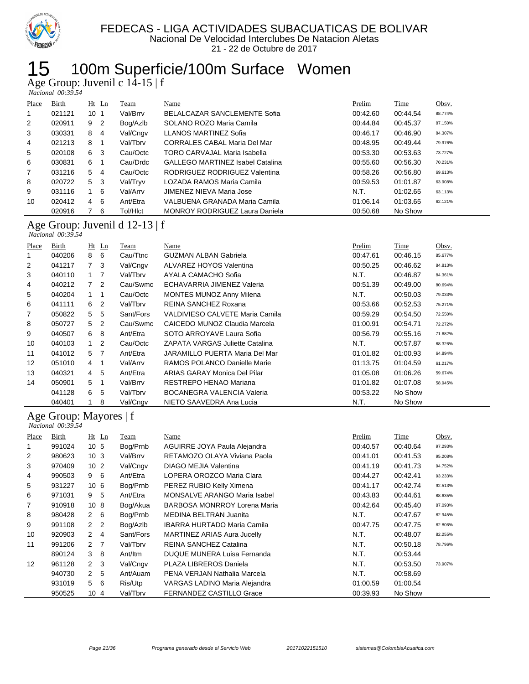

# 100m Superficie/100m Surface Women

Age Group: Juvenil c 14-15 | f

| Nacional 00:39.54 |  |
|-------------------|--|

| Place | Birth  |                 | $Ht$ Ln | Team     | Name                                    | Prelim   | Time     | Obsv.   |
|-------|--------|-----------------|---------|----------|-----------------------------------------|----------|----------|---------|
|       | 021121 | 10 <sub>1</sub> |         | Val/Brrv | BELALCAZAR SANCLEMENTE Sofia            | 00:42.60 | 00:44.54 | 88.774% |
| 2     | 020911 | 9               | - 2     | Bog/Azlb | SOLANO ROZO Maria Camila                | 00:44.84 | 00:45.37 | 87.150% |
| 3     | 030331 | 8               | -4      | Val/Cngv | LLANOS MARTINEZ Sofia                   | 00:46.17 | 00:46.90 | 84.307% |
| 4     | 021213 | 8               |         | Val/Tbrv | <b>CORRALES CABAL Maria Del Mar</b>     | 00:48.95 | 00:49.44 | 79.976% |
| 5     | 020108 | 6               | -3      | Cau/Octc | <b>TORO CARVAJAL Maria Isabella</b>     | 00:53.30 | 00:53.63 | 73.727% |
| 6     | 030831 | 6               |         | Cau/Drdc | <b>GALLEGO MARTINEZ Isabel Catalina</b> | 00:55.60 | 00:56.30 | 70.231% |
| 7     | 031216 | 5 <sub>4</sub>  |         | Cau/Octc | RODRIGUEZ RODRIGUEZ Valentina           | 00:58.26 | 00:56.80 | 69.613% |
| 8     | 020722 | 5               | - 3     | Val/Tryv | LOZADA RAMOS Maria Camila               | 00:59.53 | 01:01.87 | 63.908% |
| 9     | 031116 |                 | -6      | Val/Arrv | JIMENEZ NIEVA Maria Jose                | N.T.     | 01:02.65 | 63.113% |
| 10    | 020412 | 4               | -6      | Ant/Etra | VALBUENA GRANADA Maria Camila           | 01:06.14 | 01:03.65 | 62.121% |
|       | 020916 |                 | -6      | Tol/Hict | <b>MONROY RODRIGUEZ Laura Daniela</b>   | 00:50.68 | No Show  |         |

### Age Group: Juvenil d 12-13 | f

 *Nacional 00:39.54* 

| Place          | Birth  | Ht             | $_{\text{Ln}}$ | Team      | Name                              | Prelim   | Time     | Obsv.   |
|----------------|--------|----------------|----------------|-----------|-----------------------------------|----------|----------|---------|
| 1              | 040206 | 8              | 6              | Cau/Ttnc  | <b>GUZMAN ALBAN Gabriela</b>      | 00:47.61 | 00:46.15 | 85.677% |
| $\overline{2}$ | 041217 | $7^{\circ}$    | 3              | Val/Cngv  | ALVAREZ HOYOS Valentina           | 00:50.25 | 00:46.62 | 84.813% |
| 3              | 040110 | $1 \quad 7$    |                | Val/Tbrv  | AYALA CAMACHO Sofia               | N.T.     | 00:46.87 | 84.361% |
| 4              | 040212 | 7 <sup>2</sup> |                | Cau/Swmc  | ECHAVARRIA JIMENEZ Valeria        | 00:51.39 | 00:49.00 | 80.694% |
| 5              | 040204 | $1 \quad$      | 1              | Cau/Octc  | <b>MONTES MUNOZ Anny Milena</b>   | N.T.     | 00:50.03 | 79.033% |
| 6              | 041111 | 6              | $\overline{2}$ | Val/Tbrv  | REINA SANCHEZ Roxana              | 00:53.66 | 00:52.53 | 75.271% |
| 7              | 050822 | 5              | 5              | Sant/Fors | VALDIVIESO CALVETE Maria Camila   | 00:59.29 | 00:54.50 | 72.550% |
| 8              | 050727 | 5 <sub>2</sub> |                | Cau/Swmc  | CAICEDO MUNOZ Claudia Marcela     | 01:00.91 | 00:54.71 | 72.272% |
| 9              | 040507 | 6              | 8              | Ant/Etra  | SOTO ARROYAVE Laura Sofia         | 00:56.79 | 00:55.16 | 71.682% |
| 10             | 040103 | 1              | 2              | Cau/Octc  | ZAPATA VARGAS Juliette Catalina   | N.T.     | 00:57.87 | 68.326% |
| 11             | 041012 | 5 <sub>7</sub> |                | Ant/Etra  | JARAMILLO PUERTA Maria Del Mar    | 01:01.82 | 01:00.93 | 64.894% |
| 12             | 051010 | 4 1            |                | Val/Arrv  | RAMOS POLANCO Danielle Marie      | 01:13.75 | 01:04.59 | 61.217% |
| 13             | 040321 | 4 5            |                | Ant/Etra  | ARIAS GARAY Monica Del Pilar      | 01:05.08 | 01:06.26 | 59.674% |
| 14             | 050901 | 5              |                | Val/Brrv  | RESTREPO HENAO Mariana            | 01:01.82 | 01:07.08 | 58.945% |
|                | 041128 | 6.             | 5              | Val/Tbrv  | <b>BOCANEGRA VALENCIA Valeria</b> | 00:53.22 | No Show  |         |
|                | 040401 |                | 8              | Val/Cngv  | NIETO SAAVEDRA Ana Lucia          | N.T.     | No Show  |         |

#### Age Group: Mayores | f  *Nacional 00:39.54*

| Place | Birth  | $Ht$ Ln                          | Team      | <u>Name</u>                        | Prelim   | Time     | Obsv.   |
|-------|--------|----------------------------------|-----------|------------------------------------|----------|----------|---------|
| 1     | 991024 | 10 <sub>5</sub>                  | Bog/Prnb  | AGUIRRE JOYA Paula Alejandra       | 00:40.57 | 00:40.64 | 97.293% |
| 2     | 980623 | 10 3                             | Val/Brrv  | RETAMOZO OLAYA Viviana Paola       | 00:41.01 | 00:41.53 | 95.208% |
| 3     | 970409 | 10 <sub>2</sub>                  | Val/Cngv  | DIAGO MEJIA Valentina              | 00:41.19 | 00:41.73 | 94.752% |
| 4     | 990503 | 6<br>9                           | Ant/Etra  | LOPERA OROZCO Maria Clara          | 00:44.27 | 00:42.41 | 93.233% |
| 5     | 931227 | 10 <sub>6</sub>                  | Bog/Prnb  | PEREZ RUBIO Kelly Ximena           | 00:41.17 | 00:42.74 | 92.513% |
| 6     | 971031 | 5<br>9                           | Ant/Etra  | MONSALVE ARANGO Maria Isabel       | 00:43.83 | 00:44.61 | 88.635% |
| 7     | 910918 | 10 <sub>8</sub>                  | Bog/Akua  | BARBOSA MONRROY Lorena Maria       | 00:42.64 | 00:45.40 | 87.093% |
| 8     | 980428 | $2\quad 6$                       | Bog/Prnb  | MEDINA BELTRAN Juanita             | N.T.     | 00:47.67 | 82.945% |
| 9     | 991108 | $\overline{2}$<br>$\overline{2}$ | Bog/Azlb  | <b>IBARRA HURTADO Maria Camila</b> | 00:47.75 | 00:47.75 | 82.806% |
| 10    | 920903 | $\overline{2}$<br>4              | Sant/Fors | MARTINEZ ARIAS Aura Jucelly        | N.T.     | 00:48.07 | 82.255% |
| 11    | 991206 | 2 <sub>7</sub>                   | Val/Tbrv  | <b>REINA SANCHEZ Catalina</b>      | N.T.     | 00:50.18 | 78.796% |
|       | 890124 | 3<br>8                           | Ant/ltm   | DUQUE MUNERA Luisa Fernanda        | N.T.     | 00:53.44 |         |
| 12    | 961128 | 2 <sub>3</sub>                   | Val/Cngv  | PLAZA LIBREROS Daniela             | N.T.     | 00:53.50 | 73.907% |
|       | 940730 | 5<br>$\mathbf{2}$                | Ant/Auam  | PENA VERJAN Nathalia Marcela       | N.T.     | 00:58.69 |         |
|       | 931019 | 5 6                              | Ris/Utp   | VARGAS LADINO Maria Alejandra      | 01:00.59 | 01:00.54 |         |
|       | 950525 | 104                              | Val/Tbrv  | <b>FERNANDEZ CASTILLO Grace</b>    | 00:39.93 | No Show  |         |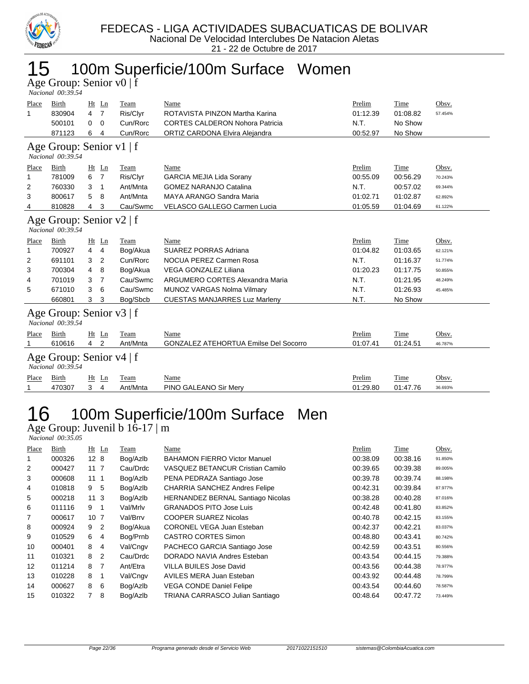

## 15 100m Superficie/100m Surface Women

Age Group: Senior v0 | f  *Nacional 00:39.54* 

| Place                                           | Birth                                           |                | Ht Ln          | Team     | Name                                         | Prelim   | Time     | Obsv.   |
|-------------------------------------------------|-------------------------------------------------|----------------|----------------|----------|----------------------------------------------|----------|----------|---------|
| 1                                               | 830904                                          | 4              | $\overline{7}$ | Ris/Clyr | ROTAVISTA PINZON Martha Karina               | 01:12.39 | 01:08.82 | 57.454% |
|                                                 | 500101                                          | 0              | 0              | Cun/Rorc | <b>CORTES CALDERON Nohora Patricia</b>       | N.T.     | No Show  |         |
|                                                 | 871123                                          | 6              |                | Cun/Rorc | ORTIZ CARDONA Elvira Alejandra               | 00:52.97 | No Show  |         |
|                                                 |                                                 |                |                |          |                                              |          |          |         |
|                                                 | Age Group: Senior v1   f<br>Nacional 00:39.54   |                |                |          |                                              |          |          |         |
| Place                                           | Birth                                           |                | Ht Ln          | Team     | Name                                         | Prelim   | Time     | Obsv.   |
| 1                                               | 781009                                          | 6              | $\overline{7}$ | Ris/Clyr | <b>GARCIA MEJIA Lida Sorany</b>              | 00:55.09 | 00:56.29 | 70.243% |
| 2                                               | 760330                                          | 3              | 1              | Ant/Mnta | <b>GOMEZ NARANJO Catalina</b>                | N.T.     | 00:57.02 | 69.344% |
| 3                                               | 800617                                          | 5              | 8              | Ant/Mnta | MAYA ARANGO Sandra Maria                     | 01:02.71 | 01:02.87 | 62.892% |
| 4                                               | 810828                                          | 4              | 3              | Cau/Swmc | <b>VELASCO GALLEGO Carmen Lucia</b>          | 01:05.59 | 01:04.69 | 61.122% |
| Age Group: Senior v2   f<br>Nacional $00:39.54$ |                                                 |                |                |          |                                              |          |          |         |
| Place                                           | Birth                                           | Ht             | Ln             | Team     | Name                                         | Prelim   | Time     | Obsv.   |
| 1                                               | 700927                                          | 4              | 4              | Bog/Akua | SUAREZ PORRAS Adriana                        | 01:04.82 | 01:03.65 | 62.121% |
| 2                                               | 691101                                          | 3              | $\overline{2}$ | Cun/Rorc | NOCUA PEREZ Carmen Rosa                      | N.T.     | 01:16.37 | 51.774% |
| 3                                               | 700304                                          | 4              | 8              | Bog/Akua | <b>VEGA GONZALEZ Liliana</b>                 | 01:20.23 | 01:17.75 | 50.855% |
| 4                                               | 701019                                          | 3              | $\overline{7}$ | Cau/Swmc | ARGUMERO CORTES Alexandra Maria              | N.T.     | 01:21.95 | 48.249% |
| 5                                               | 671010                                          | 3              | 6              | Cau/Swmc | MUNOZ VARGAS Nolma Vilmary                   | N.T.     | 01:26.93 | 45.485% |
|                                                 | 660801                                          | 3              | 3              | Bog/Sbcb | <b>CUESTAS MANJARRES Luz Marleny</b>         | N.T.     | No Show  |         |
|                                                 | Age Group: Senior $v3$   f<br>Nacional 00:39.54 |                |                |          |                                              |          |          |         |
| Place                                           | Birth                                           | Ht             | Ln             | Team     | Name                                         | Prelim   | Time     | Obsv.   |
| 1                                               | 610616                                          | $\overline{4}$ | 2              | Ant/Mnta | <b>GONZALEZ ATEHORTUA Emilse Del Socorro</b> | 01:07.41 | 01:24.51 | 46.787% |
|                                                 | Age Group: Senior v4   f<br>Nacional 00:39.54   |                |                |          |                                              |          |          |         |
| Place                                           | <b>Birth</b>                                    |                | Ht Ln          | Team     | Name                                         | Prelim   | Time     | Obsv.   |
| 1                                               | 470307                                          | 3              | 4              | Ant/Mnta | PINO GALEANO Sir Mery                        | 01:29.80 | 01:47.76 | 36.693% |
|                                                 |                                                 |                |                |          |                                              |          |          |         |

# 16 100m Superficie/100m Surface Men

Age Group: Juvenil b 16-17 | m  *Nacional 00:35.05* 

<u>Place Birth Ht Ln Team Name</u> Place Herbert Prelim Time Obsv. 000326 12 8 Bog/Azlb BAHAMON FIERRO Victor Manuel 00:38.09 00:38.16 91.850% 000427 11 7 Cau/Drdc VASQUEZ BETANCUR Cristian Camilo 00:39.65 00:39.38 89.005% 000608 11 1 Bog/Azlb PENA PEDRAZA Santiago Jose 00:39.78 00:39.74 88.198% 010818 9 5 Bog/Azlb CHARRIA SANCHEZ Andres Felipe 00:42.31 00:39.84 87.977% 000218 11 3 Bog/Azlb HERNANDEZ BERNAL Santiago Nicolas 00:38.28 00:40.28 87.016% 011116 9 1 Val/Mrlv GRANADOS PITO Jose Luis 00:42.48 00:41.80 83.852% 000617 10 7 Val/Brrv COOPER SUAREZ Nicolas 00:40.78 00:42.15 83.155% 000924 9 2 Bog/Akua CORONEL VEGA Juan Esteban 00:42.37 00:42.21 83.037% 010529 6 4 Bog/Prnb CASTRO CORTES Simon 00:48.80 00:43.41 80.742% 000401 8 4 Val/Cngv PACHECO GARCIA Santiago Jose 00:42.59 00:43.51 80.556% 010321 8 2 Cau/Drdc DORADO NAVIA Andres Esteban 00:43.54 00:44.15 79.388% 011214 8 7 Ant/Etra VILLA BUILES Jose David 00:43.56 00:44.38 78.977% 010228 8 1 Val/Cngv AVILES MERA Juan Esteban 00:43.92 00:44.48 78.799% 14 000627 8 6 Bog/Azlb VEGA CONDE Daniel Felipe 100:43.54 00:44.60 78.587% 010322 7 8 Bog/Azlb TRIANA CARRASCO Julian Santiago 00:48.64 00:47.72 73.449%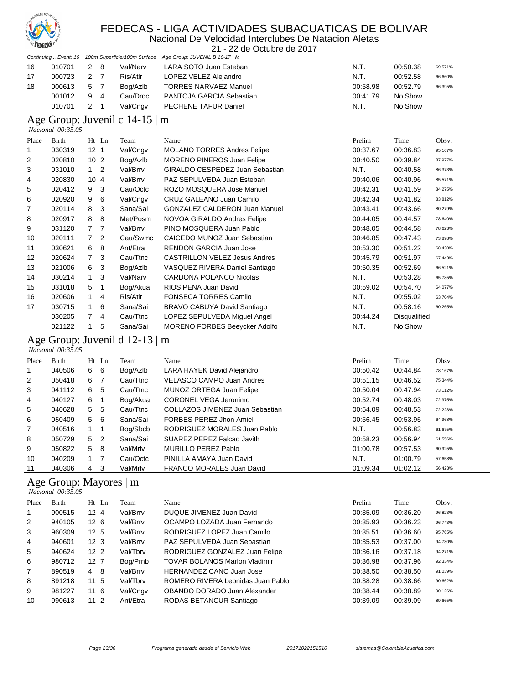

Nacional De Velocidad Interclubes De Natacion Aletas

|              | <b>ALLUE CIAN</b><br>21 - 22 de Octubre de 2017     |                     |                                |                                      |          |              |         |  |  |
|--------------|-----------------------------------------------------|---------------------|--------------------------------|--------------------------------------|----------|--------------|---------|--|--|
|              | Continuing Event: 16                                |                     | 100m Superficie/100m Surface   | Age Group: JUVENIL B 16-17   M       |          |              |         |  |  |
| 16           | 010701                                              | $\overline{2}$<br>8 | Val/Narv                       | LARA SOTO Juan Esteban               | N.T.     | 00:50.38     | 69.571% |  |  |
| 17           | 000723                                              | 2<br>7              | Ris/Atlr                       | LOPEZ VELEZ Alejandro                | N.T.     | 00:52.58     | 66.660% |  |  |
| 18           | 000613                                              | 5<br>7              | Bog/Azlb                       | <b>TORRES NARVAEZ Manuel</b>         | 00:58.98 | 00:52.79     | 66.395% |  |  |
|              | 001012                                              | 9<br>4              | Cau/Drdc                       | PANTOJA GARCIA Sebastian             | 00:41.79 | No Show      |         |  |  |
|              | 010701                                              | 2<br>$\mathbf{1}$   | Val/Cngv                       | PECHENE TAFUR Daniel                 | N.T.     | No Show      |         |  |  |
|              |                                                     |                     |                                |                                      |          |              |         |  |  |
|              | Age Group: Juvenil c 14-15   m<br>Nacional 00:35.05 |                     |                                |                                      |          |              |         |  |  |
| Place        | Birth                                               | $Ht$ Ln             | <b>Team</b>                    | Name                                 | Prelim   | Time         | Obsv.   |  |  |
| 1            | 030319                                              | 12 <sub>1</sub>     | Val/Cngv                       | <b>MOLANO TORRES Andres Felipe</b>   | 00:37.67 | 00:36.83     | 95.167% |  |  |
| 2            | 020810                                              | 10 <sub>2</sub>     | Bog/Azlb                       | <b>MORENO PINEROS Juan Felipe</b>    | 00:40.50 | 00:39.84     | 87.977% |  |  |
| 3            | 031010                                              | $\overline{2}$<br>1 | Val/Brrv                       | GIRALDO CESPEDEZ Juan Sebastian      | N.T.     | 00:40.58     | 86.373% |  |  |
| 4            | 020830                                              | 104                 | Val/Brrv                       | PAZ SEPULVEDA Juan Esteban           | 00:40.06 | 00:40.96     | 85.571% |  |  |
| 5            | 020412                                              | 3<br>9              | Cau/Octc                       | ROZO MOSQUERA Jose Manuel            | 00:42.31 | 00:41.59     | 84.275% |  |  |
| 6            | 020920                                              | 6<br>9              | Val/Cngv                       | CRUZ GALEANO Juan Camilo             | 00:42.34 | 00:41.82     | 83.812% |  |  |
| 7            | 020114                                              | 8<br>3              | Sana/Sai                       | <b>GONZALEZ CALDERON Juan Manuel</b> | 00:43.41 | 00:43.66     | 80.279% |  |  |
| 8            | 020917                                              | 8<br>8              | Met/Posm                       | NOVOA GIRALDO Andres Felipe          | 00:44.05 | 00:44.57     | 78.640% |  |  |
| 9            | 031120                                              | 7<br>7              | Val/Brrv                       | PINO MOSQUERA Juan Pablo             | 00:48.05 | 00:44.58     | 78.623% |  |  |
| 10           | 020111                                              | 7<br>2              | Cau/Swmc                       | CAICEDO MUNOZ Juan Sebastian         | 00:46.85 | 00:47.43     | 73.898% |  |  |
| 11           | 030621                                              | 6<br>8              | Ant/Etra                       | <b>RENDON GARCIA Juan Jose</b>       | 00:53.30 | 00:51.22     | 68.430% |  |  |
| 12           | 020624                                              | $\overline{7}$<br>3 | Cau/Ttnc                       | <b>CASTRILLON VELEZ Jesus Andres</b> | 00:45.79 | 00:51.97     | 67.443% |  |  |
| 13           | 021006                                              | 3<br>6              | Bog/Azlb                       | VASQUEZ RIVERA Daniel Santiago       | 00:50.35 | 00:52.69     | 66.521% |  |  |
|              | 030214                                              | 1<br>3              | Val/Narv                       | CARDONA POLANCO Nicolas              | N.T.     | 00:53.28     |         |  |  |
| 14           |                                                     |                     |                                |                                      |          |              | 65.785% |  |  |
| 15           | 031018                                              | 1<br>5              | Bog/Akua                       | RIOS PENA Juan David                 | 00:59.02 | 00:54.70     | 64.077% |  |  |
| 16           | 020606                                              | 1<br>4              | Ris/Atlr                       | FONSECA TORRES Camilo                | N.T.     | 00:55.02     | 63.704% |  |  |
| 17           | 030715                                              | 6<br>1              | Sana/Sai                       | BRAVO CABUYA David Santiago          | N.T.     | 00:58.16     | 60.265% |  |  |
|              | 030205                                              | $\overline{7}$<br>4 | Cau/Ttnc                       | LOPEZ SEPULVEDA Miguel Angel         | 00:44.24 | Disqualified |         |  |  |
|              | 021122                                              | $\mathbf{1}$<br>5   | Sana/Sai                       | MORENO FORBES Beeycker Adolfo        | N.T.     | No Show      |         |  |  |
|              | Nacional 00:35.05                                   |                     | Age Group: Juvenil d 12-13   m |                                      |          |              |         |  |  |
| Place        | Birth                                               | $Ht$ Ln             | Team                           | Name                                 | Prelim   | Time         | Obsv.   |  |  |
| 1            | 040506                                              | 6<br>6              | Bog/Azlb                       | LARA HAYEK David Alejandro           | 00:50.42 | 00:44.84     | 78.167% |  |  |
| 2            | 050418                                              | 7<br>6              | Cau/Ttnc                       | VELASCO CAMPO Juan Andres            | 00:51.15 | 00:46.52     | 75.344% |  |  |
| 3            | 041112                                              | 5<br>6              | Cau/Ttnc                       | MUNOZ ORTEGA Juan Felipe             | 00:50.04 | 00:47.94     | 73.112% |  |  |
| 4            | 040127                                              | 1<br>6              | Bog/Akua                       | CORONEL VEGA Jeronimo                | 00:52.74 | 00:48.03     | 72.975% |  |  |
|              | 040628                                              | 5<br>5              | Cau/Ttnc                       | COLLAZOS JIMENEZ Juan Sebastian      | 00:54.09 | 00:48.53     | 72.223% |  |  |
| 5            | 050409                                              | 5<br>6              | Sana/Sai                       | <b>FORBES PEREZ Jhon Amiel</b>       |          |              | 64.968% |  |  |
| 6            |                                                     | 1<br>1              |                                |                                      | 00:56.45 | 00:53.95     |         |  |  |
| 7            | 040516                                              |                     | Bog/Sbcb                       | RODRIGUEZ MORALES Juan Pablo         | N.T.     | 00:56.83     | 61.675% |  |  |
| 8            | 050729                                              | 5<br>2              | Sana/Sai                       | SUAREZ PEREZ Falcao Javith           | 00:58.23 | 00:56.94     | 61.556% |  |  |
| 9            | 050822                                              | 5<br>8              | Val/Mrlv                       | MURILLO PEREZ Pablo                  | 01:00.78 | 00:57.53     | 60.925% |  |  |
| 10           | 040209                                              | 7<br>1              | Cau/Octc                       | PINILLA AMAYA Juan David             | N.T.     | 01:00.79     | 57.658% |  |  |
| 11           | 040306                                              | 4<br>3              | Val/Mrlv                       | FRANCO MORALES Juan David            | 01:09.34 | 01:02.12     | 56.423% |  |  |
|              | Nacional 00:35.05                                   |                     | Age Group: Mayores   m         |                                      |          |              |         |  |  |
| <b>Place</b> | <b>Birth</b>                                        | <u>Ht Ln</u>        | <u>Team</u>                    | <b>Name</b>                          | Prelim   | Time         | Obsv.   |  |  |
| 1            | 900515                                              | 12 4                | Val/Brrv                       | DUQUE JIMENEZ Juan David             | 00:35.09 | 00:36.20     | 96.823% |  |  |
| 2            | 940105                                              | 12 6                | Val/Brrv                       | OCAMPO LOZADA Juan Fernando          | 00:35.93 | 00:36.23     | 96.743% |  |  |
| 3            | 960309                                              | 12 <sub>5</sub>     | Val/Brrv                       | RODRIGUEZ LOPEZ Juan Camilo          | 00:35.51 | 00:36.60     | 95.765% |  |  |
| 4            | 940601                                              | 12 <sub>3</sub>     | Val/Brrv                       | PAZ SEPULVEDA Juan Sebastian         | 00:35.53 | 00:37.00     | 94.730% |  |  |
| 5            | 940624                                              | 12 <sub>2</sub>     | Val/Tbrv                       | RODRIGUEZ GONZALEZ Juan Felipe       | 00:36.16 | 00:37.18     |         |  |  |
|              | 980712                                              | 12 7                |                                | TOVAR BOLANOS Marlon Vladimir        | 00:36.98 |              | 94.271% |  |  |
| 6            |                                                     |                     | Bog/Prnb                       |                                      |          | 00:37.96     | 92.334% |  |  |
| 7            | 890519                                              | $4\quad 8$          | Val/Brrv                       | HERNANDEZ CANO Juan Jose             | 00:38.50 | 00:38.50     | 91.039% |  |  |
| 8            | 891218                                              | 11 <sub>5</sub>     | Val/Tbrv                       | ROMERO RIVERA Leonidas Juan Pablo    | 00:38.28 | 00:38.66     | 90.662% |  |  |
| 9            | 981227                                              | 11 6                | Val/Cngv                       | OBANDO DORADO Juan Alexander         | 00:38.44 | 00:38.89     | 90.126% |  |  |
| 10           | 990613                                              | $11 \quad 2$        | Ant/Etra                       | RODAS BETANCUR Santiago              | 00:39.09 | 00:39.09     | 89.665% |  |  |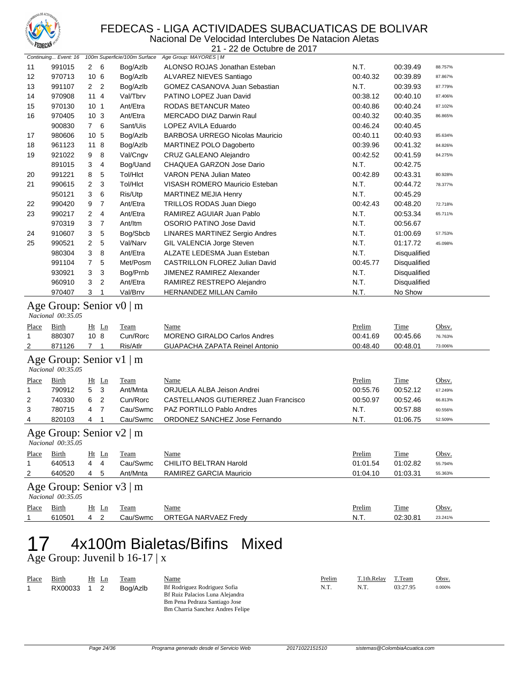

Nacional De Velocidad Interclubes De Natacion Aletas

| <b>A CUECURA</b><br>21 - 22 de Octubre de 2017 |                                                    |                      |                              |                                        |          |              |         |  |
|------------------------------------------------|----------------------------------------------------|----------------------|------------------------------|----------------------------------------|----------|--------------|---------|--|
|                                                | Continuing Event: 16                               |                      | 100m Superficie/100m Surface | Age Group: MAYORES   M                 |          |              |         |  |
| 11                                             | 991015                                             | $2\quad 6$           | Bog/Azlb                     | ALONSO ROJAS Jonathan Esteban          | N.T.     | 00:39.49     | 88.757% |  |
| 12                                             | 970713                                             | 10 <sub>6</sub>      | Bog/Azlb                     | ALVAREZ NIEVES Santiago                | 00:40.32 | 00:39.89     | 87.867% |  |
| 13                                             | 991107                                             | 2 <sub>2</sub>       | Bog/Azlb                     | <b>GOMEZ CASANOVA Juan Sebastian</b>   | N.T.     | 00:39.93     | 87.779% |  |
| 14                                             | 970908                                             | 114                  | Val/Tbrv                     | PATINO LOPEZ Juan David                | 00:38.12 | 00:40.10     | 87.406% |  |
| 15                                             | 970130                                             | 10 <sub>1</sub>      | Ant/Etra                     | RODAS BETANCUR Mateo                   | 00:40.86 | 00:40.24     | 87.102% |  |
| 16                                             | 970405                                             | 10 <sub>3</sub>      | Ant/Etra                     | MERCADO DIAZ Darwin Raul               | 00:40.32 | 00:40.35     | 86.865% |  |
|                                                | 900830                                             | 7 6                  | Sant/Uis                     | LOPEZ AVILA Eduardo                    | 00:46.24 | 00:40.45     |         |  |
| 17                                             | 980606                                             | 10 <sub>5</sub>      | Bog/Azlb                     | <b>BARBOSA URREGO Nicolas Mauricio</b> | 00:40.11 | 00:40.93     | 85.634% |  |
| 18                                             | 961123                                             | 118                  | Bog/Azlb                     | MARTINEZ POLO Dagoberto                | 00:39.96 | 00:41.32     | 84.826% |  |
| 19                                             | 921022                                             | 8<br>9               | Val/Cngv                     | CRUZ GALEANO Alejandro                 | 00:42.52 | 00:41.59     | 84.275% |  |
|                                                | 891015                                             | $\overline{4}$<br>3  | Bog/Uand                     | CHAQUEA GARZON Jose Dario              | N.T.     | 00:42.75     |         |  |
| 20                                             | 991221                                             | 5<br>8               | Tol/HIct                     | <b>VARON PENA Julian Mateo</b>         | 00:42.89 | 00:43.31     | 80.928% |  |
| 21                                             | 990615                                             | 2<br>3               | Tol/HIct                     | VISASH ROMERO Mauricio Esteban         | N.T.     | 00:44.72     | 78.377% |  |
|                                                | 950121                                             | 3<br>6               | Ris/Utp                      | <b>MARTINEZ MEJIA Henry</b>            | N.T.     | 00:45.29     |         |  |
| 22                                             | 990420                                             | $\overline{7}$<br>9  | Ant/Etra                     | TRILLOS RODAS Juan Diego               | 00:42.43 | 00:48.20     | 72.718% |  |
| 23                                             | 990217                                             | 2<br>4               | Ant/Etra                     | RAMIREZ AGUIAR Juan Pablo              | N.T.     | 00:53.34     | 65.711% |  |
|                                                | 970319                                             | 3<br>$\overline{7}$  | Ant/Itm                      | OSORIO PATINO Jose David               | N.T.     | 00:56.67     |         |  |
| 24                                             | 910607                                             | 3<br>5               | Bog/Sbcb                     | LINARES MARTINEZ Sergio Andres         | N.T.     | 01:00.69     | 57.753% |  |
| 25                                             | 990521                                             | 2<br>5               | Val/Narv                     | GIL VALENCIA Jorge Steven              | N.T.     | 01:17.72     | 45.098% |  |
|                                                | 980304                                             | 3<br>8               | Ant/Etra                     | ALZATE LEDESMA Juan Esteban            | N.T.     | Disqualified |         |  |
|                                                | 991104                                             | 7<br>5               | Met/Posm                     | <b>CASTRILLON FLOREZ Julian David</b>  | 00:45.77 | Disqualified |         |  |
|                                                | 930921                                             | 3<br>3               | Bog/Prnb                     | JIMENEZ RAMIREZ Alexander              | N.T.     | Disqualified |         |  |
|                                                | 960910                                             | 3<br>2               | Ant/Etra                     | RAMIREZ RESTREPO Alejandro             | N.T.     | Disqualified |         |  |
|                                                | 970407                                             | 3<br>$\mathbf{1}$    |                              | HERNANDEZ MILLAN Camilo                |          |              |         |  |
|                                                |                                                    |                      | Val/Brrv                     |                                        | N.T.     | No Show      |         |  |
|                                                | Age Group: Senior $v0 \mid m$                      |                      |                              |                                        |          |              |         |  |
|                                                | Nacional 00:35.05                                  |                      |                              |                                        |          |              |         |  |
| Place                                          | <b>Birth</b>                                       | Ht Ln                | <b>Team</b>                  | <b>Name</b>                            | Prelim   | Time         | Obsv.   |  |
| 1                                              | 880307                                             | 10 8                 | Cun/Rorc                     | MORENO GIRALDO Carlos Andres           | 00:41.69 | 00:45.66     | 76.763% |  |
| 2                                              | 871126                                             | $\overline{7}$<br>-1 | Ris/Atlr                     | GUAPACHA ZAPATA Reinel Antonio         | 00:48.40 | 00:48.01     | 73.006% |  |
|                                                | Age Group: Senior $v1 \mid m$<br>Nacional 00:35.05 |                      |                              |                                        |          |              |         |  |
| Place                                          | Birth                                              | $Ht$ Ln              | Team                         | Name                                   | Prelim   | <b>Time</b>  | Obsv.   |  |
| 1                                              | 790912                                             | 5<br>3               | Ant/Mnta                     | ORJUELA ALBA Jeison Andrei             | 00:55.76 | 00:52.12     | 67.249% |  |
| 2                                              | 740330                                             | 6<br>2               | Cun/Rorc                     | CASTELLANOS GUTIERREZ Juan Francisco   | 00:50.97 | 00:52.46     | 66.813% |  |
| 3                                              | 780715                                             | 7<br>4               | Cau/Swmc                     | PAZ PORTILLO Pablo Andres              | N.T.     | 00:57.88     | 60.556% |  |
| 4                                              | 820103                                             | 4<br>1               | Cau/Swmc                     | ORDONEZ SANCHEZ Jose Fernando          | N.T.     | 01:06.75     | 52.509% |  |
|                                                | Age Group: Senior v2   m<br>Nacional 00:35.05      |                      |                              |                                        |          |              |         |  |
| Place                                          | <b>Birth</b>                                       | $Ht$ Ln              | <b>Team</b>                  | <b>Name</b>                            | Prelim   | Time         | Obsv.   |  |
| $\mathbf 1$                                    | 640513                                             | 4<br>$\overline{4}$  | Cau/Swmc                     | CHILITO BELTRAN Harold                 | 01:01.54 | 01:02.82     | 55.794% |  |
| $\overline{c}$                                 | 640520                                             | $\overline{4}$<br>5  | Ant/Mnta                     | RAMIREZ GARCIA Mauricio                | 01:04.10 | 01:03.31     | 55.363% |  |
|                                                | Age Group: Senior $v3 \mid m$<br>Nacional 00:35.05 |                      |                              |                                        |          |              |         |  |
| Place                                          | <b>Birth</b>                                       | $Ht$ Ln              | <b>Team</b>                  | <b>Name</b>                            | Prelim   | <b>Time</b>  | Obsv.   |  |
| 1                                              | 610501                                             | 4 <sub>2</sub>       | Cau/Swmc                     | ORTEGA NARVAEZ Fredy                   | N.T.     | 02:30.81     | 23.241% |  |

## 4x100m Bialetas/Bifins Mixed 17 4x100m Bialet<br>Age Group: Juvenil b 16-17 | x

| Place | Birth<br>RX00033 | Ht Ln | Team<br>Bog/Azlb | Name<br>Bf Rodriguez Rodriguez Sofia<br>Bf Ruiz Palacios Luna Alejandra | Prelim<br>N.T. | T.1th.Relay<br>N.T. | T.Team<br>03:27.95 | Obsv.<br>0.000% |
|-------|------------------|-------|------------------|-------------------------------------------------------------------------|----------------|---------------------|--------------------|-----------------|
|       |                  |       |                  | Bm Pena Pedraza Santiago Jose                                           |                |                     |                    |                 |
|       |                  |       |                  | Bm Charria Sanchez Andres Felipe                                        |                |                     |                    |                 |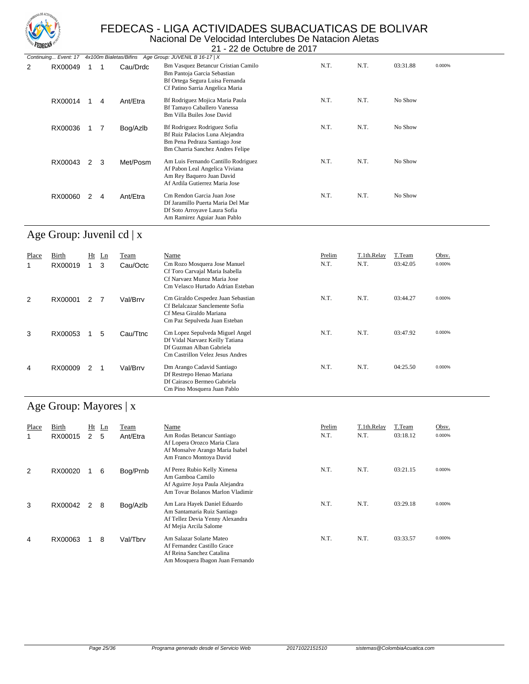

Nacional De Velocidad Interclubes De Natacion Aletas 21 - 22 de Octubre de 2017

|   |         |   |   |          | Continuing Event: 17 4x100m Bialetas/Bifins Age Group: JUVENIL B 16-17   X                                                               |      |      |          |        |
|---|---------|---|---|----------|------------------------------------------------------------------------------------------------------------------------------------------|------|------|----------|--------|
| 2 | RX00049 |   |   | Cau/Drdc | Bm Vasquez Betancur Cristian Camilo<br>Bm Pantoja Garcia Sebastian<br>Bf Ortega Segura Luisa Fernanda<br>Cf Patino Sarria Angelica Maria | N.T. | N.T. | 03:31.88 | 0.000% |
|   | RX00014 |   | 4 | Ant/Etra | Bf Rodriguez Mojica Maria Paula<br>Bf Tamayo Caballero Vanessa<br><b>Bm Villa Builes Jose David</b>                                      | N.T. | N.T. | No Show  |        |
|   | RX00036 |   |   | Bog/Azlb | Bf Rodriguez Rodriguez Sofia<br>Bf Ruiz Palacios Luna Alejandra<br>Bm Pena Pedraza Santiago Jose<br>Bm Charria Sanchez Andres Felipe     | N.T. | N.T. | No Show  |        |
|   | RX00043 | 2 | 3 | Met/Posm | Am Luis Fernando Cantillo Rodriguez<br>Af Pabon Leal Angelica Viviana<br>Am Rey Baquero Juan David<br>Af Ardila Gutierrez Maria Jose     | N.T. | N.T. | No Show  |        |
|   | RX00060 | 2 | 4 | Ant/Etra | Cm Rendon Garcia Juan Jose<br>Df Jaramillo Puerta Maria Del Mar<br>Df Soto Arroyave Laura Sofia<br>Am Ramirez Aguiar Juan Pablo          | N.T. | N.T. | No Show  |        |

## Age Group: Juvenil cd | x

| Place<br>1 | Birth<br>RX00019 | Ht | Ln<br>3 | Team<br>Cau/Octc | Name<br>Cm Rozo Mosquera Jose Manuel<br>Cf Toro Carvajal Maria Isabella<br>Cf Narvaez Munoz Maria Jose<br>Cm Velasco Hurtado Adrian Esteban | Prelim<br>N.T. | T.1th.Relay<br>N.T. | T.Team<br>03:42.05 | Obsv.<br>0.000% |
|------------|------------------|----|---------|------------------|---------------------------------------------------------------------------------------------------------------------------------------------|----------------|---------------------|--------------------|-----------------|
| 2          | RX00001          | 2  | - 7     | Val/Brrv         | Cm Giraldo Cespedez Juan Sebastian<br>Cf Belalcazar Sanclemente Sofia<br>Cf Mesa Giraldo Mariana<br>Cm Paz Sepulveda Juan Esteban           | N.T.           | N.T.                | 03:44.27           | 0.000%          |
| 3          | RX00053          |    | 5       | Cau/Ttnc         | Cm Lopez Sepulveda Miguel Angel<br>Df Vidal Narvaez Keilly Tatiana<br>Df Guzman Alban Gabriela<br>Cm Castrillon Velez Jesus Andres          | N.T.           | N.T.                | 03:47.92           | 0.000%          |
| 4          | RX00009          |    |         | Val/Brrv         | Dm Arango Cadavid Santiago<br>Df Restrepo Henao Mariana<br>Df Cairasco Bermeo Gabriela<br>Cm Pino Mosquera Juan Pablo                       | N.T.           | N.T.                | 04:25.50           | 0.000%          |

## Age Group: Mayores | x

| Place | Birth<br>RX00015 | Ht<br>2 | Ln<br>5 | Team<br>Ant/Etra | Name<br>Am Rodas Betancur Santiago<br>Af Lopera Orozco Maria Clara<br>Af Monsalve Arango Maria Isabel<br>Am Franco Montoya David | Prelim<br>N.T. | T.1th.Relay<br>N.T. | T.Team<br>03:18.12 | Obsv.<br>0.000% |
|-------|------------------|---------|---------|------------------|----------------------------------------------------------------------------------------------------------------------------------|----------------|---------------------|--------------------|-----------------|
| 2     | RX00020          |         | 6       | Bog/Prnb         | Af Perez Rubio Kelly Ximena<br>Am Gamboa Camilo<br>Af Aguirre Joya Paula Alejandra<br>Am Tovar Bolanos Marlon Vladimir           | N.T.           | N.T.                | 03:21.15           | 0.000%          |
| 3     | RX00042          | 2       | 8       | Bog/Azlb         | Am Lara Hayek Daniel Eduardo<br>Am Santamaria Ruiz Santiago<br>Af Tellez Devia Yenny Alexandra<br>Af Mejia Arcila Salome         | N.T.           | N.T.                | 03:29.18           | 0.000%          |
| 4     | RX00063          |         | 8       | Val/Tbrv         | Am Salazar Solarte Mateo<br>Af Fernandez Castillo Grace<br>Af Reina Sanchez Catalina<br>Am Mosquera Ibagon Juan Fernando         | N.T.           | N.T.                | 03:33.57           | 0.000%          |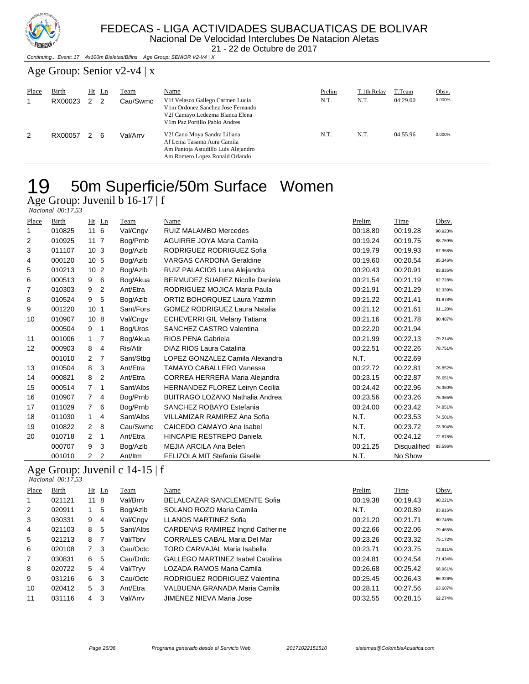

Continuing... Event: 17 4x100m Bialetas/Bifins Age Group: SENIOR V2-V4 | X

### Age Group: Senior v2-v4 | x

| Place | Birth<br>RX00023 | 2             | Ht Ln | <b>Team</b><br>Cau/Swmc | Name<br>V1f Velasco Gallego Carmen Lucia<br>V1m Ordonez Sanchez Jose Fernando<br>V2f Camayo Ledezma Blanca Elena<br>V1m Paz Portillo Pablo Andres | Prelim<br>N.T. | T.1th.Relay<br>N.T. | T.Team<br>04:29.00 | Obsv.<br>0.000% |
|-------|------------------|---------------|-------|-------------------------|---------------------------------------------------------------------------------------------------------------------------------------------------|----------------|---------------------|--------------------|-----------------|
| 2     | RX00057          | $\mathcal{P}$ | 6     | Val/Arrv                | V2f Cano Moya Sandra Liliana<br>Af Lema Tasama Aura Camila<br>Am Pantoja Astudillo Luis Alejandro<br>Am Romero Lopez Ronald Orlando               | N.T.           | N.T.                | 04:55.96           | 0.000%          |

# 50m Superficie/50m Surface Women

Age Group: Juvenil b 16-17 | f

 *Nacional 00:17.53* 

| Place | Birth  | Ht Ln           |              | Team      | Name                                   | Prelim   | Time                | Obsv.   |
|-------|--------|-----------------|--------------|-----------|----------------------------------------|----------|---------------------|---------|
| 1     | 010825 | 11 6            |              | Val/Cngv  | RUIZ MALAMBO Mercedes                  | 00:18.80 | 00:19.28            | 90.923% |
| 2     | 010925 | $11 \t7$        |              | Bog/Prnb  | AGUIRRE JOYA Maria Camila              | 00:19.24 | 00:19.75            | 88.759% |
| 3     | 011107 | 10 <sub>3</sub> |              | Bog/Azlb  | RODRIGUEZ RODRIGUEZ Sofia              | 00:19.79 | 00:19.93            | 87.958% |
| 4     | 000120 | 10 <sub>5</sub> |              | Bog/Azlb  | <b>VARGAS CARDONA Geraldine</b>        | 00:19.60 | 00:20.54            | 85.346% |
| 5     | 010213 | 10 <sub>2</sub> |              | Bog/Azlb  | RUIZ PALACIOS Luna Alejandra           | 00:20.43 | 00:20.91            | 83.835% |
| 6     | 000513 | 9               | 6            | Bog/Akua  | <b>BERMUDEZ SUAREZ Nicolle Daniela</b> | 00:21.54 | 00:21.19            | 82.728% |
| 7     | 010303 | 9               | 2            | Ant/Etra  | RODRIGUEZ MOJICA Maria Paula           | 00:21.91 | 00:21.29            | 82.339% |
| 8     | 010524 | 9               | 5            | Bog/Azlb  | ORTIZ BOHORQUEZ Laura Yazmin           | 00:21.22 | 00:21.41            | 81.878% |
| 9     | 001220 | 10 <sub>1</sub> |              | Sant/Fors | <b>GOMEZ RODRIGUEZ Laura Natalia</b>   | 00:21.12 | 00:21.61            | 81.120% |
| 10    | 010907 | 10 <sub>8</sub> |              | Val/Cngv  | <b>ECHEVERRI GIL Melany Tatiana</b>    | 00:21.16 | 00:21.78            | 80.487% |
|       | 000504 | 9               | $\mathbf{1}$ | Bog/Uros  | SANCHEZ CASTRO Valentina               | 00:22.20 | 00:21.94            |         |
| 11    | 001006 | 1.              | 7            | Bog/Akua  | RIOS PENA Gabriela                     | 00:21.99 | 00:22.13            | 79.214% |
| 12    | 000903 | 8               | 4            | Ris/Atlr  | DIAZ RIOS Laura Catalina               | 00:22.51 | 00:22.26            | 78.751% |
|       | 001010 | 2               | 7            | Sant/Stbg | LOPEZ GONZALEZ Camila Alexandra        | N.T.     | 00:22.69            |         |
| 13    | 010504 | 8               | 3            | Ant/Etra  | <b>TAMAYO CABALLERO Vanessa</b>        | 00:22.72 | 00:22.81            | 76.852% |
| 14    | 000821 | 8               | 2            | Ant/Etra  | CORREA HERRERA Maria Alejandra         | 00:23.15 | 00:22.87            | 76.651% |
| 15    | 000514 | $7^{\circ}$     | 1            | Sant/Albs | <b>HERNANDEZ FLOREZ Leiryn Cecilia</b> | 00:24.42 | 00:22.96            | 76.350% |
| 16    | 010907 | $7^{\circ}$     | 4            | Bog/Prnb  | <b>BUITRAGO LOZANO Nathalia Andrea</b> | 00:23.56 | 00:23.26            | 75.365% |
| 17    | 011029 | $7^{\circ}$     | 6            | Bog/Prnb  | SANCHEZ ROBAYO Estefania               | 00:24.00 | 00:23.42            | 74.851% |
| 18    | 011030 |                 | 4            | Sant/Albs | VILLAMIZAR RAMIREZ Ana Sofia           | N.T.     | 00:23.53            | 74.501% |
| 19    | 010822 | 2               | 8            | Cau/Swmc  | CAICEDO CAMAYO Ana Isabel              | N.T.     | 00:23.72            | 73.904% |
| 20    | 010718 | 2               | 1            | Ant/Etra  | <b>HINCAPIE RESTREPO Daniela</b>       | N.T.     | 00:24.12            | 72.678% |
|       | 000707 | 9               | 3            | Bog/Azlb  | MEJIA ARCILA Ana Belen                 | 00:21.25 | <b>Disqualified</b> | 83.596% |
|       | 001010 | 2               | 2            | Ant/ltm   | FELIZOLA MIT Stefania Giselle          | N.T.     | No Show             |         |

## Age Group: Juvenil c 14-15 | f

| <i>Nacional 00:17.53</i> |  |
|--------------------------|--|

| Place | <b>Birth</b> |             | $Ht$ Ln | Team      | Name                                     | Prelim   | Time     | Obsv.   |
|-------|--------------|-------------|---------|-----------|------------------------------------------|----------|----------|---------|
| -1    | 021121       | 118         |         | Val/Brrv  | <b>BELALCAZAR SANCLEMENTE Sofia</b>      | 00:19.38 | 00:19.43 | 90.221% |
| 2     | 020911       | 1.          | -5      | Bog/Azlb  | SOLANO ROZO Maria Camila                 | N.T.     | 00:20.89 | 83.916% |
| 3     | 030331       | 9           | 4       | Val/Cngv  | LLANOS MARTINEZ Sofia                    | 00:21.20 | 00:21.71 | 80.746% |
| 4     | 021103       | 8           | -5      | Sant/Albs | <b>CARDENAS RAMIREZ Ingrid Catherine</b> | 00:22.66 | 00:22.06 | 79.465% |
| 5     | 021213       | 8           | -7      | Val/Tbrv  | <b>CORRALES CABAL Maria Del Mar</b>      | 00:23.26 | 00:23.32 | 75.172% |
| 6     | 020108       | $7^{\circ}$ | -3      | Cau/Octc  | <b>TORO CARVAJAL Maria Isabella</b>      | 00:23.71 | 00:23.75 | 73.811% |
| 7     | 030831       | 6           | -5      | Cau/Drdc  | <b>GALLEGO MARTINEZ Isabel Catalina</b>  | 00:24.81 | 00:24.54 | 71.434% |
| 8     | 020722       | 5           | 4       | Val/Tryv  | LOZADA RAMOS Maria Camila                | 00:26.68 | 00:25.42 | 68.961% |
| 9     | 031216       | 6           | -3      | Cau/Octc  | RODRIGUEZ RODRIGUEZ Valentina            | 00:25.45 | 00:26.43 | 66.326% |
| 10    | 020412       | 5           | -3      | Ant/Etra  | VALBUENA GRANADA Maria Camila            | 00:28.11 | 00:27.56 | 63.607% |
| 11    | 031116       | 4           | 3       | Val/Arrv  | JIMENEZ NIEVA Maria Jose                 | 00:32.55 | 00:28.15 | 62.274% |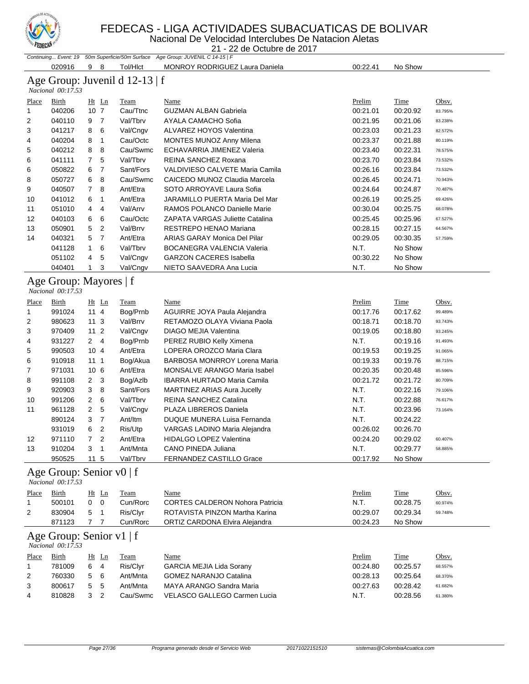

Nacional De Velocidad Interclubes De Natacion Aletas 21 - 22 de Octubre de 2017

|                   |                                               |                                  |                                | Continuing Event: 19 50m Superficie/50m Surface Age Group: JUVENIL C 14-15   F |               |             |                  |
|-------------------|-----------------------------------------------|----------------------------------|--------------------------------|--------------------------------------------------------------------------------|---------------|-------------|------------------|
|                   | 020916                                        | 9<br>8                           | Tol/HIct                       | <b>MONROY RODRIGUEZ Laura Daniela</b>                                          | 00:22.41      | No Show     |                  |
|                   | Nacional 00:17.53                             |                                  | Age Group: Juvenil d 12-13   f |                                                                                |               |             |                  |
| Place             | Birth                                         | Ht Ln                            | <b>Team</b>                    | Name                                                                           | Prelim        | <b>Time</b> | Obsv.            |
| 1                 | 040206                                        | 10 <sub>7</sub>                  | Cau/Ttnc                       | <b>GUZMAN ALBAN Gabriela</b>                                                   | 00:21.01      | 00:20.92    | 83.795%          |
|                   | 040110                                        | 9<br>$\overline{7}$              | Val/Tbrv                       | AYALA CAMACHO Sofia                                                            | 00:21.95      | 00:21.06    | 83.238%          |
|                   | 041217                                        | 6<br>8                           | Val/Cngv                       | ALVAREZ HOYOS Valentina                                                        | 00:23.03      | 00:21.23    | 82.572%          |
| 3<br>4            | 040204                                        | 8<br>$\overline{1}$              | Cau/Octc                       | MONTES MUNOZ Anny Milena                                                       | 00:23.37      | 00:21.88    | 80.119%          |
| 5                 | 040212                                        | 8<br>8                           | Cau/Swmc                       | ECHAVARRIA JIMENEZ Valeria                                                     | 00:23.40      | 00:22.31    | 78.575%          |
| 6                 | 041111                                        | $\overline{7}$<br>5              | Val/Tbrv                       | REINA SANCHEZ Roxana                                                           | 00:23.70      | 00:23.84    | 73.532%          |
| 6                 | 050822                                        | 6<br>7                           | Sant/Fors                      | VALDIVIESO CALVETE Maria Camila                                                | 00:26.16      | 00:23.84    | 73.532%          |
| 8                 | 050727                                        | 6<br>8                           | Cau/Swmc                       | CAICEDO MUNOZ Claudia Marcela                                                  | 00:26.45      | 00:24.71    | 70.943%          |
| 9                 | 040507                                        | 7<br>8                           | Ant/Etra                       | SOTO ARROYAVE Laura Sofia                                                      | 00:24.64      | 00:24.87    | 70.487%          |
| 10                | 041012                                        | 6<br>$\mathbf{1}$                | Ant/Etra                       | JARAMILLO PUERTA Maria Del Mar                                                 | 00:26.19      | 00:25.25    | 69.426%          |
| 11                | 051010                                        | 4<br>4                           | Val/Arrv                       | RAMOS POLANCO Danielle Marie                                                   | 00:30.04      | 00:25.75    | 68.078%          |
| 12                | 040103                                        | 6<br>6                           | Cau/Octc                       | ZAPATA VARGAS Juliette Catalina                                                | 00:25.45      | 00:25.96    | 67.527%          |
|                   |                                               |                                  |                                | RESTREPO HENAO Mariana                                                         |               |             |                  |
| 13                | 050901                                        | 5<br>$\overline{2}$<br>5         | Val/Brrv                       |                                                                                | 00:28.15      | 00:27.15    | 64.567%          |
| 14                | 040321                                        | 7                                | Ant/Etra                       | <b>ARIAS GARAY Monica Del Pilar</b>                                            | 00:29.05      | 00:30.35    | 57.759%          |
|                   | 041128                                        | 6<br>$\mathbf{1}$                | Val/Tbrv                       | <b>BOCANEGRA VALENCIA Valeria</b>                                              | N.T.          | No Show     |                  |
|                   | 051102                                        | 4<br>5                           | Val/Cngv                       | <b>GARZON CACERES Isabella</b>                                                 | 00:30.22      | No Show     |                  |
|                   | 040401                                        | $\mathbf 1$<br>3                 | Val/Cngv                       | NIETO SAAVEDRA Ana Lucia                                                       | N.T.          | No Show     |                  |
|                   | Age Group: Mayores   f<br>Nacional 00:17.53   |                                  |                                |                                                                                |               |             |                  |
| Place             | <b>Birth</b>                                  | $Ht$ Ln                          | <b>Team</b>                    | Name                                                                           | Prelim        | Time        | Obsv.            |
| 1                 | 991024                                        | 114                              | Bog/Prnb                       | AGUIRRE JOYA Paula Alejandra                                                   | 00:17.76      | 00:17.62    | 99.489%          |
| 2                 | 980623                                        | 11 <sub>3</sub>                  | Val/Brrv                       | RETAMOZO OLAYA Viviana Paola                                                   | 00:18.71      | 00:18.70    | 93.743%          |
| 3                 | 970409                                        | 11 <sub>2</sub>                  | Val/Cngv                       | DIAGO MEJIA Valentina                                                          | 00:19.05      | 00:18.80    | 93.245%          |
| 4                 | 931227                                        | $2 \quad 4$                      | Bog/Prnb                       | PEREZ RUBIO Kelly Ximena                                                       | N.T.          | 00:19.16    | 91.493%          |
| 5                 | 990503                                        | 10 <sub>4</sub>                  | Ant/Etra                       | LOPERA OROZCO Maria Clara                                                      | 00:19.53      | 00:19.25    | 91.065%          |
| 6                 | 910918                                        | 111                              | Bog/Akua                       | <b>BARBOSA MONRROY Lorena Maria</b>                                            | 00:19.33      | 00:19.76    | 88.715%          |
| 7                 | 971031                                        | 10 <sub>6</sub>                  | Ant/Etra                       | <b>MONSALVE ARANGO Maria Isabel</b>                                            | 00:20.35      | 00:20.48    | 85.596%          |
| 8                 | 991108                                        | 3<br>$\mathbf{2}$                | Bog/Azlb                       | IBARRA HURTADO Maria Camila                                                    | 00:21.72      | 00:21.72    | 80.709%          |
| 9                 | 920903                                        | 3<br>8                           | Sant/Fors                      | <b>MARTINEZ ARIAS Aura Jucelly</b>                                             | N.T.          | 00:22.16    | 79.106%          |
| 10                | 991206                                        | 6<br>2                           | Val/Tbrv                       | <b>REINA SANCHEZ Catalina</b>                                                  | N.T.          | 00:22.88    | 76.617%          |
| 11                | 961128                                        | $\overline{2}$<br>5              | Val/Cngv                       | PLAZA LIBREROS Daniela                                                         | N.T.          | 00:23.96    | 73.164%          |
|                   | 890124                                        | $\overline{7}$<br>3              | Ant/Itm                        | DUQUE MUNERA Luisa Fernanda                                                    | N.T.          | 00:24.22    |                  |
|                   | 931019                                        | 6<br>$\overline{2}$              | Ris/Utp                        | VARGAS LADINO Maria Alejandra                                                  | 00:26.02      | 00:26.70    |                  |
| 12                | 971110                                        | $\overline{2}$<br>$\overline{7}$ | Ant/Etra                       | <b>HIDALGO LOPEZ Valentina</b>                                                 | 00:24.20      | 00:29.02    | 60.407%          |
| 13                | 910204                                        | 3<br>$\overline{1}$              | Ant/Mnta                       | CANO PINEDA Juliana                                                            | N.T.          | 00:29.77    | 58.885%          |
|                   | 950525                                        | 11 5                             | Val/Tbrv                       | FERNANDEZ CASTILLO Grace                                                       | 00:17.92      | No Show     |                  |
|                   | Age Group: Senior v0   f<br>Nacional 00:17.53 |                                  |                                |                                                                                |               |             |                  |
|                   |                                               |                                  |                                |                                                                                |               |             |                  |
| <b>Place</b><br>1 | <b>Birth</b>                                  | Ht Ln                            | <b>Team</b>                    | <b>Name</b>                                                                    | <b>Prelim</b> | <b>Time</b> | Obsv.<br>60.974% |
|                   | 500101                                        | 0<br>0                           | Cun/Rorc                       | CORTES CALDERON Nohora Patricia                                                | N.T.          | 00:28.75    |                  |
| 2                 | 830904                                        | 5<br>$\mathbf{1}$                | Ris/Clyr                       | ROTAVISTA PINZON Martha Karina                                                 | 00:29.07      | 00:29.34    | 59.748%          |
|                   | 871123<br>Age Group: Senior v1   f            | 7<br>7                           | Cun/Rorc                       | ORTIZ CARDONA Elvira Alejandra                                                 | 00:24.23      | No Show     |                  |
|                   | Nacional 00:17.53                             |                                  |                                |                                                                                |               |             |                  |
| Place             | <b>Birth</b>                                  | $Ht$ Ln                          | <b>Team</b>                    | <b>Name</b>                                                                    | Prelim        | <b>Time</b> | Obsv.            |
| 1                 | 781009                                        | 6<br>4                           | Ris/Clyr                       | GARCIA MEJIA Lida Sorany                                                       | 00:24.80      | 00:25.57    | 68.557%          |
| 2                 | 760330                                        | 5<br>6                           | Ant/Mnta                       | <b>GOMEZ NARANJO Catalina</b>                                                  | 00:28.13      | 00:25.64    | 68.370%          |
| 3                 | 800617                                        | 5<br>5                           | Ant/Mnta                       | MAYA ARANGO Sandra Maria                                                       | 00:27.63      | 00:28.42    | 61.682%          |
| 4                 | 810828                                        | 3<br>2                           | Cau/Swmc                       | VELASCO GALLEGO Carmen Lucia                                                   | N.T.          | 00:28.56    | 61.380%          |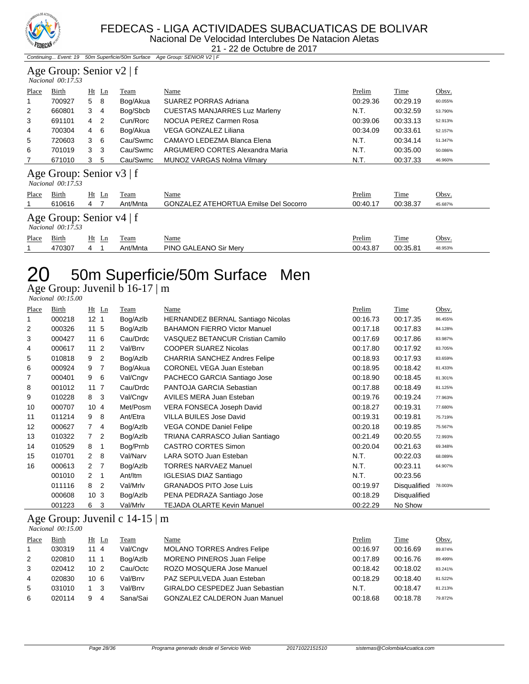

#### FEDECAS - LIGA ACTIVIDADES SUBACUATICAS DE BOLIVAR Nacional De Velocidad Interclubes De Natacion Aletas

21 - 22 de Octubre de 2017

Continuing... Event: 19 50m Superficie/50m Surface Age Group: SENIOR V2 | F

#### Age Group: Senior v2 | f  *Nacional 00:17.53*

|                                               | 100000000 00.17.99 |                |                |          |                                              |          |          |         |  |  |  |  |
|-----------------------------------------------|--------------------|----------------|----------------|----------|----------------------------------------------|----------|----------|---------|--|--|--|--|
| Place                                         | Birth              |                | $Ht$ Ln        | Team     | Name                                         | Prelim   | Time     | Obsv.   |  |  |  |  |
| 1                                             | 700927             | 5              | -8             | Bog/Akua | <b>SUAREZ PORRAS Adriana</b>                 | 00:29.36 | 00:29.19 | 60.055% |  |  |  |  |
| 2                                             | 660801             | 3              | -4             | Bog/Sbcb | <b>CUESTAS MANJARRES Luz Marleny</b>         | N.T.     | 00:32.59 | 53.790% |  |  |  |  |
| 3                                             | 691101             | 4              | $\overline{2}$ | Cun/Rorc | NOCUA PEREZ Carmen Rosa                      | 00:39.06 | 00:33.13 | 52.913% |  |  |  |  |
| 4                                             | 700304             | $\overline{4}$ | - 6            | Bog/Akua | VEGA GONZALEZ Liliana                        | 00:34.09 | 00:33.61 | 52.157% |  |  |  |  |
| 5                                             | 720603             | 3              | 6              | Cau/Swmc | CAMAYO LEDEZMA Blanca Elena                  | N.T.     | 00:34.14 | 51.347% |  |  |  |  |
| 6                                             | 701019             | 3              | -3             | Cau/Swmc | ARGUMERO CORTES Alexandra Maria              | N.T.     | 00:35.00 | 50.086% |  |  |  |  |
|                                               | 671010             | 3              | 5              | Cau/Swmc | MUNOZ VARGAS Nolma Vilmary                   | N.T.     | 00:37.33 | 46.960% |  |  |  |  |
| Age Group: Senior v3   f<br>Nacional 00:17.53 |                    |                |                |          |                                              |          |          |         |  |  |  |  |
| Place                                         | Birth              |                | $Ht$ Ln        | Team     | Name                                         | Prelim   | Time     | Obsv.   |  |  |  |  |
|                                               | 610616             | 4              |                | Ant/Mnta | <b>GONZALEZ ATEHORTUA Emilse Del Socorro</b> | 00:40.17 | 00:38.37 | 45.687% |  |  |  |  |
| Age Group: Senior $v4$   f                    |                    |                |                |          |                                              |          |          |         |  |  |  |  |

 *Nacional 00:17.53* 

| Place | - -<br>Bırth | Ht<br>Ln<br>__ | eam             | Name                  | Prelim   | Time     | Obsv.   |
|-------|--------------|----------------|-----------------|-----------------------|----------|----------|---------|
|       | 470307       |                | <b>\nt/Mnta</b> | PINO GALEANO Sir Merv | 00:43.87 | 00:35.81 | 48.953% |

# 20 50m Superficie/50m Surface Men

Age Group: Juvenil b 16-17 | m

 *Nacional 00:15.00* 

| Place | <b>Birth</b> |                  | $Ht$ Ln                  | Team     | Name                                     | Prelim   | Time         | Obsv.   |
|-------|--------------|------------------|--------------------------|----------|------------------------------------------|----------|--------------|---------|
|       | 000218       | 12 <sub>1</sub>  |                          | Bog/Azlb | <b>HERNANDEZ BERNAL Santiago Nicolas</b> | 00:16.73 | 00:17.35     | 86.455% |
| 2     | 000326       | 11 <sub>5</sub>  |                          | Bog/Azlb | <b>BAHAMON FIERRO Victor Manuel</b>      | 00:17.18 | 00:17.83     | 84.128% |
| 3     | 000427       | 11 6             |                          | Cau/Drdc | VASQUEZ BETANCUR Cristian Camilo         | 00:17.69 | 00:17.86     | 83.987% |
| 4     | 000617       | 11 <sub>2</sub>  |                          | Val/Brrv | <b>COOPER SUAREZ Nicolas</b>             | 00:17.80 | 00:17.92     | 83.705% |
| 5     | 010818       | 9                | $\overline{2}$           | Bog/Azlb | <b>CHARRIA SANCHEZ Andres Felipe</b>     | 00:18.93 | 00:17.93     | 83.659% |
| 6     | 000924       | 9                | - 7                      | Bog/Akua | <b>CORONEL VEGA Juan Esteban</b>         | 00:18.95 | 00:18.42     | 81.433% |
| 7     | 000401       | 9                | - 6                      | Val/Cngv | PACHECO GARCIA Santiago Jose             | 00:18.90 | 00:18.45     | 81.301% |
| 8     | 001012       | 11 <sub>7</sub>  |                          | Cau/Drdc | PANTOJA GARCIA Sebastian                 | 00:17.88 | 00:18.49     | 81.125% |
| 9     | 010228       | 8 3              |                          | Val/Cngv | AVILES MERA Juan Esteban                 | 00:19.76 | 00:19.24     | 77.963% |
| 10    | 000707       | 104              |                          | Met/Posm | VERA FONSECA Joseph David                | 00:18.27 | 00:19.31     | 77.680% |
| 11    | 011214       | 9                | 8                        | Ant/Etra | <b>VILLA BUILES Jose David</b>           | 00:19.31 | 00:19.81     | 75.719% |
| 12    | 000627       | $\overline{7}$   | $\overline{4}$           | Bog/Azlb | <b>VEGA CONDE Daniel Felipe</b>          | 00:20.18 | 00:19.85     | 75.567% |
| 13    | 010322       | $7^{\circ}$      | $\overline{2}$           | Bog/Azlb | TRIANA CARRASCO Julian Santiago          | 00:21.49 | 00:20.55     | 72.993% |
| 14    | 010529       | 8                | $\overline{1}$           | Bog/Prnb | <b>CASTRO CORTES Simon</b>               | 00:20.04 | 00:21.63     | 69.348% |
| 15    | 010701       | $2 \quad 8$      |                          | Val/Narv | LARA SOTO Juan Esteban                   | N.T.     | 00:22.03     | 68.089% |
| 16    | 000613       | $2 \overline{7}$ |                          | Bog/Azlb | <b>TORRES NARVAEZ Manuel</b>             | N.T.     | 00:23.11     | 64.907% |
|       | 001010       | $\mathbf{2}$     | $\overline{\phantom{1}}$ | Ant/Itm  | <b>IGLESIAS DIAZ Santiago</b>            | N.T.     | 00:23.56     |         |
|       | 011116       | 8                | $\overline{2}$           | Val/Mrlv | <b>GRANADOS PITO Jose Luis</b>           | 00:19.97 | Disqualified | 78.003% |
|       | 000608       | 10 <sub>3</sub>  |                          | Bog/Azlb | PENA PEDRAZA Santiago Jose               | 00:18.29 | Disqualified |         |
|       | 001223       | 6                | 3                        | Val/Mrlv | <b>TEJADA OLARTE Kevin Manuel</b>        | 00:22.29 | No Show      |         |

### Age Group: Juvenil c 14-15 | m

 *Nacional 00:15.00* 

| Place          | Birth  | Ht Ln    | Team     | Name                                 | Prelim   | Time     | <u>Obsv.</u> |
|----------------|--------|----------|----------|--------------------------------------|----------|----------|--------------|
|                | 030319 | 11 4     | Val/Cngv | <b>MOLANO TORRES Andres Felipe</b>   | 00:16.97 | 00:16.69 | 89.874%      |
| 2              | 020810 | 111      | Bog/Azlb | <b>MORENO PINEROS Juan Felipe</b>    | 00:17.89 | 00:16.76 | 89.499%      |
| 3              | 020412 | $10^{2}$ | Cau/Octc | ROZO MOSQUERA Jose Manuel            | 00:18.42 | 00:18.02 | 83.241%      |
| $\overline{4}$ | 020830 | 10 6     | Val/Brrv | PAZ SEPULVEDA Juan Esteban           | 00:18.29 | 00:18.40 | 81.522%      |
| 5              | 031010 |          | Val/Brrv | GIRALDO CESPEDEZ Juan Sebastian      | N.T.     | 00:18.47 | 81.213%      |
| 6              | 020114 | 9<br>4   | Sana/Sai | <b>GONZALEZ CALDERON Juan Manuel</b> | 00:18.68 | 00:18.78 | 79.872%      |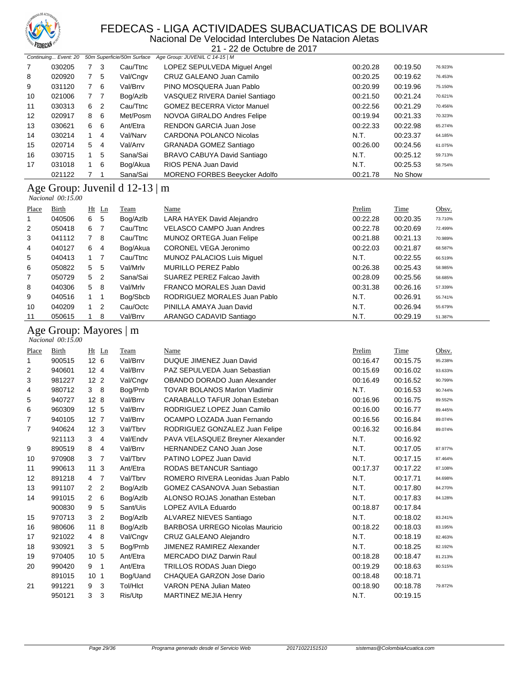

Nacional De Velocidad Interclubes De Natacion Aletas 21 - 22 de Octubre de 2017

|    | Continuing Event: 20                |             |                | 50m Superficie/50m Surface | Age Group: JUVENIL C 14-15   M       |          |          |         |  |  |  |  |
|----|-------------------------------------|-------------|----------------|----------------------------|--------------------------------------|----------|----------|---------|--|--|--|--|
| 7  | 030205                              |             | -3             | Cau/Ttnc                   | LOPEZ SEPULVEDA Miquel Angel         | 00:20.28 | 00:19.50 | 76.923% |  |  |  |  |
| 8  | 020920                              | $7^{\circ}$ | -5             | Val/Cngv                   | CRUZ GALEANO Juan Camilo             | 00:20.25 | 00:19.62 | 76.453% |  |  |  |  |
| 9  | 031120                              |             | 7 6            | Val/Brrv                   | PINO MOSQUERA Juan Pablo             | 00:20.99 | 00:19.96 | 75.150% |  |  |  |  |
| 10 | 021006                              |             | 7 <sub>7</sub> | Bog/Azlb                   | VASQUEZ RIVERA Daniel Santiago       | 00:21.50 | 00:21.24 | 70.621% |  |  |  |  |
| 11 | 030313                              | 6           | $\overline{2}$ | Cau/Ttnc                   | <b>GOMEZ BECERRA Victor Manuel</b>   | 00:22.56 | 00:21.29 | 70.456% |  |  |  |  |
| 12 | 020917                              | 8           | -6             | Met/Posm                   | NOVOA GIRALDO Andres Felipe          | 00:19.94 | 00:21.33 | 70.323% |  |  |  |  |
| 13 | 030621                              | 6           | - 6            | Ant/Etra                   | <b>RENDON GARCIA Juan Jose</b>       | 00:22.33 | 00:22.98 | 65.274% |  |  |  |  |
| 14 | 030214                              |             | $\overline{4}$ | Val/Narv                   | CARDONA POLANCO Nicolas              | N.T.     | 00:23.37 | 64.185% |  |  |  |  |
| 15 | 020714                              | 5           | $\overline{4}$ | Val/Arrv                   | <b>GRANADA GOMEZ Santiago</b>        | 00:26.00 | 00:24.56 | 61.075% |  |  |  |  |
| 16 | 030715                              |             | -5             | Sana/Sai                   | BRAVO CABUYA David Santiago          | N.T.     | 00:25.12 | 59.713% |  |  |  |  |
| 17 | 031018                              |             | 6              | Bog/Akua                   | RIOS PENA Juan David                 | N.T.     | 00:25.53 | 58.754% |  |  |  |  |
|    | 021122                              |             |                | Sana/Sai                   | <b>MORENO FORBES Beeycker Adolfo</b> | 00:21.78 | No Show  |         |  |  |  |  |
|    | Age Group: Juvenil d $12-13 \mid m$ |             |                |                            |                                      |          |          |         |  |  |  |  |

## *Nacional 00:15.00*

| Place          | Birth  |             | $Ht$ Ln        | Team     | Name                             | Prelim   | Time     | Obsv.   |  |  |  |  |  |
|----------------|--------|-------------|----------------|----------|----------------------------------|----------|----------|---------|--|--|--|--|--|
|                | 040506 | 6           | 5              | Bog/Azlb | LARA HAYEK David Alejandro       | 00:22.28 | 00:20.35 | 73.710% |  |  |  |  |  |
| $\overline{2}$ | 050418 | 6           |                | Cau/Ttnc | <b>VELASCO CAMPO Juan Andres</b> | 00:22.78 | 00:20.69 | 72.499% |  |  |  |  |  |
| 3              | 041112 |             | -8             | Cau/Ttnc | MUNOZ ORTEGA Juan Felipe         | 00:21.88 | 00:21.13 | 70.989% |  |  |  |  |  |
| 4              | 040127 | 6           | -4             | Bog/Akua | CORONEL VEGA Jeronimo            | 00:22.03 | 00:21.87 | 68.587% |  |  |  |  |  |
| 5              | 040413 | $1 \quad 7$ |                | Cau/Ttnc | MUNOZ PALACIOS Luis Miguel       | N.T.     | 00:22.55 | 66.519% |  |  |  |  |  |
| 6              | 050822 | 5           | -5             | Val/Mrlv | MURILLO PEREZ Pablo              | 00:26.38 | 00:25.43 | 58.985% |  |  |  |  |  |
| $\overline{7}$ | 050729 | 5           | $\overline{2}$ | Sana/Sai | SUAREZ PEREZ Falcao Javith       | 00:28.09 | 00:25.56 | 58.685% |  |  |  |  |  |
| 8              | 040306 | 5           | - 8            | Val/Mrlv | FRANCO MORALES Juan David        | 00:31.38 | 00:26.16 | 57.339% |  |  |  |  |  |
| 9              | 040516 |             |                | Bog/Sbcb | RODRIGUEZ MORALES Juan Pablo     | N.T.     | 00:26.91 | 55.741% |  |  |  |  |  |
| 10             | 040209 |             | $\overline{2}$ | Cau/Octc | PINILLA AMAYA Juan David         | N.T.     | 00:26.94 | 55.679% |  |  |  |  |  |
| 11             | 050615 |             | 8              | Val/Brrv | ARANGO CADAVID Santiago          | N.T.     | 00:29.19 | 51.387% |  |  |  |  |  |

#### Age Group: Mayores | m  *Nacional 00:15.00*

| Place | <b>Birth</b> | Ht              | Ln             | Team     | Name                                   | Prelim   | Time     | Obsv.   |
|-------|--------------|-----------------|----------------|----------|----------------------------------------|----------|----------|---------|
| 1     | 900515       | 12 <sub>6</sub> |                | Val/Brrv | DUQUE JIMENEZ Juan David               | 00:16.47 | 00:15.75 | 95.238% |
| 2     | 940601       | 12 <sub>4</sub> |                | Val/Brrv | PAZ SEPULVEDA Juan Sebastian           | 00:15.69 | 00:16.02 | 93.633% |
| 3     | 981227       | 12 <sub>2</sub> |                | Val/Cngv | OBANDO DORADO Juan Alexander           | 00:16.49 | 00:16.52 | 90.799% |
| 4     | 980712       | 3               | 8              | Bog/Prnb | <b>TOVAR BOLANOS Marlon Vladimir</b>   | N.T.     | 00:16.53 | 90.744% |
| 5     | 940727       | 128             |                | Val/Brrv | CARABALLO TAFUR Johan Esteban          | 00:16.96 | 00:16.75 | 89.552% |
| 6     | 960309       | 12 <sub>5</sub> |                | Val/Brrv | RODRIGUEZ LOPEZ Juan Camilo            | 00:16.00 | 00:16.77 | 89.445% |
| 7     | 940105       | 12 <sub>7</sub> |                | Val/Brrv | OCAMPO LOZADA Juan Fernando            | 00:16.56 | 00:16.84 | 89.074% |
| 7     | 940624       | 12 <sub>3</sub> |                | Val/Tbrv | RODRIGUEZ GONZALEZ Juan Felipe         | 00:16.32 | 00:16.84 | 89.074% |
|       | 921113       | 3               | 4              | Val/Endv | PAVA VELASQUEZ Breyner Alexander       | N.T.     | 00:16.92 |         |
| 9     | 890519       | 8               | $\overline{4}$ | Val/Brrv | <b>HERNANDEZ CANO Juan Jose</b>        | N.T.     | 00:17.05 | 87.977% |
| 10    | 970908       | 3               | $\overline{7}$ | Val/Tbrv | PATINO LOPEZ Juan David                | N.T.     | 00:17.15 | 87.464% |
| 11    | 990613       | 11              | 3              | Ant/Etra | RODAS BETANCUR Santiago                | 00:17.37 | 00:17.22 | 87.108% |
| 12    | 891218       | $\overline{4}$  | $\overline{7}$ | Val/Tbrv | ROMERO RIVERA Leonidas Juan Pablo      | N.T.     | 00:17.71 | 84.698% |
| 13    | 991107       | 2               | $\overline{2}$ | Bog/Azlb | GOMEZ CASANOVA Juan Sebastian          | N.T.     | 00:17.80 | 84.270% |
| 14    | 991015       | $\overline{2}$  | 6              | Bog/Azlb | ALONSO ROJAS Jonathan Esteban          | N.T.     | 00:17.83 | 84.128% |
|       | 900830       | 9               | 5              | Sant/Uis | LOPEZ AVILA Eduardo                    | 00:18.87 | 00:17.84 |         |
| 15    | 970713       | 3               | 2              | Bog/Azlb | ALVAREZ NIEVES Santiago                | N.T.     | 00:18.02 | 83.241% |
| 16    | 980606       | 11              | 8              | Bog/Azlb | <b>BARBOSA URREGO Nicolas Mauricio</b> | 00:18.22 | 00:18.03 | 83.195% |
| 17    | 921022       | 4               | 8              | Val/Cngv | <b>CRUZ GALEANO Alejandro</b>          | N.T.     | 00:18.19 | 82.463% |
| 18    | 930921       | 3               | 5              | Bog/Prnb | JIMENEZ RAMIREZ Alexander              | N.T.     | 00:18.25 | 82.192% |
| 19    | 970405       | 10              | 5              | Ant/Etra | <b>MERCADO DIAZ Darwin Raul</b>        | 00:18.28 | 00:18.47 | 81.213% |
| 20    | 990420       | 9               | 1              | Ant/Etra | TRILLOS RODAS Juan Diego               | 00:19.29 | 00:18.63 | 80.515% |
|       | 891015       | 10              | 1              | Bog/Uand | CHAQUEA GARZON Jose Dario              | 00:18.48 | 00:18.71 |         |
| 21    | 991221       | 9               | 3              | Tol/HIct | <b>VARON PENA Julian Mateo</b>         | 00:18.90 | 00:18.78 | 79.872% |
|       | 950121       | 3               | 3              | Ris/Utp  | <b>MARTINEZ MEJIA Henry</b>            | N.T.     | 00:19.15 |         |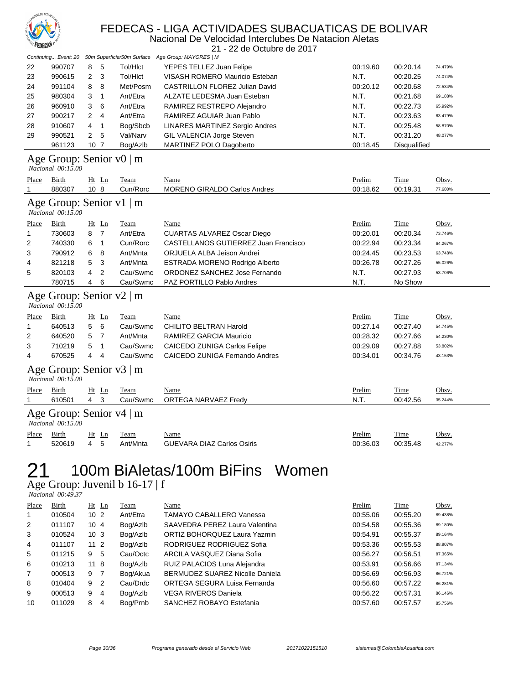

Nacional De Velocidad Interclubes De Natacion Aletas 21 - 22 de Octubre de 2017

| Continuing Event: 20 50m Superficie/50m Surface<br>Age Group: MAYORES   M |                                               |                     |          |                                       |          |              |         |  |  |  |  |  |
|---------------------------------------------------------------------------|-----------------------------------------------|---------------------|----------|---------------------------------------|----------|--------------|---------|--|--|--|--|--|
| 22                                                                        | 990707                                        | 5<br>8              | Tol/HIct | YEPES TELLEZ Juan Felipe              | 00:19.60 | 00:20.14     | 74.479% |  |  |  |  |  |
| 23                                                                        | 990615                                        | 3<br>2              | Tol/HIct | VISASH ROMERO Mauricio Esteban        | N.T.     | 00:20.25     | 74.074% |  |  |  |  |  |
| 24                                                                        | 991104                                        | 8<br>8              | Met/Posm | <b>CASTRILLON FLOREZ Julian David</b> | 00:20.12 | 00:20.68     | 72.534% |  |  |  |  |  |
| 25                                                                        | 980304                                        | 3<br>$\mathbf{1}$   | Ant/Etra | ALZATE LEDESMA Juan Esteban           | N.T.     | 00:21.68     | 69.188% |  |  |  |  |  |
| 26                                                                        | 960910                                        | 3<br>6              | Ant/Etra | RAMIREZ RESTREPO Alejandro            | N.T.     | 00:22.73     | 65.992% |  |  |  |  |  |
| 27                                                                        | 990217                                        | 2<br>4              | Ant/Etra | RAMIREZ AGUIAR Juan Pablo             | N.T.     | 00:23.63     | 63.479% |  |  |  |  |  |
| 28                                                                        | 910607                                        | 4<br>$\mathbf{1}$   | Bog/Sbcb | LINARES MARTINEZ Sergio Andres        | N.T.     | 00:25.48     | 58.870% |  |  |  |  |  |
| 29                                                                        | 990521                                        | 2<br>5              | Val/Narv | GIL VALENCIA Jorge Steven             | N.T.     | 00:31.20     | 48.077% |  |  |  |  |  |
|                                                                           | 961123                                        | 10 <sub>7</sub>     | Bog/Azlb | MARTINEZ POLO Dagoberto               | 00:18.45 | Disqualified |         |  |  |  |  |  |
| Age Group: Senior v0   m<br>Nacional 00:15.00                             |                                               |                     |          |                                       |          |              |         |  |  |  |  |  |
| Place                                                                     | <b>Birth</b>                                  | $Ht$ Ln             | Team     | Name                                  | Prelim   | Time         | Obsv.   |  |  |  |  |  |
| $\mathbf{1}$                                                              | 880307                                        | 10 <sub>8</sub>     | Cun/Rorc | <b>MORENO GIRALDO Carlos Andres</b>   | 00:18.62 | 00:19.31     | 77.680% |  |  |  |  |  |
| Age Group: Senior v1   m<br>Nacional 00:15.00                             |                                               |                     |          |                                       |          |              |         |  |  |  |  |  |
| Place                                                                     | <b>Birth</b>                                  | Ht Ln               | Team     | Name                                  | Prelim   | Time         | Obsv.   |  |  |  |  |  |
| 1                                                                         | 730603                                        | 8<br>$\overline{7}$ | Ant/Etra | CUARTAS ALVAREZ Oscar Diego           | 00:20.01 | 00:20.34     | 73.746% |  |  |  |  |  |
| 2                                                                         | 740330                                        | 6<br>$\overline{1}$ | Cun/Rorc | CASTELLANOS GUTIERREZ Juan Francisco  | 00:22.94 | 00:23.34     | 64.267% |  |  |  |  |  |
| 3                                                                         | 790912                                        | 6<br>8              | Ant/Mnta | ORJUELA ALBA Jeison Andrei            | 00:24.45 | 00:23.53     | 63.748% |  |  |  |  |  |
| 4                                                                         | 821218                                        | 5<br>3              | Ant/Mnta | ESTRADA MORENO Rodrigo Alberto        | 00:26.78 | 00:27.26     | 55.026% |  |  |  |  |  |
| 5                                                                         | 820103                                        | 4<br>$\overline{2}$ | Cau/Swmc | ORDONEZ SANCHEZ Jose Fernando         | N.T.     | 00:27.93     | 53.706% |  |  |  |  |  |
|                                                                           | 780715                                        | 4<br>6              | Cau/Swmc | PAZ PORTILLO Pablo Andres             | N.T.     | No Show      |         |  |  |  |  |  |
|                                                                           | Age Group: Senior v2   m<br>Nacional 00:15.00 |                     |          |                                       |          |              |         |  |  |  |  |  |
| Place                                                                     | <b>Birth</b>                                  | $Ht$ Ln             | Team     | Name                                  | Prelim   | Time         | Obsv.   |  |  |  |  |  |
| 1                                                                         | 640513                                        | 5<br>6              | Cau/Swmc | <b>CHILITO BELTRAN Harold</b>         | 00:27.14 | 00:27.40     | 54.745% |  |  |  |  |  |
| 2                                                                         | 640520                                        | 5<br>$\overline{7}$ | Ant/Mnta | RAMIREZ GARCIA Mauricio               | 00:28.32 | 00:27.66     | 54.230% |  |  |  |  |  |
| 3                                                                         | 710219                                        | 5<br>$\mathbf{1}$   | Cau/Swmc | CAICEDO ZUNIGA Carlos Felipe          | 00:29.09 | 00:27.88     | 53.802% |  |  |  |  |  |
| 4                                                                         | 670525                                        | 4<br>4              | Cau/Swmc | CAICEDO ZUNIGA Fernando Andres        | 00:34.01 | 00:34.76     | 43.153% |  |  |  |  |  |
|                                                                           | Age Group: Senior v3   m<br>Nacional 00:15.00 |                     |          |                                       |          |              |         |  |  |  |  |  |
| Place                                                                     | Birth                                         | $Ht$ Ln             | Team     | Name                                  | Prelim   | Time         | Obsv.   |  |  |  |  |  |
| 1                                                                         | 610501                                        | 3<br>4              | Cau/Swmc | ORTEGA NARVAEZ Fredy                  | N.T.     | 00:42.56     | 35.244% |  |  |  |  |  |
|                                                                           | Age Group: Senior v4   m<br>Nacional 00:15.00 |                     |          |                                       |          |              |         |  |  |  |  |  |
| Place                                                                     | Birth                                         | $Ht$ Ln             | Team     | Name                                  | Prelim   | Time         | Obsv.   |  |  |  |  |  |
| 1                                                                         | 520619                                        | $\overline{4}$<br>5 | Ant/Mnta | <b>GUEVARA DIAZ Carlos Osiris</b>     | 00:36.03 | 00:35.48     | 42.277% |  |  |  |  |  |

## 21 100m BiAletas/100m BiFins Women

Age Group: Juvenil b 16-17 | f

 *Nacional 00:49.37* 

| Place          | <b>Birth</b> |                 | $Ht$ Ln        | Team     | Name                                   | Prelim   | Time     | Obsv.   |
|----------------|--------------|-----------------|----------------|----------|----------------------------------------|----------|----------|---------|
| $\mathbf 1$    | 010504       | 10 <sub>2</sub> |                | Ant/Etra | TAMAYO CABALLERO Vanessa               | 00:55.06 | 00:55.20 | 89.438% |
| $\overline{2}$ | 011107       | 104             |                | Bog/Azlb | SAAVEDRA PEREZ Laura Valentina         | 00:54.58 | 00:55.36 | 89.180% |
| 3              | 010524       | 10 <sub>3</sub> |                | Bog/Azlb | ORTIZ BOHORQUEZ Laura Yazmin           | 00:54.91 | 00:55.37 | 89.164% |
| $\overline{4}$ | 011107       | 11 <sub>2</sub> |                | Bog/Azlb | RODRIGUEZ RODRIGUEZ Sofia              | 00:53.36 | 00:55.53 | 88.907% |
| 5              | 011215       | 9               | -5             | Cau/Octc | ARCILA VASQUEZ Diana Sofia             | 00:56.27 | 00:56.51 | 87.365% |
| 6              | 010213       | 11 8            |                | Bog/Azlb | RUIZ PALACIOS Luna Alejandra           | 00:53.91 | 00:56.66 | 87.134% |
| $\overline{7}$ | 000513       | 9               | $\overline{7}$ | Bog/Akua | <b>BERMUDEZ SUAREZ Nicolle Daniela</b> | 00:56.69 | 00:56.93 | 86.721% |
| 8              | 010404       | 9               | -2             | Cau/Drdc | ORTEGA SEGURA Luisa Fernanda           | 00:56.60 | 00:57.22 | 86.281% |
| 9              | 000513       | 9               | $\overline{4}$ | Bog/Azlb | <b>VEGA RIVEROS Daniela</b>            | 00:56.22 | 00:57.31 | 86.146% |
| 10             | 011029       | 8               | 4              | Bog/Prnb | SANCHEZ ROBAYO Estefania               | 00:57.60 | 00:57.57 | 85.756% |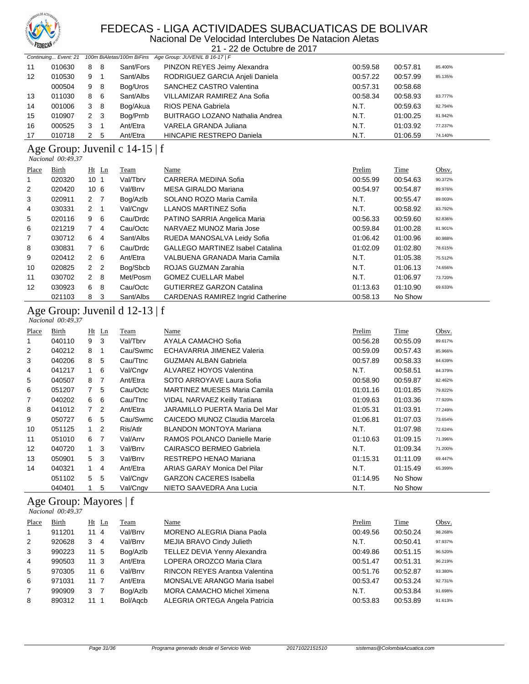

Nacional De Velocidad Interclubes De Natacion Aletas 21 - 22 de Octubre de 2017

|    | Continuing Event: 21 |   |             |           | 100m BiAletas/100m BiFins Age Group: JUVENIL B 16-17   F |          |          |         |
|----|----------------------|---|-------------|-----------|----------------------------------------------------------|----------|----------|---------|
| 11 | 010630               | 8 | -8          | Sant/Fors | PINZON REYES Jeimy Alexandra                             | 00:59.58 | 00:57.81 | 85.400% |
| 12 | 010530               | 9 |             | Sant/Albs | RODRIGUEZ GARCIA Anjeli Daniela                          | 00:57.22 | 00:57.99 | 85.135% |
|    | 000504               |   | 98          | Bog/Uros  | SANCHEZ CASTRO Valentina                                 | 00:57.31 | 00:58.68 |         |
| 13 | 011030               | 8 | - 6         | Sant/Albs | VILLAMIZAR RAMIREZ Ana Sofia                             | 00:58.34 | 00:58.93 | 83.777% |
| 14 | 001006               | 3 | - 8         | Bog/Akua  | RIOS PENA Gabriela                                       | N.T.     | 00:59.63 | 82.794% |
| 15 | 010907               |   | $2 \quad 3$ | Bog/Prnb  | <b>BUITRAGO LOZANO Nathalia Andrea</b>                   | N.T.     | 01:00.25 | 81.942% |
| 16 | 000525               | 3 |             | Ant/Etra  | VARELA GRANDA Juliana                                    | N.T.     | 01:03.92 | 77.237% |
| 17 | 010718               |   | -5          | Ant/Etra  | <b>HINCAPIE RESTREPO Daniela</b>                         | N.T.     | 01:06.59 | 74.140% |

### Age Group: Juvenil c 14-15 | f

 *Nacional 00:49.37* 

| Place          | Birth  |                  | $Ht$ Ln        | Team      | Name                                     | Prelim   | Time     | Obsv.   |
|----------------|--------|------------------|----------------|-----------|------------------------------------------|----------|----------|---------|
| 1              | 020320 | 10 <sub>1</sub>  |                | Val/Tbrv  | CARRERA MEDINA Sofia                     | 00:55.99 | 00:54.63 | 90.372% |
| 2              | 020420 | 10 <sub>6</sub>  |                | Val/Brrv  | <b>MESA GIRALDO Mariana</b>              | 00:54.97 | 00:54.87 | 89.976% |
| 3              | 020911 | $2 \overline{7}$ |                | Bog/Azlb  | SOLANO ROZO Maria Camila                 | N.T.     | 00:55.47 | 89.003% |
| 4              | 030331 | $2 \quad 1$      |                | Val/Cngv  | <b>LLANOS MARTINEZ Sofia</b>             | N.T.     | 00:58.92 | 83.792% |
| 5              | 020116 | 9                | - 6            | Cau/Drdc  | PATINO SARRIA Angelica Maria             | 00:56.33 | 00:59.60 | 82.836% |
| 6              | 021219 | $\overline{7}$   | $\overline{4}$ | Cau/Octc  | NARVAEZ MUNOZ Maria Jose                 | 00:59.84 | 01:00.28 | 81.901% |
| $\overline{7}$ | 030712 | 6                | 4              | Sant/Albs | RUEDA MANOSALVA Leidy Sofia              | 01:06.42 | 01:00.96 | 80.988% |
| 8              | 030831 | 7 6              |                | Cau/Drdc  | <b>GALLEGO MARTINEZ Isabel Catalina</b>  | 01:02.09 | 01:02.80 | 78.615% |
| 9              | 020412 | 2                | - 6            | Ant/Etra  | VALBUENA GRANADA Maria Camila            | N.T.     | 01:05.38 | 75.512% |
| 10             | 020825 | 2 <sub>2</sub>   |                | Bog/Sbcb  | ROJAS GUZMAN Zarahia                     | N.T.     | 01:06.13 | 74.656% |
| 11             | 030702 | $\mathbf{2}$     | - 8            | Met/Posm  | <b>GOMEZ CUELLAR Mabel</b>               | N.T.     | 01:06.97 | 73.720% |
| 12             | 030923 | 6                | -8             | Cau/Octc  | <b>GUTIERREZ GARZON Catalina</b>         | 01:13.63 | 01:10.90 | 69.633% |
|                | 021103 | 8                | -3             | Sant/Albs | <b>CARDENAS RAMIREZ Ingrid Catherine</b> | 00:58.13 | No Show  |         |

### Age Group: Juvenil d 12-13 | f

 *Nacional 00:49.37* 

| Place | Birth  |                | $Ht$ Ln | Team     | <u>Name</u>                    | Prelim   | <b>Time</b> | Obsv.   |
|-------|--------|----------------|---------|----------|--------------------------------|----------|-------------|---------|
| 1     | 040110 | 9              | 3       | Val/Tbrv | AYALA CAMACHO Sofia            | 00:56.28 | 00:55.09    | 89.617% |
| 2     | 040212 | 8              | -1      | Cau/Swmc | ECHAVARRIA JIMENEZ Valeria     | 00:59.09 | 00:57.43    | 85.966% |
| 3     | 040206 | 8              | 5       | Cau/Ttnc | <b>GUZMAN ALBAN Gabriela</b>   | 00:57.89 | 00:58.33    | 84.639% |
| 4     | 041217 | 1              | 6       | Val/Cngv | ALVAREZ HOYOS Valentina        | N.T.     | 00:58.51    | 84.379% |
| 5     | 040507 | 8 7            |         | Ant/Etra | SOTO ARROYAVE Laura Sofia      | 00:58.90 | 00:59.87    | 82.462% |
| 6     | 051207 | $7^{\circ}$    | 5       | Cau/Octc | MARTINEZ MUESES Maria Camila   | 01:01.16 | 01:01.85    | 79.822% |
| 7     | 040202 | 6              | 6       | Cau/Ttnc | VIDAL NARVAEZ Keilly Tatiana   | 01:09.63 | 01:03.36    | 77.920% |
| 8     | 041012 | 7 <sup>2</sup> |         | Ant/Etra | JARAMILLO PUERTA Maria Del Mar | 01:05.31 | 01:03.91    | 77.249% |
| 9     | 050727 | 6              | 5       | Cau/Swmc | CAICEDO MUNOZ Claudia Marcela  | 01:06.81 | 01:07.03    | 73.654% |
| 10    | 051125 | $1\quad 2$     |         | Ris/Atlr | <b>BLANDON MONTOYA Mariana</b> | N.T.     | 01:07.98    | 72.624% |
| 11    | 051010 | 6 7            |         | Val/Arrv | RAMOS POLANCO Danielle Marie   | 01:10.63 | 01:09.15    | 71.396% |
| 12    | 040720 | 1              | 3       | Val/Brrv | CAIRASCO BERMEO Gabriela       | N.T.     | 01:09.34    | 71.200% |
| 13    | 050901 | 5 <sup>3</sup> |         | Val/Brrv | RESTREPO HENAO Mariana         | 01:15.31 | 01:11.09    | 69.447% |
| 14    | 040321 | 1              | 4       | Ant/Etra | ARIAS GARAY Monica Del Pilar   | N.T.     | 01:15.49    | 65.399% |
|       | 051102 | 5              | 5       | Val/Cngv | <b>GARZON CACERES Isabella</b> | 01:14.95 | No Show     |         |
|       | 040401 |                | 5       | Val/Cngv | NIETO SAAVEDRA Ana Lucia       | N.T.     | No Show     |         |

#### Age Group: Mayores | f  *Nacional 00:49.37*

| Place          | <b>Birth</b> |   | $Ht$ Ln | Team     | Name                                  | Prelim   | Time     | Obsv.   |
|----------------|--------------|---|---------|----------|---------------------------------------|----------|----------|---------|
| $\overline{1}$ | 911201       |   | 114     | Val/Brrv | <b>MORENO ALEGRIA Diana Paola</b>     | 00:49.56 | 00:50.24 | 98.268% |
| 2              | 920628       | 3 | 4       | Val/Brrv | MEJIA BRAVO Cindy Julieth             | N.T.     | 00:50.41 | 97.937% |
| 3              | 990223       |   | 11 5    | Bog/Azlb | TELLEZ DEVIA Yenny Alexandra          | 00:49.86 | 00:51.15 | 96.520% |
| $\overline{4}$ | 990503       |   | 113     | Ant/Etra | LOPERA OROZCO Maria Clara             | 00:51.47 | 00:51.31 | 96.219% |
| 5              | 970305       |   | 11 6    | Val/Brrv | <b>RINCON REYES Arantxa Valentina</b> | 00:51.76 | 00:52.87 | 93.380% |
| 6              | 971031       |   | 11 7    | Ant/Etra | <b>MONSALVE ARANGO Maria Isabel</b>   | 00:53.47 | 00:53.24 | 92.731% |
| 7              | 990909       | 3 | - 7     | Bog/Azlb | MORA CAMACHO Michel Ximena            | N.T.     | 00:53.84 | 91.698% |
| 8              | 890312       |   | 11 1    | Bol/Agcb | ALEGRIA ORTEGA Angela Patricia        | 00:53.83 | 00:53.89 | 91.613% |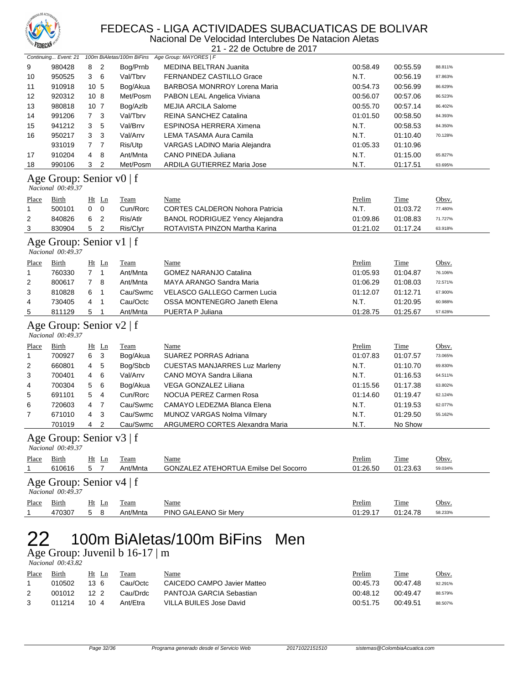

Nacional De Velocidad Interclubes De Natacion Aletas 21 - 22 de Octubre de 2017

|              | Continuing Event: 21                            |                 |                | 100m BiAletas/100m BiFins | Age Group: MAYORES   F                 |          |             |         |
|--------------|-------------------------------------------------|-----------------|----------------|---------------------------|----------------------------------------|----------|-------------|---------|
| 9            | 980428                                          | 8               | $\overline{2}$ | Bog/Prnb                  | MEDINA BELTRAN Juanita                 | 00:58.49 | 00:55.59    | 88.811% |
| 10           | 950525                                          | 3               | 6              | Val/Tbrv                  | <b>FERNANDEZ CASTILLO Grace</b>        | N.T.     | 00:56.19    | 87.863% |
| 11           | 910918                                          | 10 <sub>5</sub> |                | Bog/Akua                  | BARBOSA MONRROY Lorena Maria           | 00:54.73 | 00:56.99    | 86.629% |
| 12           | 920312                                          | 10 <sub>8</sub> |                | Met/Posm                  | PABON LEAL Angelica Viviana            | 00:56.07 | 00:57.06    | 86.523% |
| 13           | 980818                                          | 10 <sub>7</sub> |                | Bog/Azlb                  | <b>MEJIA ARCILA Salome</b>             | 00:55.70 | 00:57.14    | 86.402% |
| 14           | 991206                                          | 7               | 3              | Val/Tbrv                  | REINA SANCHEZ Catalina                 | 01:01.50 | 00:58.50    | 84.393% |
| 15           | 941212                                          | 3               | 5              | Val/Brrv                  | ESPINOSA HERRERA Ximena                | N.T.     | 00:58.53    | 84.350% |
| 16           | 950217                                          | 3               | 3              | Val/Arrv                  | LEMA TASAMA Aura Camila                | N.T.     | 01:10.40    | 70.128% |
|              | 931019                                          | 7               | $\overline{7}$ | Ris/Utp                   | VARGAS LADINO Maria Alejandra          | 01:05.33 | 01:10.96    |         |
| 17           | 910204                                          | 4               | 8              | Ant/Mnta                  | CANO PINEDA Juliana                    | N.T.     | 01:15.00    | 65.827% |
| 18           | 990106                                          | 3               | 2              | Met/Posm                  | ARDILA GUTIERREZ Maria Jose            | N.T.     | 01:17.51    | 63.695% |
|              | Age Group: Senior v0   f<br>Nacional 00:49.37   |                 |                |                           |                                        |          |             |         |
| Place        | Birth                                           |                 | $Ht$ Ln        | <b>Team</b>               | Name                                   | Prelim   | <b>Time</b> | Obsv.   |
| 1            | 500101                                          | 0               | $\mathbf 0$    | Cun/Rorc                  | <b>CORTES CALDERON Nohora Patricia</b> | N.T.     | 01:03.72    | 77.480% |
| 2            | 840826                                          | 6               | 2              | Ris/Atlr                  | BANOL RODRIGUEZ Yency Alejandra        | 01:09.86 | 01:08.83    | 71.727% |
| 3            | 830904                                          | 5               | $\overline{2}$ | Ris/Clyr                  | ROTAVISTA PINZON Martha Karina         | 01:21.02 | 01:17.24    | 63.918% |
|              | Age Group: Senior v1   f<br>Nacional 00:49.37   |                 |                |                           |                                        |          |             |         |
| Place        | Birth                                           |                 | Ht Ln          | <b>Team</b>               | Name                                   | Prelim   | <b>Time</b> | Obsv.   |
| 1            | 760330                                          | 7 <sub>1</sub>  |                | Ant/Mnta                  | <b>GOMEZ NARANJO Catalina</b>          | 01:05.93 | 01:04.87    | 76.106% |
| 2            | 800617                                          | $7^{\circ}$     | 8              | Ant/Mnta                  | MAYA ARANGO Sandra Maria               | 01:06.29 | 01:08.03    | 72.571% |
| 3            | 810828                                          | 6               | 1              | Cau/Swmc                  | VELASCO GALLEGO Carmen Lucia           | 01:12.07 | 01:12.71    | 67.900% |
| 4            | 730405                                          | 4               | 1              | Cau/Octc                  | OSSA MONTENEGRO Janeth Elena           | N.T.     | 01:20.95    | 60.988% |
| 5            | 811129                                          | 5               | 1              | Ant/Mnta                  | PUERTA P Juliana                       | 01:28.75 | 01:25.67    | 57.628% |
|              | Age Group: Senior v2   f<br>Nacional 00:49.37   |                 |                |                           |                                        |          |             |         |
| Place        | Birth                                           |                 | $Ht$ Ln        | Team                      | Name                                   | Prelim   | <b>Time</b> | Obsv.   |
| 1            | 700927                                          | 6               | 3              | Bog/Akua                  | SUAREZ PORRAS Adriana                  | 01:07.83 | 01:07.57    | 73.065% |
| 2            | 660801                                          | 4               | 5              | Bog/Sbcb                  | <b>CUESTAS MANJARRES Luz Marleny</b>   | N.T.     | 01:10.70    | 69.830% |
| 3            | 700401                                          | 4               | 6              | Val/Arrv                  | CANO MOYA Sandra Liliana               | N.T.     | 01:16.53    | 64.511% |
| 4            | 700304                                          | 5               | 6              | Bog/Akua                  | <b>VEGA GONZALEZ Liliana</b>           | 01:15.56 | 01:17.38    | 63.802% |
| 5            | 691101                                          | 5               | 4              | Cun/Rorc                  | NOCUA PEREZ Carmen Rosa                | 01:14.60 | 01:19.47    | 62.124% |
| 6            | 720603                                          | 4               | $\overline{7}$ | Cau/Swmc                  | CAMAYO LEDEZMA Blanca Elena            | N.T.     | 01:19.53    | 62.077% |
| 7            | 671010                                          | 4               | 3              | Cau/Swmc                  | MUNOZ VARGAS Nolma Vilmary             | N.T.     | 01:29.50    | 55.162% |
|              | 701019                                          | 4               | $\overline{2}$ | Cau/Swmc                  | ARGUMERO CORTES Alexandra Maria        | N.T.     | No Show     |         |
|              | Age Group: Senior v3   f<br>Nacional 00:49.37   |                 |                |                           |                                        |          |             |         |
| Place        | <b>Birth</b>                                    |                 | $Ht$ Ln        | Team                      | <b>Name</b>                            | Prelim   | <b>Time</b> | Obsv.   |
| $\mathbf{1}$ | 610616                                          | 5 <sub>7</sub>  |                | Ant/Mnta                  | GONZALEZ ATEHORTUA Emilse Del Socorro  | 01:26.50 | 01:23.63    | 59.034% |
|              | Age Group: Senior $v4$   f<br>Nacional 00:49.37 |                 |                |                           |                                        |          |             |         |
| Place        | <b>Birth</b>                                    |                 | Ht Ln          | <b>Team</b>               | <b>Name</b>                            | Prelim   | <b>Time</b> | Obsv.   |
| 1            | 470307                                          | 58              |                | Ant/Mnta                  | PINO GALEANO Sir Mery                  | 01:29.17 | 01:24.78    | 58.233% |
|              |                                                 |                 |                |                           |                                        |          |             |         |

# 22 100m BiAletas/100m BiFins Men

Age Group: Juvenil b 16-17 | m  *Nacional 00:43.82* 

| Place | Birth  | Ht Ln           | Team     | Name                        | Prelim   | Time     | Obsv.   |
|-------|--------|-----------------|----------|-----------------------------|----------|----------|---------|
|       | 010502 | 13 R            | Cau/Octc | CAICEDO CAMPO Javier Matteo | 00:45.73 | 00:47.48 | 92.291% |
|       | 001012 | 12 <sub>2</sub> | Cau/Drdc | PANTOJA GARCIA Sebastian    | 00:48.12 | 00:49.47 | 88.579% |
|       | 011214 | 10<br>4         | Ant/Etra | VILLA BUILES Jose David     | 00:51.75 | 00:49.51 | 88.507% |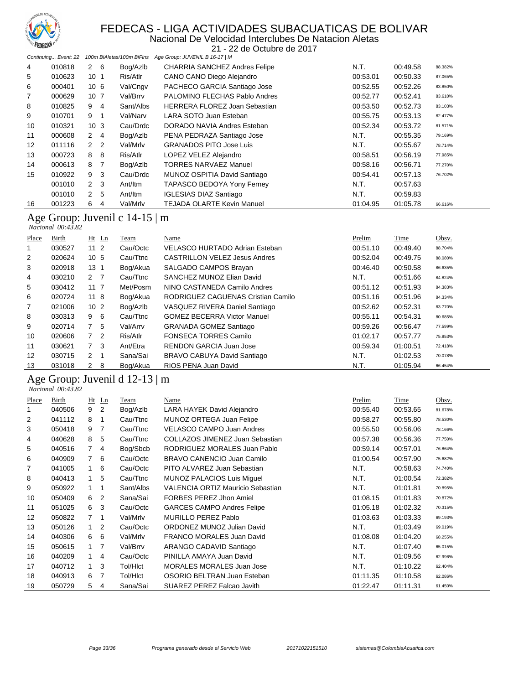

Nacional De Velocidad Interclubes De Natacion Aletas 21 - 22 de Octubre de 2017

|                   | Continuing Event: 22 |                 |                 | 100m BiAletas/100m BiFins | Age Group: JUVENIL B 16-17   M       |          |          |         |
|-------------------|----------------------|-----------------|-----------------|---------------------------|--------------------------------------|----------|----------|---------|
| 4                 | 010818               |                 | 2 6             | Bog/Azlb                  | <b>CHARRIA SANCHEZ Andres Felipe</b> | N.T.     | 00:49.58 | 88.382% |
| 5                 | 010623               | 10 <sub>1</sub> |                 | Ris/Atlr                  | CANO CANO Diego Alejandro            | 00:53.01 | 00:50.33 | 87.065% |
| 6                 | 000401               |                 | 10 <sub>6</sub> | Val/Cngv                  | PACHECO GARCIA Santiago Jose         | 00:52.55 | 00:52.26 | 83.850% |
| 7                 | 000629               |                 | 10 <sub>7</sub> | Val/Brrv                  | PALOMINO FLECHAS Pablo Andres        | 00:52.77 | 00:52.41 | 83.610% |
| 8                 | 010825               | 9               | $\overline{4}$  | Sant/Albs                 | <b>HERRERA FLOREZ Joan Sebastian</b> | 00:53.50 | 00:52.73 | 83.103% |
| 9                 | 010701               | 9               |                 | Val/Narv                  | LARA SOTO Juan Esteban               | 00:55.75 | 00:53.13 | 82.477% |
| 10                | 010321               |                 | 10 <sub>3</sub> | Cau/Drdc                  | DORADO NAVIA Andres Esteban          | 00:52.34 | 00:53.72 | 81.571% |
| 11                | 000608               | $2^{\circ}$     | -4              | Bog/Azlb                  | PENA PEDRAZA Santiago Jose           | N.T.     | 00:55.35 | 79.169% |
| $12 \overline{ }$ | 011116               | 2               | -2              | Val/Mrlv                  | <b>GRANADOS PITO Jose Luis</b>       | N.T.     | 00:55.67 | 78.714% |
| 13                | 000723               | 8               | 8               | Ris/Atlr                  | LOPEZ VELEZ Alejandro                | 00:58.51 | 00:56.19 | 77.985% |
| 14                | 000613               | 8               | -7              | Bog/Azlb                  | <b>TORRES NARVAEZ Manuel</b>         | 00:58.16 | 00:56.71 | 77.270% |
| 15                | 010922               | 9               | 3               | Cau/Drdc                  | MUNOZ OSPITIA David Santiago         | 00:54.41 | 00:57.13 | 76.702% |
|                   | 001010               | 2               | -3              | Ant/ltm                   | TAPASCO BEDOYA Yony Ferney           | N.T.     | 00:57.63 |         |
|                   | 001010               | $\mathbf{2}$    | 5               | Ant/ltm                   | <b>IGLESIAS DIAZ Santiago</b>        | N.T.     | 00:59.83 |         |
| 16                | 001223               | 6               | 4               | Val/Mrlv                  | TEJADA OLARTE Kevin Manuel           | 01:04.95 | 01:05.78 | 66.616% |
|                   |                      |                 |                 |                           |                                      |          |          |         |

#### Age Group: Juvenil c 14-15 | m  *Nacional 00:43.82*

| Place | Birth  | $Ht$ Ln              | Team     | Name                                 | Prelim   | Time     | Obsv.   |
|-------|--------|----------------------|----------|--------------------------------------|----------|----------|---------|
| 1     | 030527 | 11 <sub>2</sub>      | Cau/Octc | VELASCO HURTADO Adrian Esteban       | 00:51.10 | 00:49.40 | 88.704% |
| 2     | 020624 | 10 <sub>5</sub>      | Cau/Ttnc | <b>CASTRILLON VELEZ Jesus Andres</b> | 00:52.04 | 00:49.75 | 88.080% |
| 3     | 020918 | 13 <sub>1</sub>      | Bog/Akua | SALGADO CAMPOS Brayan                | 00:46.40 | 00:50.58 | 86.635% |
| 4     | 030210 | $2 \overline{7}$     | Cau/Ttnc | SANCHEZ MUNOZ Elian David            | N.T.     | 00:51.66 | 84.824% |
| 5     | 030412 | $11 \t7$             | Met/Posm | NINO CASTANEDA Camilo Andres         | 00:51.12 | 00:51.93 | 84.383% |
| 6     | 020724 | 118                  | Bog/Akua | RODRIGUEZ CAGUENAS Cristian Camilo   | 00:51.16 | 00:51.96 | 84.334% |
| 7     | 021006 | 10 <sub>2</sub>      | Bog/Azlb | VASQUEZ RIVERA Daniel Santiago       | 00:52.62 | 00:52.31 | 83.770% |
| 8     | 030313 | - 6<br>9             | Cau/Ttnc | <b>GOMEZ BECERRA Victor Manuel</b>   | 00:55.11 | 00:54.31 | 80.685% |
| 9     | 020714 | 7 <sub>5</sub>       | Val/Arrv | <b>GRANADA GOMEZ Santiago</b>        | 00:59.26 | 00:56.47 | 77.599% |
| 10    | 020606 | 7 <sup>2</sup>       | Ris/Atlr | <b>FONSECA TORRES Camilo</b>         | 01:02.17 | 00:57.77 | 75.853% |
| 11    | 030621 | -3<br>$\overline{7}$ | Ant/Etra | RENDON GARCIA Juan Jose              | 00:59.34 | 01:00.51 | 72.418% |
| 12    | 030715 | 2<br>$\overline{1}$  | Sana/Sai | BRAVO CABUYA David Santiago          | N.T.     | 01:02.53 | 70.078% |
| 13    | 031018 | $2 \quad 8$          | Bog/Akua | RIOS PENA Juan David                 | N.T.     | 01:05.94 | 66.454% |

### Age Group: Juvenil d 12-13 | m

 *Nacional 00:43.82* 

| Place          | Birth  |                | $Ht$ Ln        | Team      | Name                              | Prelim   | Time     | Obsv.   |
|----------------|--------|----------------|----------------|-----------|-----------------------------------|----------|----------|---------|
|                | 040506 | 9              | 2              | Bog/Azlb  | LARA HAYEK David Alejandro        | 00:55.40 | 00:53.65 | 81.678% |
| $\overline{2}$ | 041112 | 8              | 1              | Cau/Ttnc  | MUNOZ ORTEGA Juan Felipe          | 00:58.27 | 00:55.80 | 78.530% |
| 3              | 050418 | 9              | 7              | Cau/Ttnc  | <b>VELASCO CAMPO Juan Andres</b>  | 00:55.50 | 00:56.06 | 78.166% |
| 4              | 040628 | 8              | 5              | Cau/Ttnc  | COLLAZOS JIMENEZ Juan Sebastian   | 00:57.38 | 00:56.36 | 77.750% |
| 5              | 040516 | 7              | 4              | Bog/Sbcb  | RODRIGUEZ MORALES Juan Pablo      | 00:59.14 | 00:57.01 | 76.864% |
| 6              | 040909 | 7              | 6              | Cau/Octc  | BRAVO CANENCIO Juan Camilo        | 01:00.54 | 00:57.90 | 75.682% |
| 7              | 041005 | $\overline{1}$ | 6              | Cau/Octc  | PITO ALVAREZ Juan Sebastian       | N.T.     | 00:58.63 | 74.740% |
| 8              | 040413 | $\mathbf{1}$   | 5              | Cau/Ttnc  | MUNOZ PALACIOS Luis Miguel        | N.T.     | 01:00.54 | 72.382% |
| 9              | 050922 | 1              | 1              | Sant/Albs | VALENCIA ORTIZ Mauricio Sebastian | N.T.     | 01:01.81 | 70.895% |
| 10             | 050409 | 6              | 2              | Sana/Sai  | <b>FORBES PEREZ Jhon Amiel</b>    | 01:08.15 | 01:01.83 | 70.872% |
| 11             | 051025 | 6              | 3              | Cau/Octc  | <b>GARCES CAMPO Andres Felipe</b> | 01:05.18 | 01:02.32 | 70.315% |
| 12             | 050822 | 7              | -1             | Val/Mrlv  | <b>MURILLO PEREZ Pablo</b>        | 01:03.63 | 01:03.33 | 69.193% |
| 13             | 050126 | 1.             | 2              | Cau/Octc  | ORDONEZ MUNOZ Julian David        | N.T.     | 01:03.49 | 69.019% |
| 14             | 040306 | 6              | 6              | Val/Mrlv  | <b>FRANCO MORALES Juan David</b>  | 01:08.08 | 01:04.20 | 68.255% |
| 15             | 050615 | 1              | $\overline{7}$ | Val/Brrv  | ARANGO CADAVID Santiago           | N.T.     | 01:07.40 | 65.015% |
| 16             | 040209 | 1.             | 4              | Cau/Octc  | PINILLA AMAYA Juan David          | N.T.     | 01:09.56 | 62.996% |
| 17             | 040712 | 1              | 3              | Tol/Hict  | <b>MORALES MORALES Juan Jose</b>  | N.T.     | 01:10.22 | 62.404% |
| 18             | 040913 | 6              | $\overline{7}$ | Tol/Hlct  | OSORIO BELTRAN Juan Esteban       | 01:11.35 | 01:10.58 | 62.086% |
| 19             | 050729 | 5              | 4              | Sana/Sai  | SUAREZ PEREZ Falcao Javith        | 01:22.47 | 01:11.31 | 61.450% |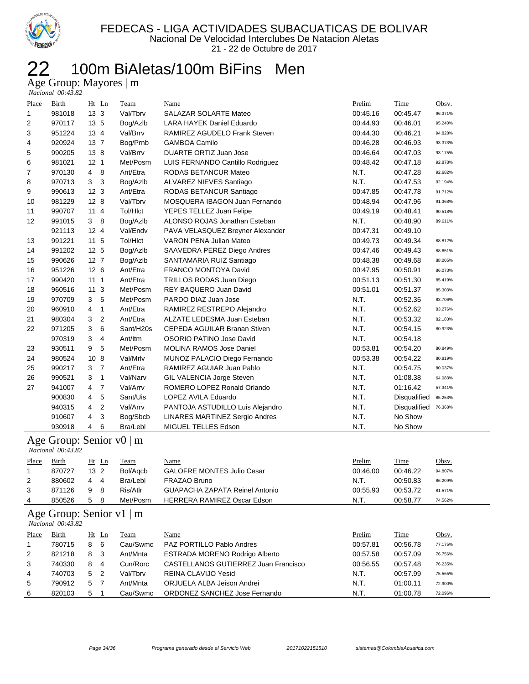

|       | Age Group: Mayores   m<br>Nacional 00:43.82 |                      |           |                                  |          |              |         |
|-------|---------------------------------------------|----------------------|-----------|----------------------------------|----------|--------------|---------|
| Place | Birth                                       | Ht Ln                | Team      | Name                             | Prelim   | <b>Time</b>  | Obsv.   |
| 1     | 981018                                      | 13 <sub>3</sub>      | Val/Tbrv  | <b>SALAZAR SOLARTE Mateo</b>     | 00:45.16 | 00:45.47     | 96.371% |
| 2     | 970117                                      | 13 5                 | Bog/Azlb  | LARA HAYEK Daniel Eduardo        | 00:44.93 | 00:46.01     | 95.240% |
| 3     | 951224                                      | 13 4                 | Val/Brrv  | RAMIREZ AGUDELO Frank Steven     | 00:44.30 | 00:46.21     | 94.828% |
| 4     | 920924                                      | 13 7                 | Bog/Prnb  | <b>GAMBOA Camilo</b>             | 00:46.28 | 00:46.93     | 93.373% |
| 5     | 990205                                      | 13 8                 | Val/Brrv  | DUARTE ORTIZ Juan Jose           | 00:46.64 | 00:47.03     | 93.175% |
| 6     | 981021                                      | 12 <sub>1</sub>      | Met/Posm  | LUIS FERNANDO Cantillo Rodriguez | 00:48.42 | 00:47.18     | 92.878% |
| 7     | 970130                                      | $\overline{4}$<br>8  | Ant/Etra  | RODAS BETANCUR Mateo             | N.T.     | 00:47.28     | 92.682% |
| 8     | 970713                                      | $\mathbf{3}$<br>3    | Bog/Azlb  | ALVAREZ NIEVES Santiago          | N.T.     | 00:47.53     | 92.194% |
| 9     | 990613                                      | 12 <sub>3</sub>      | Ant/Etra  | RODAS BETANCUR Santiago          | 00:47.85 | 00:47.78     | 91.712% |
| 10    | 981229                                      | 12 <sub>8</sub>      | Val/Tbrv  | MOSQUERA IBAGON Juan Fernando    | 00:48.94 | 00:47.96     | 91.368% |
| 11    | 990707                                      | 114                  | Tol/HIct  | YEPES TELLEZ Juan Felipe         | 00:49.19 | 00:48.41     | 90.518% |
| 12    | 991015                                      | 3 <sup>1</sup><br>8  | Bog/Azlb  | ALONSO ROJAS Jonathan Esteban    | N.T.     | 00:48.90     | 89.611% |
|       | 921113                                      | 12 <sub>4</sub>      | Val/Endv  | PAVA VELASQUEZ Breyner Alexander | 00:47.31 | 00:49.10     |         |
| 13    | 991221                                      | 11 <sub>5</sub>      | Tol/HIct  | <b>VARON PENA Julian Mateo</b>   | 00:49.73 | 00:49.34     | 88.812% |
| 14    | 991202                                      | 12 <sub>5</sub>      | Bog/Azlb  | SAAVEDRA PEREZ Diego Andres      | 00:47.46 | 00:49.43     | 88.651% |
| 15    | 990626                                      | 12 <sub>7</sub>      | Bog/Azlb  | SANTAMARIA RUIZ Santiago         | 00:48.38 | 00:49.68     | 88.205% |
| 16    | 951226                                      | 126                  | Ant/Etra  | FRANCO MONTOYA David             | 00:47.95 | 00:50.91     | 86.073% |
| 17    | 990420                                      | 111                  | Ant/Etra  | TRILLOS RODAS Juan Diego         | 00:51.13 | 00:51.30     | 85.419% |
| 18    | 960516                                      | 11 <sub>3</sub>      | Met/Posm  | REY BAQUERO Juan David           | 00:51.01 | 00:51.37     | 85.303% |
| 19    | 970709                                      | 5<br>3               | Met/Posm  | PARDO DIAZ Juan Jose             | N.T.     | 00:52.35     | 83.706% |
| 20    | 960910                                      | 4<br>$\mathbf{1}$    | Ant/Etra  | RAMIREZ RESTREPO Alejandro       | N.T.     | 00:52.62     | 83.276% |
| 21    | 980304                                      | 2<br>3               | Ant/Etra  | ALZATE LEDESMA Juan Esteban      | N.T.     | 00:53.32     | 82.183% |
| 22    | 971205                                      | 3<br>6               | Sant/H20s | CEPEDA AGUILAR Branan Stiven     | N.T.     | 00:54.15     | 80.923% |
|       | 970319                                      | 3<br>$\overline{4}$  | Ant/Itm   | OSORIO PATINO Jose David         | N.T.     | 00:54.18     |         |
| 23    | 930511                                      | 9<br>5               | Met/Posm  | MOLINA RAMOS Jose Daniel         | 00:53.81 | 00:54.20     | 80.849% |
| 24    | 980524                                      | 8<br>10 <sup>°</sup> | Val/Mrlv  | MUNOZ PALACIO Diego Fernando     | 00:53.38 | 00:54.22     | 80.819% |
| 25    | 990217                                      | $\overline{7}$<br>3  | Ant/Etra  | RAMIREZ AGUIAR Juan Pablo        | N.T.     | 00:54.75     | 80.037% |
| 26    | 990521                                      | $\mathbf{1}$<br>3    | Val/Narv  | GIL VALENCIA Jorge Steven        | N.T.     | 01:08.38     | 64.083% |
| 27    | 941007                                      | $\overline{7}$<br>4  | Val/Arrv  | ROMERO LOPEZ Ronald Orlando      | N.T.     | 01:16.42     | 57.341% |
|       | 900830                                      | 5<br>4               | Sant/Uis  | LOPEZ AVILA Eduardo              | N.T.     | Disqualified | 85.253% |
|       | 940315                                      | $\overline{2}$<br>4  | Val/Arrv  | PANTOJA ASTUDILLO Luis Alejandro | N.T.     | Disqualified | 76.368% |
|       | 910607                                      | 3<br>4               | Bog/Sbcb  | LINARES MARTINEZ Sergio Andres   | N.T.     | No Show      |         |
|       | 930918                                      | 4<br>6               | Bra/Lebl  | MIGUEL TELLES Edson              | N.T.     | No Show      |         |

| Place | Birth  | Ht<br>-Ln | Team     | <u>Name</u>                       | Prelim   | <b>Time</b> | <u>Obsv.</u> |
|-------|--------|-----------|----------|-----------------------------------|----------|-------------|--------------|
|       | 870727 | 132       | Bol/Aacb | <b>GALOFRE MONTES Julio Cesar</b> | 00:46.00 | 00:46.22    | 94.807%      |
| 2     | 880602 | 4<br>4    | Bra/Lebl | FRAZAO Bruno                      | N.T.     | 00:50.83    | 86.209%      |
|       | 871126 | 9<br>- 8  | Ris/Atlr | GUAPACHA ZAPATA Reinel Antonio    | 00:55.93 | 00:53.72    | 81.571%      |
| 4     | 850526 | 8<br>5    | Met/Posm | HERRERA RAMIREZ Oscar Edson       | N.T.     | 00:58.77    | 74.562%      |

## Age Group: Senior v1 | m

|       | Nacional 00:43.82 |   |       |          |                                      |          |          |         |  |  |  |
|-------|-------------------|---|-------|----------|--------------------------------------|----------|----------|---------|--|--|--|
| Place | Birth             |   | Ht Ln | Team     | Name                                 | Prelim   | Time     | Obsv.   |  |  |  |
|       | 780715            | 8 | - 6   | Cau/Swmc | PAZ PORTILLO Pablo Andres            | 00:57.81 | 00:56.78 | 77.175% |  |  |  |
| 2     | 821218            | 8 | - 3   | Ant/Mnta | ESTRADA MORENO Rodrigo Alberto       | 00:57.58 | 00:57.09 | 76.756% |  |  |  |
| 3     | 740330            | 8 | 4     | Cun/Rorc | CASTELLANOS GUTIERREZ Juan Francisco | 00:56.55 | 00:57.48 | 76.235% |  |  |  |
| 4     | 740703            | 5 | -2    | Val/Tbrv | REINA CLAVIJO Yesid                  | N.T.     | 00:57.99 | 75.565% |  |  |  |
| 5     | 790912            | 5 |       | Ant/Mnta | ORJUELA ALBA Jeison Andrei           | N.T.     | 01:00.11 | 72.900% |  |  |  |
| 6     | 820103            | 5 |       | Cau/Swmc | ORDONEZ SANCHEZ Jose Fernando        | N.T.     | 01:00.78 | 72.096% |  |  |  |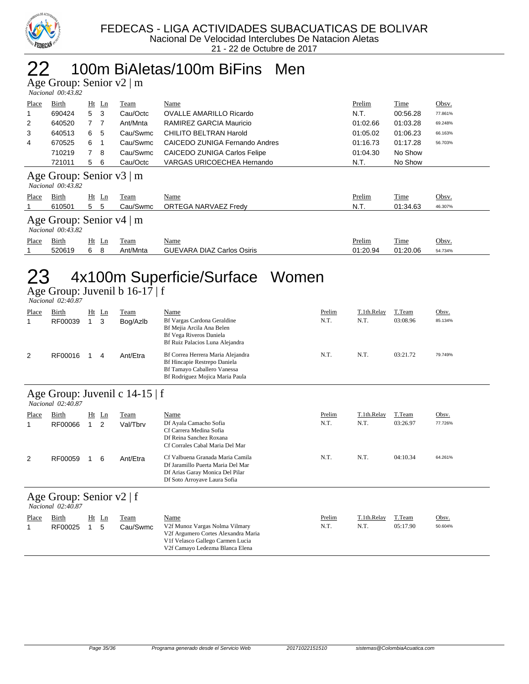

# 22 100m BiAletas/100m BiFins Men

Age Group: Senior v2 | m

|                                                    | Nacional 00:43.82                                  |                |         |          |                                     |          |             |         |
|----------------------------------------------------|----------------------------------------------------|----------------|---------|----------|-------------------------------------|----------|-------------|---------|
| Place                                              | Birth                                              |                | $Ht$ Ln | Team     | Name                                | Prelim   | <b>Time</b> | Obsv.   |
|                                                    | 690424                                             | 5 <sub>3</sub> |         | Cau/Octc | <b>OVALLE AMARILLO Ricardo</b>      | N.T.     | 00:56.28    | 77.861% |
| 2                                                  | 640520                                             | 77             |         | Ant/Mnta | RAMIREZ GARCIA Mauricio             | 01:02.66 | 01:03.28    | 69.248% |
| 3                                                  | 640513                                             | 6              | 5       | Cau/Swmc | <b>CHILITO BELTRAN Harold</b>       | 01:05.02 | 01:06.23    | 66.163% |
| 4                                                  | 670525                                             | 6              |         | Cau/Swmc | CAICEDO ZUNIGA Fernando Andres      | 01:16.73 | 01:17.28    | 56.703% |
|                                                    | 710219                                             | 7 8            |         | Cau/Swmc | <b>CAICEDO ZUNIGA Carlos Felipe</b> | 01:04.30 | No Show     |         |
|                                                    | 721011                                             | 5              | - 6     | Cau/Octc | <b>VARGAS URICOECHEA Hernando</b>   | N.T.     | No Show     |         |
|                                                    | Age Group: Senior $v3 \mid m$<br>Nacional 00:43.82 |                |         |          |                                     |          |             |         |
| Place                                              | Birth                                              |                | $Ht$ Ln | Team     | Name                                | Prelim   | Time        | Obsv.   |
|                                                    | 610501                                             | 5              | -5      | Cau/Swmc | ORTEGA NARVAEZ Fredy                | N.T.     | 01:34.63    | 46.307% |
| Age Group: Senior $v4 \mid m$<br>Nacional 00:43.82 |                                                    |                |         |          |                                     |          |             |         |
| Place                                              | Birth                                              |                | $Ht$ Ln | Team     | Name                                | Prelim   | Time        | Obsv.   |

1 520619 6 8 Ant/Mnta GUEVARA DIAZ Carlos Osiris 01:20.94 01:20.06 54.734%

# 23 4x100m Superficie/Surface Women

Age Group: Juvenil b 16-17 | f

|              | Nacional 02:40.87                                        |              |              |                  |                                                                                                                                          |                |                     |                    |                  |  |
|--------------|----------------------------------------------------------|--------------|--------------|------------------|------------------------------------------------------------------------------------------------------------------------------------------|----------------|---------------------|--------------------|------------------|--|
| Place        | Birth<br>RF00039                                         | $\mathbf{1}$ | $Ht$ Ln<br>3 | Team<br>Bog/Azlb | Name<br>Bf Vargas Cardona Geraldine<br>Bf Mejia Arcila Ana Belen<br>Bf Vega Riveros Daniela<br>Bf Ruiz Palacios Luna Alejandra           | Prelim<br>N.T. | T.1th.Relay<br>N.T. | T.Team<br>03:08.96 | Obsv.<br>85.134% |  |
| 2            | RF00016                                                  |              | 4            | Ant/Etra         | Bf Correa Herrera Maria Alejandra<br>Bf Hincapie Restrepo Daniela<br>Bf Tamayo Caballero Vanessa<br>Bf Rodriguez Mojica Maria Paula      | N.T.           | N.T.                | 03:21.72           | 79.749%          |  |
|              | Age Group: Juvenil c $14-15 \mid f$<br>Nacional 02:40.87 |              |              |                  |                                                                                                                                          |                |                     |                    |                  |  |
| <b>Place</b> | <b>Birth</b>                                             | Ht           | Ln           | Team             | Name                                                                                                                                     | Prelim         | T.1th.Relay         | T.Team             | Obsv.            |  |
|              | RF00066                                                  | 1            | 2            | Val/Tbrv         | Df Ayala Camacho Sofia<br>Cf Carrera Medina Sofia<br>Df Reina Sanchez Roxana<br>Cf Corrales Cabal Maria Del Mar                          | N.T.           | N.T.                | 03:26.97           | 77.726%          |  |
| 2            | RF00059                                                  |              | 6            | Ant/Etra         | Cf Valbuena Granada Maria Camila<br>Df Jaramillo Puerta Maria Del Mar<br>Df Arias Garay Monica Del Pilar<br>Df Soto Arroyave Laura Sofia | N.T.           | N.T.                | 04:10.34           | 64.261%          |  |
|              | Age Group: Senior $v2 \mid f$<br>$Nacional$ 02:40.87     |              |              |                  |                                                                                                                                          |                |                     |                    |                  |  |

| Nacional 02:40.87 |         |       |  |          |                                                                                                                                              |        |             |          |         |  |
|-------------------|---------|-------|--|----------|----------------------------------------------------------------------------------------------------------------------------------------------|--------|-------------|----------|---------|--|
| Place             | Birth   | Ht Ln |  | Team     | <u>Name</u>                                                                                                                                  | Prelim | T.1th.Relay | T.Team   | Obsv.   |  |
|                   | RF00025 |       |  | Cau/Swmc | V2f Munoz Vargas Nolma Vilmary<br>V2f Argumero Cortes Alexandra Maria<br>V1f Velasco Gallego Carmen Lucia<br>V2f Camayo Ledezma Blanca Elena | N.T.   | N.T.        | 05:17.90 | 50.604% |  |